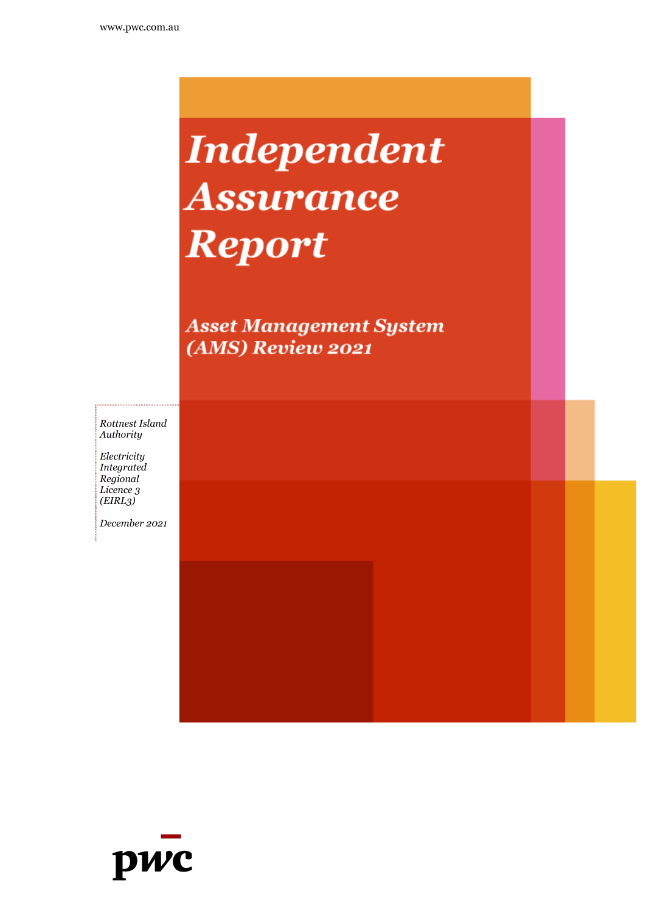# **Independent Assurance Report**

**Asset Management System** (AMS) Review 2021

*Rottnest Island Authority*

*Electricity Integrated Regional Licence 3 (EIRL3)*

*December 2021*

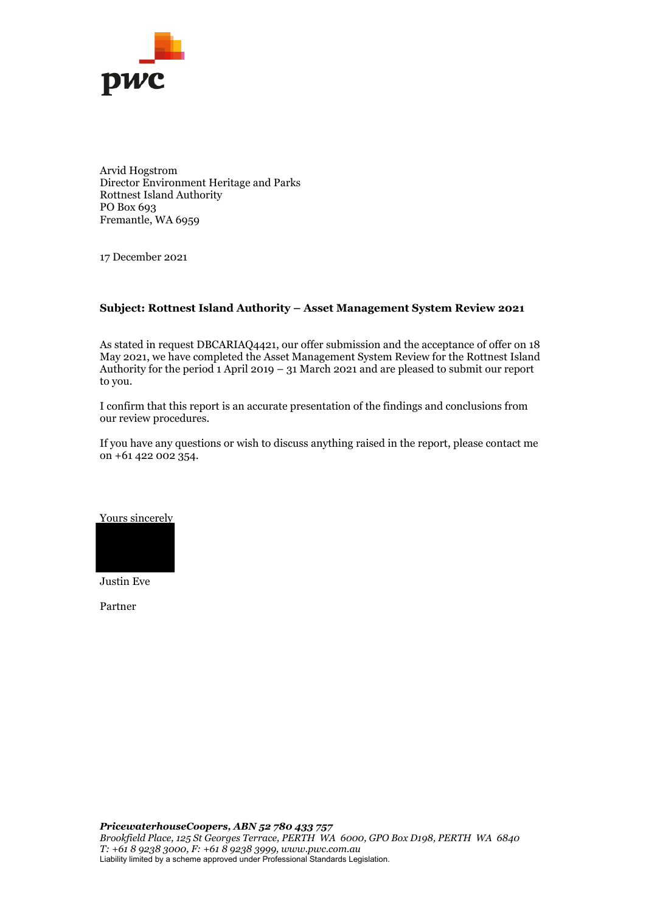

Arvid Hogstrom Director Environment Heritage and Parks Rottnest Island Authority PO Box 693 Fremantle, WA 6959

17 December 2021

#### **Subject: Rottnest Island Authority – Asset Management System Review 2021**

As stated in request DBCARIAQ4421, our offer submission and the acceptance of offer on 18 May 2021, we have completed the Asset Management System Review for the Rottnest Island Authority for the period 1 April 2019 – 31 March 2021 and are pleased to submit our report to you.

I confirm that this report is an accurate presentation of the findings and conclusions from our review procedures.

If you have any questions or wish to discuss anything raised in the report, please contact me on +61 422 002 354.

Yours sincerely



Justin Eve

Partner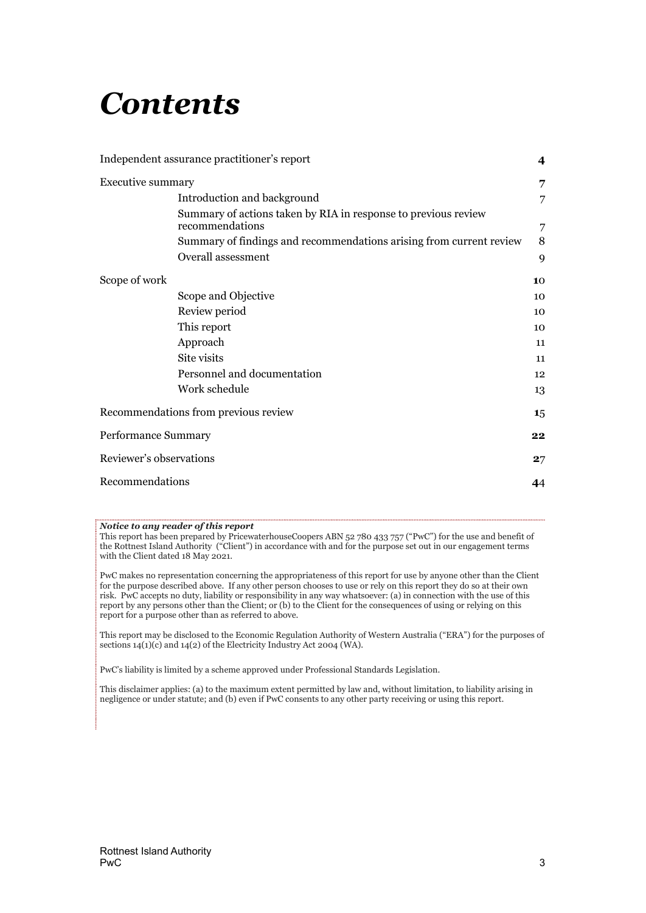# *Contents*

|                          | Independent assurance practitioner's report                                       | 4  |
|--------------------------|-----------------------------------------------------------------------------------|----|
| <b>Executive summary</b> |                                                                                   | 7  |
|                          | Introduction and background                                                       | 7  |
|                          | Summary of actions taken by RIA in response to previous review<br>recommendations | 7  |
|                          | Summary of findings and recommendations arising from current review               | 8  |
|                          | Overall assessment                                                                | 9  |
| Scope of work            |                                                                                   | 10 |
|                          | Scope and Objective                                                               | 10 |
|                          | Review period                                                                     | 10 |
|                          | This report                                                                       | 10 |
|                          | Approach                                                                          | 11 |
|                          | Site visits                                                                       | 11 |
|                          | Personnel and documentation                                                       | 12 |
|                          | Work schedule                                                                     | 13 |
|                          | Recommendations from previous review                                              | 15 |
| Performance Summary      |                                                                                   | 22 |
| Reviewer's observations  |                                                                                   | 27 |
| Recommendations          |                                                                                   | 44 |

#### *Notice to any reader of this report*

This report has been prepared by PricewaterhouseCoopers ABN 52 780 433 757 ("PwC") for the use and benefit of the Rottnest Island Authority ("Client") in accordance with and for the purpose set out in our engagement terms with the Client dated 18 May 2021.

PwC makes no representation concerning the appropriateness of this report for use by anyone other than the Client for the purpose described above. If any other person chooses to use or rely on this report they do so at their own risk. PwC accepts no duty, liability or responsibility in any way whatsoever: (a) in connection with the use of this report by any persons other than the Client; or (b) to the Client for the consequences of using or relying on this report for a purpose other than as referred to above.

This report may be disclosed to the Economic Regulation Authority of Western Australia ("ERA") for the purposes of sections 14(1)(c) and 14(2) of the Electricity Industry Act 2004 (WA).

PwC's liability is limited by a scheme approved under Professional Standards Legislation.

This disclaimer applies: (a) to the maximum extent permitted by law and, without limitation, to liability arising in negligence or under statute; and (b) even if PwC consents to any other party receiving or using this report.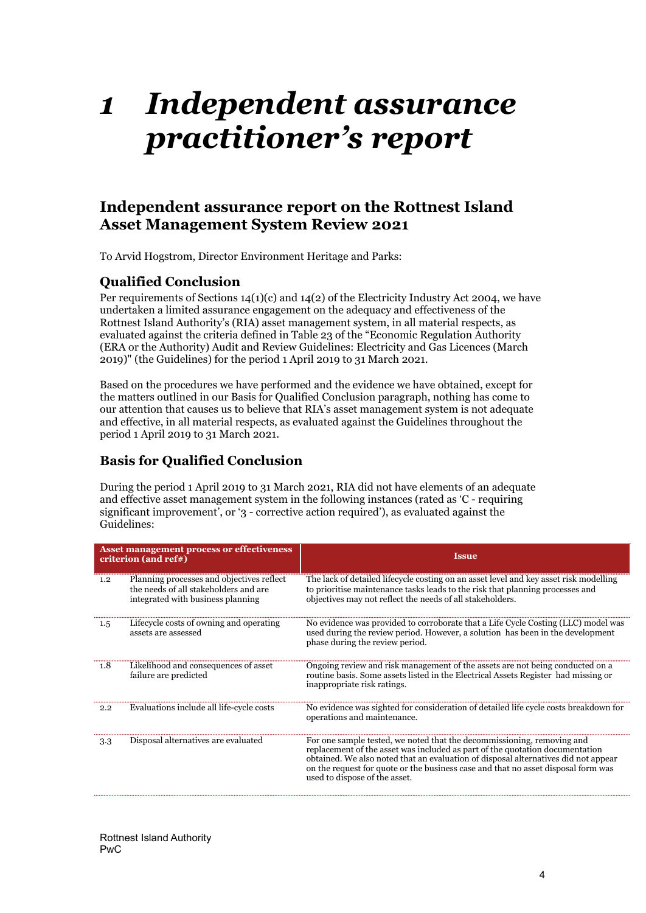# <span id="page-3-0"></span>*1 Independent assurance practitioner's report*

## **Independent assurance report on the Rottnest Island Asset Management System Review 2021**

To Arvid Hogstrom, Director Environment Heritage and Parks:

## **Qualified Conclusion**

Per requirements of Sections  $14(1)(c)$  and  $14(2)$  of the Electricity Industry Act 2004, we have undertaken a limited assurance engagement on the adequacy and effectiveness of the Rottnest Island Authority's (RIA) asset management system, in all material respects, as evaluated against the criteria defined in Table 23 of the "Economic Regulation Authority (ERA or the Authority) Audit and Review Guidelines: Electricity and Gas Licences (March 2019)" (the Guidelines) for the period 1 April 2019 to 31 March 2021.

Based on the procedures we have performed and the evidence we have obtained, except for the matters outlined in our Basis for Qualified Conclusion paragraph, nothing has come to our attention that causes us to believe that RIA's asset management system is not adequate and effective, in all material respects, as evaluated against the Guidelines throughout the period 1 April 2019 to 31 March 2021.

## **Basis for Qualified Conclusion**

During the period 1 April 2019 to 31 March 2021, RIA did not have elements of an adequate and effective asset management system in the following instances (rated as 'C - requiring significant improvement', or '3 - corrective action required'), as evaluated against the Guidelines:

| <b>Asset management process or effectiveness</b><br>criterion (and ref#) |                                                                                                                         | <b>Issue</b>                                                                                                                                                                                                                                                                                                                                                       |
|--------------------------------------------------------------------------|-------------------------------------------------------------------------------------------------------------------------|--------------------------------------------------------------------------------------------------------------------------------------------------------------------------------------------------------------------------------------------------------------------------------------------------------------------------------------------------------------------|
| 1.2                                                                      | Planning processes and objectives reflect<br>the needs of all stakeholders and are<br>integrated with business planning | The lack of detailed lifecycle costing on an asset level and key asset risk modelling<br>to prioritise maintenance tasks leads to the risk that planning processes and<br>objectives may not reflect the needs of all stakeholders.                                                                                                                                |
| 1.5                                                                      | Lifecycle costs of owning and operating<br>assets are assessed                                                          | No evidence was provided to corroborate that a Life Cycle Costing (LLC) model was<br>used during the review period. However, a solution has been in the development<br>phase during the review period.                                                                                                                                                             |
| 1.8                                                                      | Likelihood and consequences of asset<br>failure are predicted                                                           | Ongoing review and risk management of the assets are not being conducted on a<br>routine basis. Some assets listed in the Electrical Assets Register had missing or<br>inappropriate risk ratings.                                                                                                                                                                 |
| 2.2                                                                      | Evaluations include all life-cycle costs                                                                                | No evidence was sighted for consideration of detailed life cycle costs breakdown for<br>operations and maintenance.                                                                                                                                                                                                                                                |
| 3.3                                                                      | Disposal alternatives are evaluated                                                                                     | For one sample tested, we noted that the decommissioning, removing and<br>replacement of the asset was included as part of the quotation documentation<br>obtained. We also noted that an evaluation of disposal alternatives did not appear<br>on the request for quote or the business case and that no asset disposal form was<br>used to dispose of the asset. |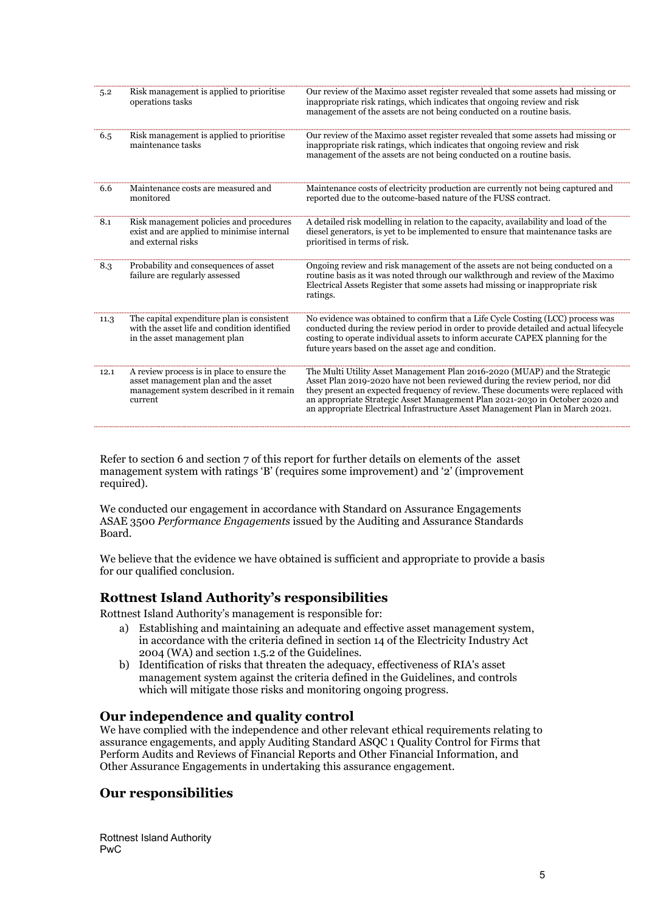| 5.2  | Risk management is applied to prioritise<br>operations tasks                                                                             | Our review of the Maximo asset register revealed that some assets had missing or<br>inappropriate risk ratings, which indicates that ongoing review and risk<br>management of the assets are not being conducted on a routine basis.                                                                                                                                                                             |
|------|------------------------------------------------------------------------------------------------------------------------------------------|------------------------------------------------------------------------------------------------------------------------------------------------------------------------------------------------------------------------------------------------------------------------------------------------------------------------------------------------------------------------------------------------------------------|
| 6.5  | Risk management is applied to prioritise<br>maintenance tasks                                                                            | Our review of the Maximo asset register revealed that some assets had missing or<br>inappropriate risk ratings, which indicates that ongoing review and risk<br>management of the assets are not being conducted on a routine basis.                                                                                                                                                                             |
| 6.6  | Maintenance costs are measured and<br>monitored                                                                                          | Maintenance costs of electricity production are currently not being captured and<br>reported due to the outcome-based nature of the FUSS contract.                                                                                                                                                                                                                                                               |
| 8.1  | Risk management policies and procedures<br>exist and are applied to minimise internal<br>and external risks                              | A detailed risk modelling in relation to the capacity, availability and load of the<br>diesel generators, is yet to be implemented to ensure that maintenance tasks are<br>prioritised in terms of risk.                                                                                                                                                                                                         |
| 8.3  | Probability and consequences of asset<br>failure are regularly assessed                                                                  | Ongoing review and risk management of the assets are not being conducted on a<br>routine basis as it was noted through our walkthrough and review of the Maximo<br>Electrical Assets Register that some assets had missing or inappropriate risk<br>ratings.                                                                                                                                                     |
| 11.3 | The capital expenditure plan is consistent<br>with the asset life and condition identified<br>in the asset management plan               | No evidence was obtained to confirm that a Life Cycle Costing (LCC) process was<br>conducted during the review period in order to provide detailed and actual lifecycle<br>costing to operate individual assets to inform accurate CAPEX planning for the<br>future years based on the asset age and condition.                                                                                                  |
| 12.1 | A review process is in place to ensure the<br>asset management plan and the asset<br>management system described in it remain<br>current | The Multi Utility Asset Management Plan 2016-2020 (MUAP) and the Strategic<br>Asset Plan 2019-2020 have not been reviewed during the review period, nor did<br>they present an expected frequency of review. These documents were replaced with<br>an appropriate Strategic Asset Management Plan 2021-2030 in October 2020 and<br>an appropriate Electrical Infrastructure Asset Management Plan in March 2021. |

Refer to section 6 and section 7 of this report for further details on elements of the asset management system with ratings 'B' (requires some improvement) and '2' (improvement required).

We conducted our engagement in accordance with Standard on Assurance Engagements ASAE 3500 *Performance Engagements* issued by the Auditing and Assurance Standards Board.

We believe that the evidence we have obtained is sufficient and appropriate to provide a basis for our qualified conclusion.

## **Rottnest Island Authority's responsibilities**

Rottnest Island Authority's management is responsible for:

- a) Establishing and maintaining an adequate and effective asset management system, in accordance with the criteria defined in section 14 of the Electricity Industry Act 2004 (WA) and section 1.5.2 of the Guidelines.
- b) Identification of risks that threaten the adequacy, effectiveness of RIA's asset management system against the criteria defined in the Guidelines, and controls which will mitigate those risks and monitoring ongoing progress.

#### **Our independence and quality control**

We have complied with the independence and other relevant ethical requirements relating to assurance engagements, and apply Auditing Standard ASQC 1 Quality Control for Firms that Perform Audits and Reviews of Financial Reports and Other Financial Information, and Other Assurance Engagements in undertaking this assurance engagement.

## **Our responsibilities**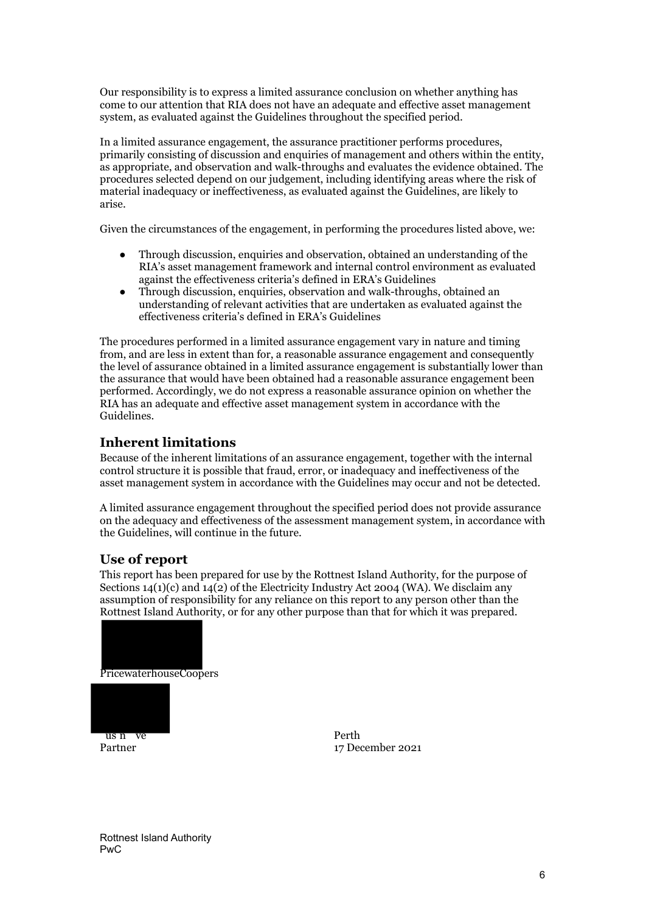Our responsibility is to express a limited assurance conclusion on whether anything has come to our attention that RIA does not have an adequate and effective asset management system, as evaluated against the Guidelines throughout the specified period.

In a limited assurance engagement, the assurance practitioner performs procedures, primarily consisting of discussion and enquiries of management and others within the entity, as appropriate, and observation and walk-throughs and evaluates the evidence obtained. The procedures selected depend on our judgement, including identifying areas where the risk of material inadequacy or ineffectiveness, as evaluated against the Guidelines, are likely to arise.

Given the circumstances of the engagement, in performing the procedures listed above, we:

- Through discussion, enquiries and observation, obtained an understanding of the RIA's asset management framework and internal control environment as evaluated against the effectiveness criteria's defined in ERA's Guidelines
- Through discussion, enquiries, observation and walk-throughs, obtained an understanding of relevant activities that are undertaken as evaluated against the effectiveness criteria's defined in ERA's Guidelines

The procedures performed in a limited assurance engagement vary in nature and timing from, and are less in extent than for, a reasonable assurance engagement and consequently the level of assurance obtained in a limited assurance engagement is substantially lower than the assurance that would have been obtained had a reasonable assurance engagement been performed. Accordingly, we do not express a reasonable assurance opinion on whether the RIA has an adequate and effective asset management system in accordance with the Guidelines.

## **Inherent limitations**

Because of the inherent limitations of an assurance engagement, together with the internal control structure it is possible that fraud, error, or inadequacy and ineffectiveness of the asset management system in accordance with the Guidelines may occur and not be detected.

A limited assurance engagement throughout the specified period does not provide assurance on the adequacy and effectiveness of the assessment management system, in accordance with the Guidelines, will continue in the future.

## **Use of report**

This report has been prepared for use by the Rottnest Island Authority, for the purpose of Sections  $14(1)(c)$  and  $14(2)$  of the Electricity Industry Act 2004 (WA). We disclaim any assumption of responsibility for any reliance on this report to any person other than the Rottnest Island Authority, or for any other purpose than that for which it was prepared.





Partner 17 December 2021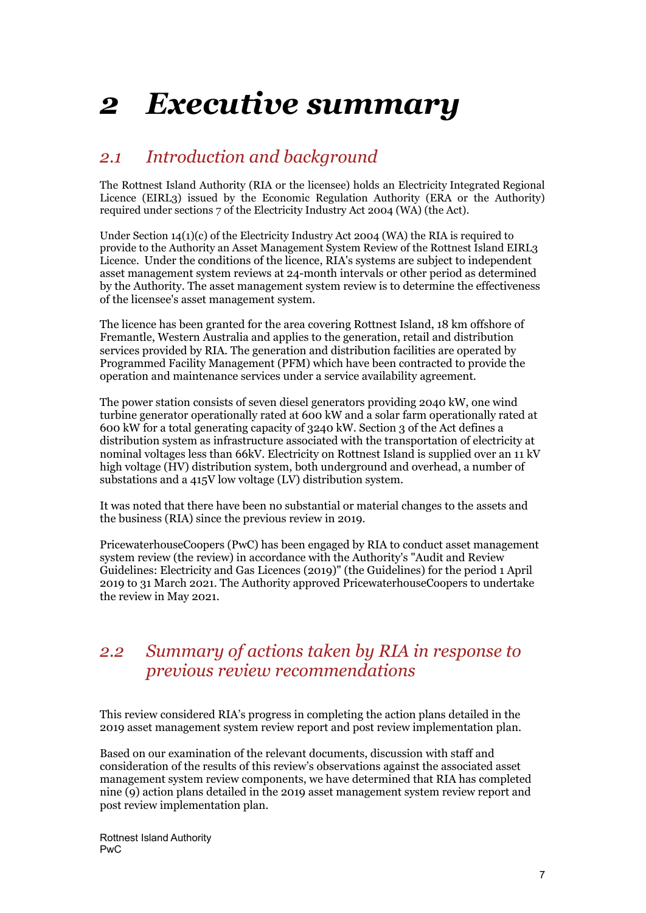# <span id="page-6-0"></span>*2 Executive summary*

## <span id="page-6-1"></span>*2.1 Introduction and background*

The Rottnest Island Authority (RIA or the licensee) holds an Electricity Integrated Regional Licence (EIRL3) issued by the Economic Regulation Authority (ERA or the Authority) required under sections 7 of the Electricity Industry Act 2004 (WA) (the Act).

Under Section 14(1)(c) of the Electricity Industry Act 2004 (WA) the RIA is required to provide to the Authority an Asset Management System Review of the Rottnest Island EIRL3 Licence. Under the conditions of the licence, RIA's systems are subject to independent asset management system reviews at 24-month intervals or other period as determined by the Authority. The asset management system review is to determine the effectiveness of the licensee's asset management system.

The licence has been granted for the area covering Rottnest Island, 18 km offshore of Fremantle, Western Australia and applies to the generation, retail and distribution services provided by RIA. The generation and distribution facilities are operated by Programmed Facility Management (PFM) which have been contracted to provide the operation and maintenance services under a service availability agreement.

The power station consists of seven diesel generators providing 2040 kW, one wind turbine generator operationally rated at 600 kW and a solar farm operationally rated at 600 kW for a total generating capacity of 3240 kW. Section 3 of the Act defines a distribution system as infrastructure associated with the transportation of electricity at nominal voltages less than 66kV. Electricity on Rottnest Island is supplied over an 11 kV high voltage (HV) distribution system, both underground and overhead, a number of substations and a 415V low voltage (LV) distribution system.

It was noted that there have been no substantial or material changes to the assets and the business (RIA) since the previous review in 2019.

PricewaterhouseCoopers (PwC) has been engaged by RIA to conduct asset management system review (the review) in accordance with the Authority's "Audit and Review Guidelines: Electricity and Gas Licences (2019)" (the Guidelines) for the period 1 April 2019 to 31 March 2021. The Authority approved PricewaterhouseCoopers to undertake the review in May 2021.

## <span id="page-6-2"></span>*2.2 Summary of actions taken by RIA in response to previous review recommendations*

This review considered RIA's progress in completing the action plans detailed in the 2019 asset management system review report and post review implementation plan.

Based on our examination of the relevant documents, discussion with staff and consideration of the results of this review's observations against the associated asset management system review components, we have determined that RIA has completed nine (9) action plans detailed in the 2019 asset management system review report and post review implementation plan.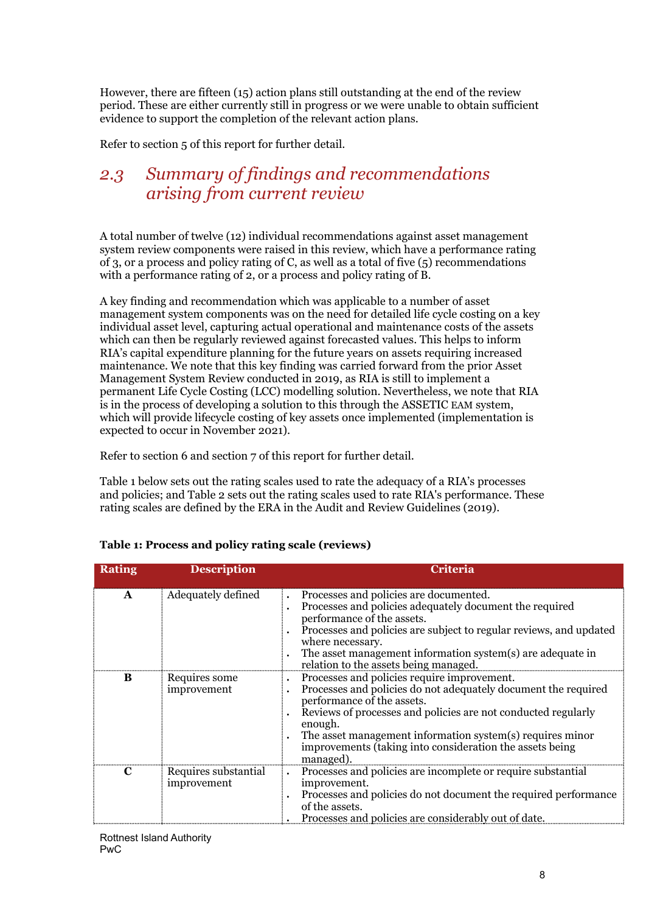However, there are fifteen (15) action plans still outstanding at the end of the review period. These are either currently still in progress or we were unable to obtain sufficient evidence to support the completion of the relevant action plans.

Refer to section 5 of this report for further detail.

## <span id="page-7-0"></span>*2.3 Summary of findings and recommendations arising from current review*

A total number of twelve (12) individual recommendations against asset management system review components were raised in this review, which have a performance rating of 3, or a process and policy rating of C, as well as a total of five (5) recommendations with a performance rating of 2, or a process and policy rating of B.

A key finding and recommendation which was applicable to a number of asset management system components was on the need for detailed life cycle costing on a key individual asset level, capturing actual operational and maintenance costs of the assets which can then be regularly reviewed against forecasted values. This helps to inform RIA's capital expenditure planning for the future years on assets requiring increased maintenance. We note that this key finding was carried forward from the prior Asset Management System Review conducted in 2019, as RIA is still to implement a permanent Life Cycle Costing (LCC) modelling solution. Nevertheless, we note that RIA is in the process of developing a solution to this through the ASSETIC EAM system, which will provide lifecycle costing of key assets once implemented (implementation is expected to occur in November 2021).

Refer to section 6 and section 7 of this report for further detail.

Table 1 below sets out the rating scales used to rate the adequacy of a RIA's processes and policies; and Table 2 sets out the rating scales used to rate RIA's performance. These rating scales are defined by the ERA in the Audit and Review Guidelines (2019).

| Rating       | <b>Description</b>                  | Criteria                                                                                                                                                                                                                                                                                                                                                      |
|--------------|-------------------------------------|---------------------------------------------------------------------------------------------------------------------------------------------------------------------------------------------------------------------------------------------------------------------------------------------------------------------------------------------------------------|
| $\mathbf{A}$ | Adequately defined                  | Processes and policies are documented.<br>Processes and policies adequately document the required<br>performance of the assets.<br>Processes and policies are subject to regular reviews, and updated<br>where necessary.<br>The asset management information system(s) are adequate in<br>relation to the assets being managed.                              |
| B            | Requires some<br>improvement        | Processes and policies require improvement.<br>Processes and policies do not adequately document the required<br>performance of the assets.<br>Reviews of processes and policies are not conducted regularly<br>enough.<br>The asset management information system(s) requires minor<br>improvements (taking into consideration the assets being<br>managed). |
| $\mathbf C$  | Requires substantial<br>improvement | Processes and policies are incomplete or require substantial<br>improvement.<br>Processes and policies do not document the required performance<br>of the assets.<br>Processes and policies are considerably out of date.                                                                                                                                     |

#### **Table 1: Process and policy rating scale (reviews)**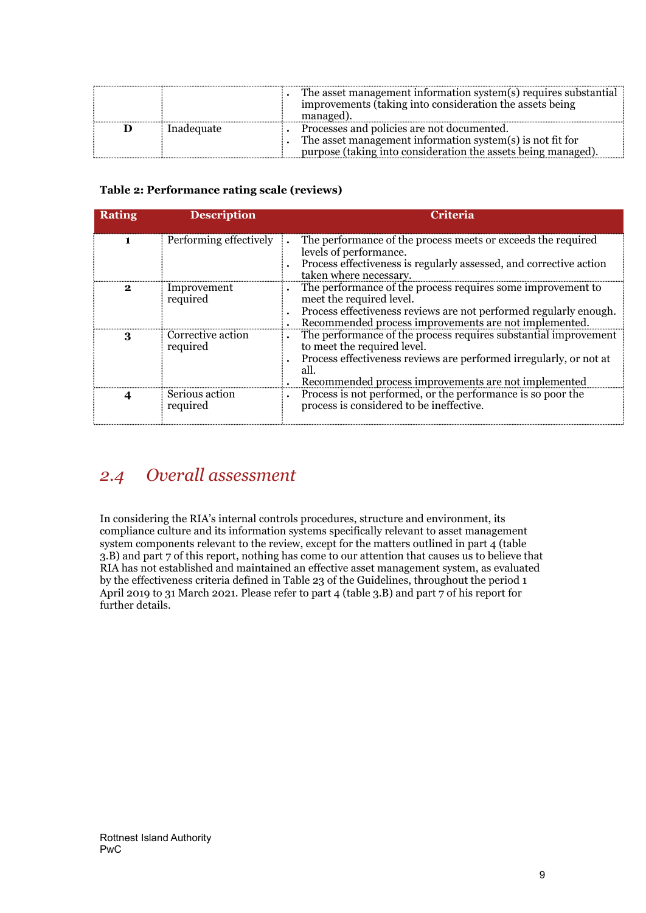|            | The asset management information system(s) requires substantial<br>improvements (taking into consideration the assets being<br>managed                                   |
|------------|--------------------------------------------------------------------------------------------------------------------------------------------------------------------------|
| Inadequate | Processes and policies are not documented.<br>The asset management information system(s) is not fit for<br>purpose (taking into consideration the assets being managed). |

#### **Table 2: Performance rating scale (reviews)**

| <b>Rating</b> | <b>Description</b>            | <b>Criteria</b>                                                                                                                                                                                                                      |
|---------------|-------------------------------|--------------------------------------------------------------------------------------------------------------------------------------------------------------------------------------------------------------------------------------|
|               | Performing effectively        | The performance of the process meets or exceeds the required<br>levels of performance.<br>Process effectiveness is regularly assessed, and corrective action<br>taken where necessary.                                               |
| 2             | Improvement<br>required       | The performance of the process requires some improvement to<br>meet the required level.<br>Process effectiveness reviews are not performed regularly enough.<br>Recommended process improvements are not implemented.                |
| 3             | Corrective action<br>required | The performance of the process requires substantial improvement<br>to meet the required level.<br>Process effectiveness reviews are performed irregularly, or not at<br>all.<br>Recommended process improvements are not implemented |
|               | Serious action<br>required    | Process is not performed, or the performance is so poor the<br>process is considered to be ineffective.                                                                                                                              |

## <span id="page-8-0"></span>*2.4 Overall assessment*

In considering the RIA's internal controls procedures, structure and environment, its compliance culture and its information systems specifically relevant to asset management system components relevant to the review, except for the matters outlined in part  $\frac{1}{4}$  (table 3.B) and part 7 of this report, nothing has come to our attention that causes us to believe that RIA has not established and maintained an effective asset management system, as evaluated by the effectiveness criteria defined in Table 23 of the Guidelines, throughout the period 1 April 2019 to 31 March 2021. Please refer to part 4 (table 3.B) and part  $\overline{7}$  of his report for further details.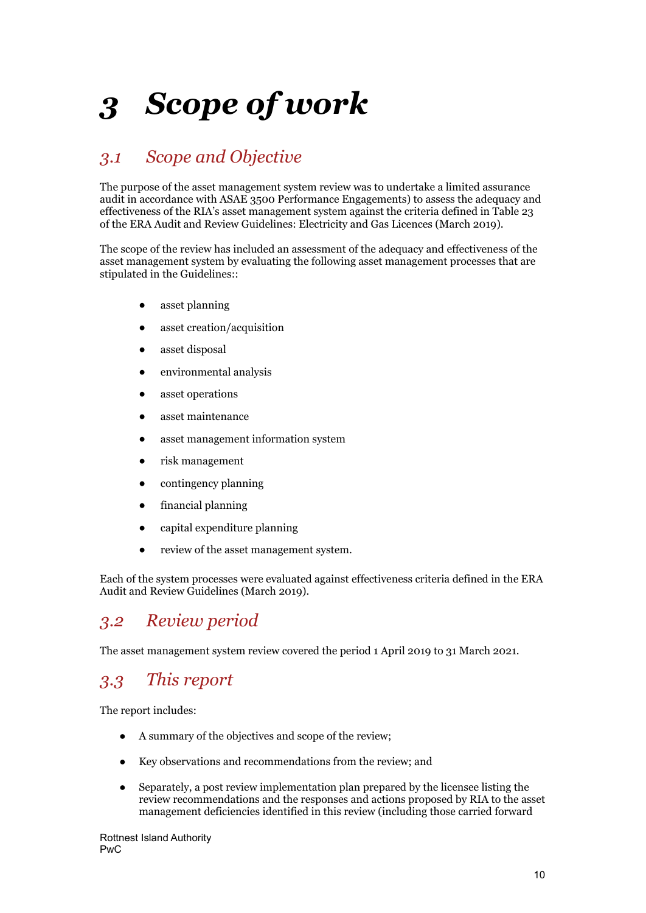# <span id="page-9-0"></span>*3 Scope of work*

## <span id="page-9-1"></span>*3.1 Scope and Objective*

The purpose of the asset management system review was to undertake a limited assurance audit in accordance with ASAE 3500 Performance Engagements) to assess the adequacy and effectiveness of the RIA's asset management system against the criteria defined in Table 23 of the ERA Audit and Review Guidelines: Electricity and Gas Licences (March 2019).

The scope of the review has included an assessment of the adequacy and effectiveness of the asset management system by evaluating the following asset management processes that are stipulated in the Guidelines::

- asset planning
- asset creation/acquisition
- asset disposal
- environmental analysis
- asset operations
- asset maintenance
- asset management information system
- risk management
- contingency planning
- financial planning
- capital expenditure planning
- review of the asset management system.

Each of the system processes were evaluated against effectiveness criteria defined in the ERA Audit and Review Guidelines (March 2019).

## <span id="page-9-2"></span>*3.2 Review period*

The asset management system review covered the period 1 April 2019 to 31 March 2021.

## <span id="page-9-3"></span>*3.3 This report*

The report includes:

- A summary of the objectives and scope of the review;
- Key observations and recommendations from the review; and
- Separately, a post review implementation plan prepared by the licensee listing the review recommendations and the responses and actions proposed by RIA to the asset management deficiencies identified in this review (including those carried forward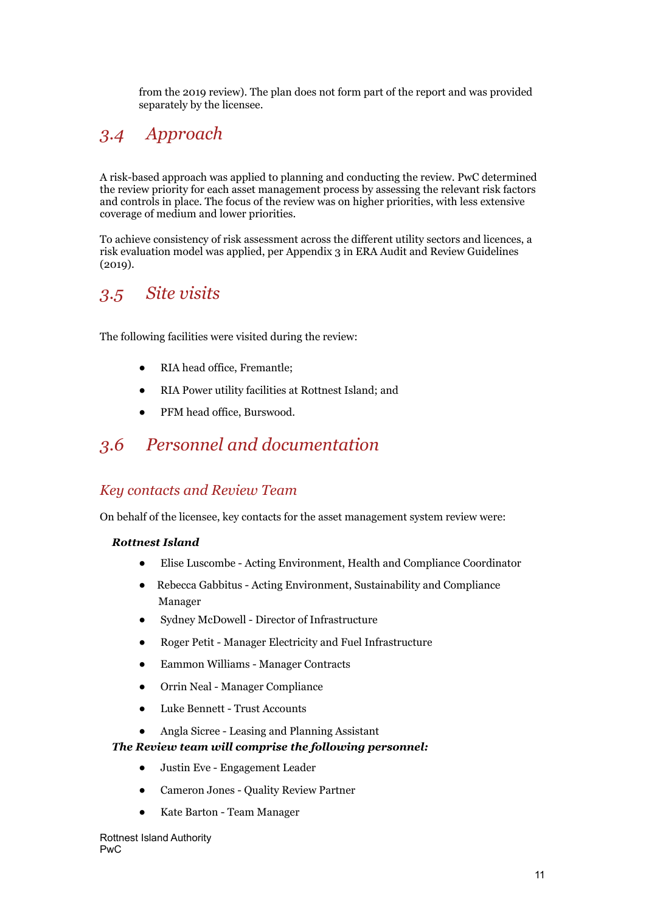from the 2019 review). The plan does not form part of the report and was provided separately by the licensee.

## <span id="page-10-0"></span>*3.4 Approach*

A risk-based approach was applied to planning and conducting the review. PwC determined the review priority for each asset management process by assessing the relevant risk factors and controls in place. The focus of the review was on higher priorities, with less extensive coverage of medium and lower priorities.

To achieve consistency of risk assessment across the different utility sectors and licences, a risk evaluation model was applied, per Appendix 3 in ERA Audit and Review Guidelines (2019).

## <span id="page-10-1"></span>*3.5 Site visits*

The following facilities were visited during the review:

- RIA head office, Fremantle:
- RIA Power utility facilities at Rottnest Island; and
- PFM head office, Burswood.

## <span id="page-10-2"></span>*3.6 Personnel and documentation*

## *Key contacts and Review Team*

On behalf of the licensee, key contacts for the asset management system review were:

#### *Rottnest Island*

- Elise Luscombe Acting Environment, Health and Compliance Coordinator
- Rebecca Gabbitus Acting Environment, Sustainability and Compliance Manager
- Sydney McDowell Director of Infrastructure
- Roger Petit Manager Electricity and Fuel Infrastructure
- Eammon Williams Manager Contracts
- Orrin Neal Manager Compliance
- Luke Bennett Trust Accounts
- Angla Sicree Leasing and Planning Assistant

#### *The Review team will comprise the following personnel:*

- Justin Eve Engagement Leader
- Cameron Jones Quality Review Partner
- Kate Barton Team Manager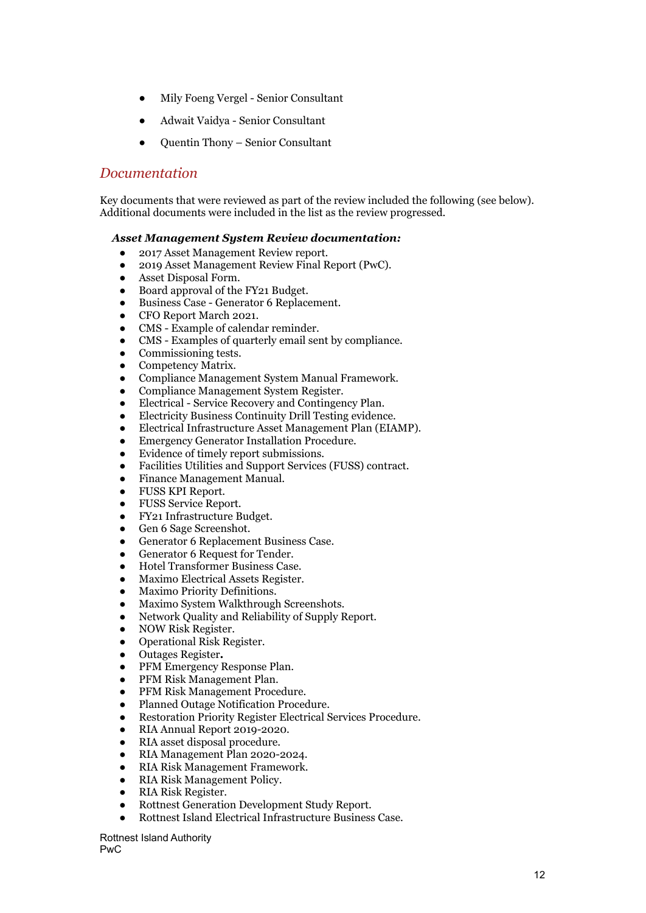- Mily Foeng Vergel Senior Consultant
- Adwait Vaidya Senior Consultant
- Quentin Thony Senior Consultant

### *Documentation*

Key documents that were reviewed as part of the review included the following (see below). Additional documents were included in the list as the review progressed.

#### *Asset Management System Review documentation:*

- 2017 Asset Management Review report.
- 2019 Asset Management Review Final Report (PwC).
- Asset Disposal Form.
- Board approval of the FY21 Budget.
- Business Case Generator 6 Replacement.
- CFO Report March 2021.
- CMS Example of calendar reminder.
- CMS Examples of quarterly email sent by compliance.
- Commissioning tests.
- Competency Matrix.
- Compliance Management System Manual Framework.
- Compliance Management System Register.
- Electrical Service Recovery and Contingency Plan.
- Electricity Business Continuity Drill Testing evidence.
- Electrical Infrastructure Asset Management Plan (EIAMP).
- **Emergency Generator Installation Procedure.**
- Evidence of timely report submissions.
- Facilities Utilities and Support Services (FUSS) contract.
- Finance Management Manual.
- FUSS KPI Report.
- FUSS Service Report.
- FY21 Infrastructure Budget.
- Gen 6 Sage Screenshot.
- Generator 6 Replacement Business Case.
- Generator 6 Request for Tender.
- Hotel Transformer Business Case.
- Maximo Electrical Assets Register.
- Maximo Priority Definitions.
- Maximo System Walkthrough Screenshots.
- Network Quality and Reliability of Supply Report.
- NOW Risk Register.
- Operational Risk Register.
- Outages Register**.**
- PFM Emergency Response Plan.
- PFM Risk Management Plan.
- PFM Risk Management Procedure.
- Planned Outage Notification Procedure.
- Restoration Priority Register Electrical Services Procedure.
- RIA Annual Report 2019-2020.
- RIA asset disposal procedure.
- RIA Management Plan 2020-2024.
- RIA Risk Management Framework.
- RIA Risk Management Policy.
- RIA Risk Register.
- Rottnest Generation Development Study Report.
- Rottnest Island Electrical Infrastructure Business Case.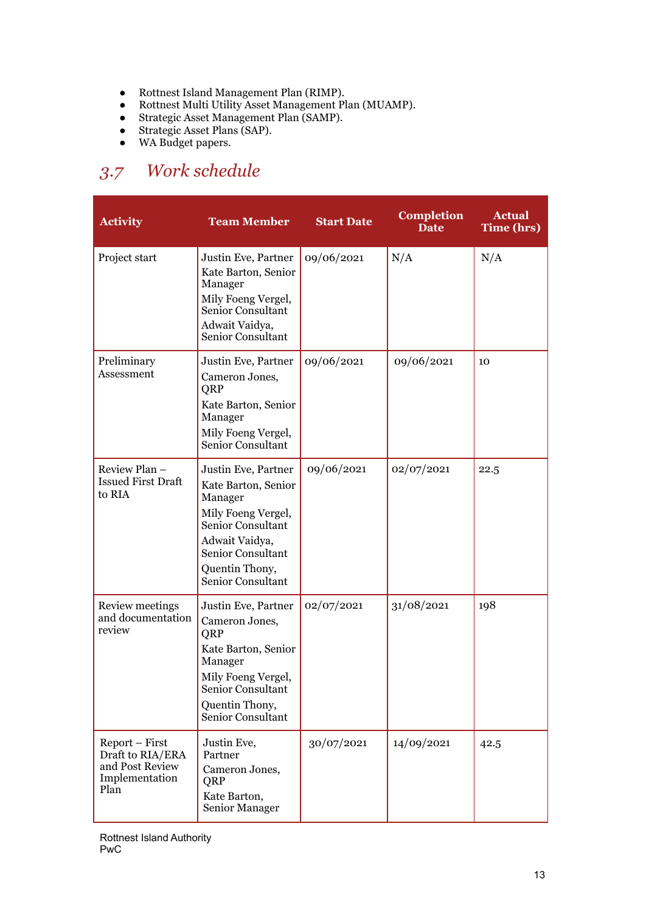- Rottnest Island Management Plan (RIMP).
- Rottnest Multi Utility Asset Management Plan (MUAMP).
- Strategic Asset Management Plan (SAMP).
- Strategic Asset Plans (SAP).
- WA Budget papers.

## <span id="page-12-0"></span>*3.7 Work schedule*

| <b>Activity</b>                                                                 | <b>Team Member</b>                                                                                                                                                             | <b>Start Date</b> | <b>Completion</b><br><b>Date</b> | <b>Actual</b><br>Time (hrs) |
|---------------------------------------------------------------------------------|--------------------------------------------------------------------------------------------------------------------------------------------------------------------------------|-------------------|----------------------------------|-----------------------------|
| Project start                                                                   | Justin Eve, Partner<br>Kate Barton, Senior<br>Manager<br>Mily Foeng Vergel,<br>Senior Consultant<br>Adwait Vaidya,<br>Senior Consultant                                        | 09/06/2021        | N/A                              | N/A                         |
| Preliminary<br>Assessment                                                       | Justin Eve, Partner<br>Cameron Jones,<br>QRP<br>Kate Barton, Senior<br>Manager<br>Mily Foeng Vergel,<br>Senior Consultant                                                      | 09/06/2021        | 09/06/2021                       | 10                          |
| Review Plan -<br><b>Issued First Draft</b><br>to RIA                            | Justin Eve, Partner<br>Kate Barton, Senior<br>Manager<br>Mily Foeng Vergel,<br>Senior Consultant<br>Adwait Vaidya,<br>Senior Consultant<br>Quentin Thony,<br>Senior Consultant | 09/06/2021        | 02/07/2021                       | 22.5                        |
| Review meetings<br>and documentation<br>review                                  | Justin Eve, Partner<br>Cameron Jones,<br>QRP<br>Kate Barton, Senior<br>Manager<br>Mily Foeng Vergel,<br>Senior Consultant<br>Quentin Thony,<br>Senior Consultant               | 02/07/2021        | 31/08/2021                       | 198                         |
| Report - First<br>Draft to RIA/ERA<br>and Post Review<br>Implementation<br>Plan | Justin Eve,<br>Partner<br>Cameron Jones,<br>QRP<br>Kate Barton,<br>Senior Manager                                                                                              | 30/07/2021        | 14/09/2021                       | 42.5                        |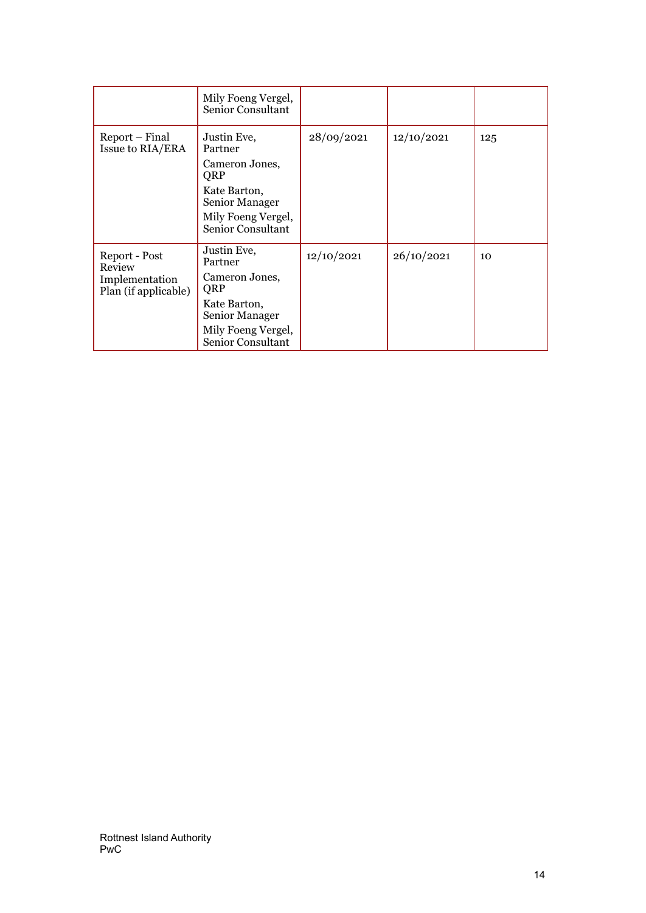|                                        | Mily Foeng Vergel,<br>Senior Consultant  |            |            |     |
|----------------------------------------|------------------------------------------|------------|------------|-----|
| Report – Final<br>Issue to RIA/ERA     | Justin Eve,<br>Partner<br>Cameron Jones, | 28/09/2021 | 12/10/2021 | 125 |
|                                        | QRP                                      |            |            |     |
|                                        | Kate Barton,<br>Senior Manager           |            |            |     |
|                                        | Mily Foeng Vergel,<br>Senior Consultant  |            |            |     |
| Report - Post<br>Review                | Justin Eve,<br>Partner                   | 12/10/2021 | 26/10/2021 | 10  |
| Implementation<br>Plan (if applicable) | Cameron Jones,<br>QRP                    |            |            |     |
|                                        | Kate Barton,<br>Senior Manager           |            |            |     |
|                                        | Mily Foeng Vergel,<br>Senior Consultant  |            |            |     |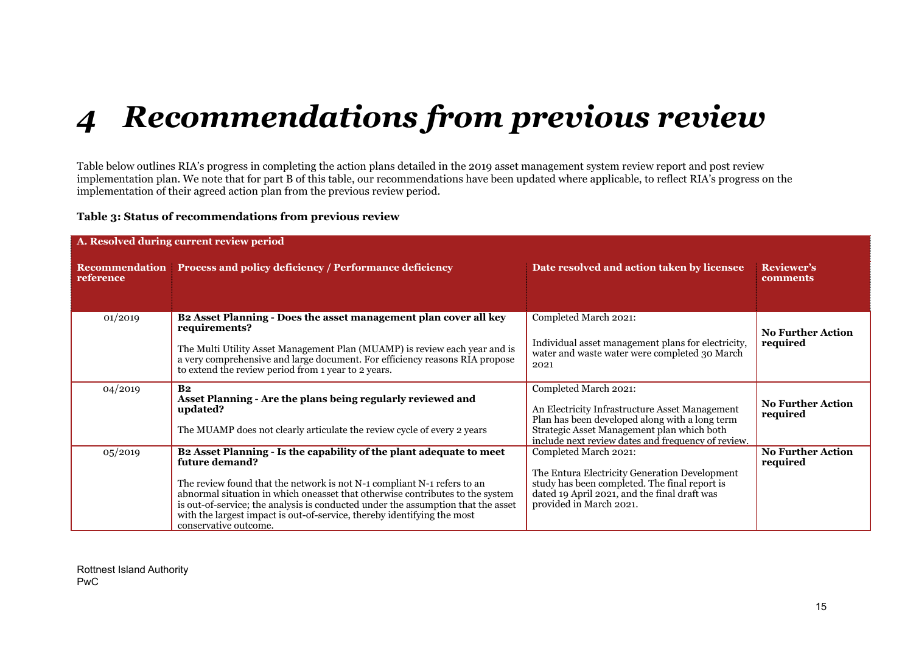# *4 Recommendations from previous review*

Table below outlines RIA's progress in completing the action plans detailed in the 2019 asset management system review report and post review implementation plan. We note that for part B of this table, our recommendations have been updated where applicable, to reflect RIA's progress on the implementation of their agreed action plan from the previous review period.

#### **Table 3: Status of recommendations from previous review**

<span id="page-14-0"></span>

| A. Resolved during current review period |                                                                                                                                                                                                                                                                                                                                                                                                                                            |                                                                                                                                                                                                                               |                                      |  |  |
|------------------------------------------|--------------------------------------------------------------------------------------------------------------------------------------------------------------------------------------------------------------------------------------------------------------------------------------------------------------------------------------------------------------------------------------------------------------------------------------------|-------------------------------------------------------------------------------------------------------------------------------------------------------------------------------------------------------------------------------|--------------------------------------|--|--|
| reference                                | Recommendation Process and policy deficiency / Performance deficiency                                                                                                                                                                                                                                                                                                                                                                      | Date resolved and action taken by licensee                                                                                                                                                                                    | <b>Reviewer's</b><br>comments        |  |  |
| 01/2019                                  | B2 Asset Planning - Does the asset management plan cover all key<br>requirements?<br>The Multi Utility Asset Management Plan (MUAMP) is review each year and is<br>a very comprehensive and large document. For efficiency reasons RIA propose<br>to extend the review period from 1 year to 2 years.                                                                                                                                      | Completed March 2021:<br>Individual asset management plans for electricity,<br>water and waste water were completed 30 March<br>2021                                                                                          | <b>No Further Action</b><br>required |  |  |
| 04/2019                                  | B <sub>2</sub><br>Asset Planning - Are the plans being regularly reviewed and<br>updated?<br>The MUAMP does not clearly articulate the review cycle of every 2 years                                                                                                                                                                                                                                                                       | Completed March 2021:<br>An Electricity Infrastructure Asset Management<br>Plan has been developed along with a long term<br>Strategic Asset Management plan which both<br>include next review dates and frequency of review. | <b>No Further Action</b><br>required |  |  |
| 05/2019                                  | B2 Asset Planning - Is the capability of the plant adequate to meet<br>future demand?<br>The review found that the network is not N-1 compliant N-1 refers to an<br>abnormal situation in which one asset that otherwise contributes to the system<br>is out-of-service; the analysis is conducted under the assumption that the asset<br>with the largest impact is out-of-service, thereby identifying the most<br>conservative outcome. | Completed March 2021:<br>The Entura Electricity Generation Development<br>study has been completed. The final report is<br>dated 19 April 2021, and the final draft was<br>provided in March 2021.                            | <b>No Further Action</b><br>required |  |  |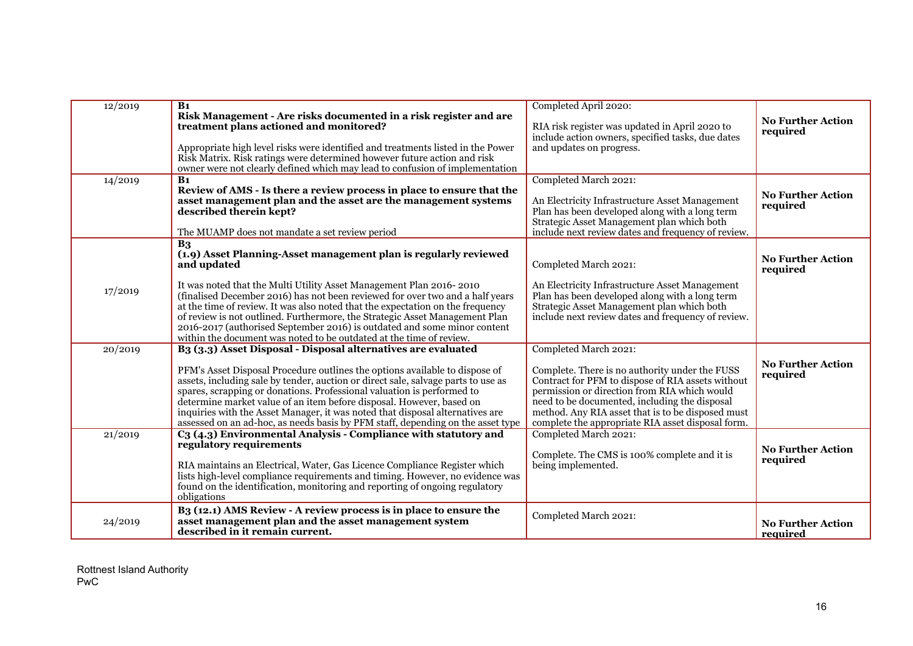| 12/2019 | B <sub>1</sub><br>Risk Management - Are risks documented in a risk register and are<br>treatment plans actioned and monitored?                                                                                                                                                                                                                                                                                                                                                                                                                                      | Completed April 2020:<br>RIA risk register was updated in April 2020 to<br>include action owners, specified tasks, due dates                                                                                                                                                                                                            | <b>No Further Action</b><br>required |
|---------|---------------------------------------------------------------------------------------------------------------------------------------------------------------------------------------------------------------------------------------------------------------------------------------------------------------------------------------------------------------------------------------------------------------------------------------------------------------------------------------------------------------------------------------------------------------------|-----------------------------------------------------------------------------------------------------------------------------------------------------------------------------------------------------------------------------------------------------------------------------------------------------------------------------------------|--------------------------------------|
|         | Appropriate high level risks were identified and treatments listed in the Power<br>Risk Matrix. Risk ratings were determined however future action and risk<br>owner were not clearly defined which may lead to confusion of implementation                                                                                                                                                                                                                                                                                                                         | and updates on progress.                                                                                                                                                                                                                                                                                                                |                                      |
| 14/2019 | B <sub>1</sub><br>Review of AMS - Is there a review process in place to ensure that the<br>asset management plan and the asset are the management systems<br>described therein kept?<br>The MUAMP does not mandate a set review period                                                                                                                                                                                                                                                                                                                              | Completed March 2021:<br>An Electricity Infrastructure Asset Management<br>Plan has been developed along with a long term<br>Strategic Asset Management plan which both<br>include next review dates and frequency of review.                                                                                                           | <b>No Further Action</b><br>required |
|         | B <sub>3</sub><br>(1.9) Asset Planning-Asset management plan is regularly reviewed<br>and updated                                                                                                                                                                                                                                                                                                                                                                                                                                                                   | Completed March 2021:                                                                                                                                                                                                                                                                                                                   | <b>No Further Action</b><br>required |
| 17/2019 | It was noted that the Multi Utility Asset Management Plan 2016-2010<br>(finalised December 2016) has not been reviewed for over two and a half years<br>at the time of review. It was also noted that the expectation on the frequency<br>of review is not outlined. Furthermore, the Strategic Asset Management Plan<br>2016-2017 (authorised September 2016) is outdated and some minor content<br>within the document was noted to be outdated at the time of review.                                                                                            | An Electricity Infrastructure Asset Management<br>Plan has been developed along with a long term<br>Strategic Asset Management plan which both<br>include next review dates and frequency of review.                                                                                                                                    |                                      |
| 20/2019 | B <sub>3</sub> (3.3) Asset Disposal - Disposal alternatives are evaluated<br>PFM's Asset Disposal Procedure outlines the options available to dispose of<br>assets, including sale by tender, auction or direct sale, salvage parts to use as<br>spares, scrapping or donations. Professional valuation is performed to<br>determine market value of an item before disposal. However, based on<br>inquiries with the Asset Manager, it was noted that disposal alternatives are<br>assessed on an ad-hoc, as needs basis by PFM staff, depending on the asset type | Completed March 2021:<br>Complete. There is no authority under the FUSS<br>Contract for PFM to dispose of RIA assets without<br>permission or direction from RIA which would<br>need to be documented, including the disposal<br>method. Any RIA asset that is to be disposed must<br>complete the appropriate RIA asset disposal form. | <b>No Further Action</b><br>required |
| 21/2019 | C <sub>3</sub> (4.3) Environmental Analysis - Compliance with statutory and<br>regulatory requirements<br>RIA maintains an Electrical, Water, Gas Licence Compliance Register which<br>lists high-level compliance requirements and timing. However, no evidence was<br>found on the identification, monitoring and reporting of ongoing regulatory<br>obligations                                                                                                                                                                                                  | Completed March 2021:<br>Complete. The CMS is 100% complete and it is<br>being implemented.                                                                                                                                                                                                                                             | <b>No Further Action</b><br>required |
| 24/2019 | B <sub>3</sub> (12.1) AMS Review - A review process is in place to ensure the<br>asset management plan and the asset management system<br>described in it remain current.                                                                                                                                                                                                                                                                                                                                                                                           | Completed March 2021:                                                                                                                                                                                                                                                                                                                   | <b>No Further Action</b><br>required |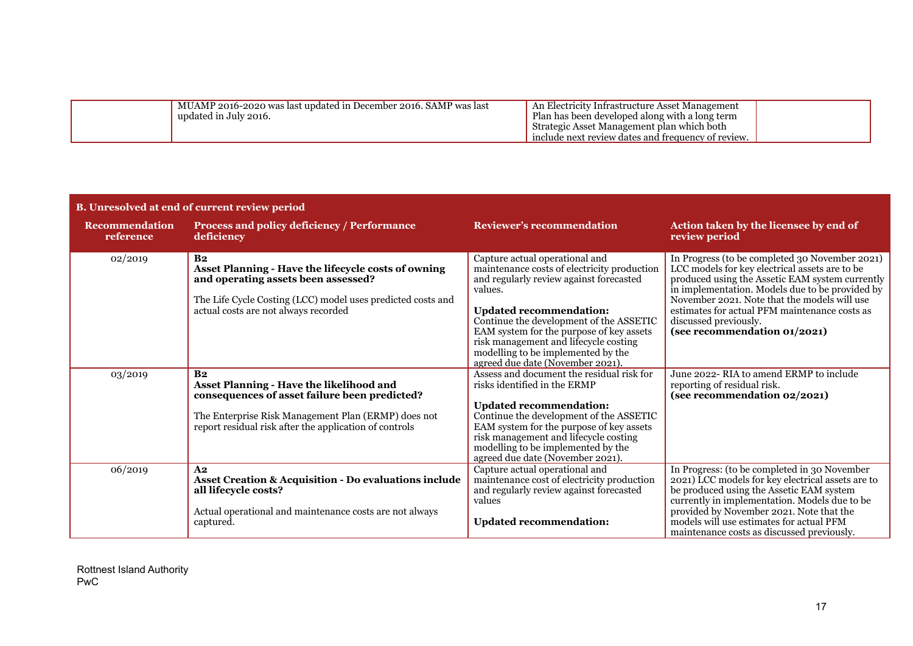| MUAMP 2016-2020 was last updated in December 2016. SAMP was last<br>updated in July 2016. | . An Electricity Infrastructure Asset Management<br>Plan has been developed along with a long term<br>Strategic Asset Management plan which both |  |
|-------------------------------------------------------------------------------------------|--------------------------------------------------------------------------------------------------------------------------------------------------|--|
|                                                                                           | include next review dates and frequency of review.                                                                                               |  |

| B. Unresolved at end of current review period |                                                                                                                                                                                                                                     |                                                                                                                                                                                                                                                                                                                                                                                 |                                                                                                                                                                                                                                                                                                                                                                  |  |  |  |
|-----------------------------------------------|-------------------------------------------------------------------------------------------------------------------------------------------------------------------------------------------------------------------------------------|---------------------------------------------------------------------------------------------------------------------------------------------------------------------------------------------------------------------------------------------------------------------------------------------------------------------------------------------------------------------------------|------------------------------------------------------------------------------------------------------------------------------------------------------------------------------------------------------------------------------------------------------------------------------------------------------------------------------------------------------------------|--|--|--|
| <b>Recommendation</b><br>reference            | <b>Process and policy deficiency / Performance</b><br>deficiency                                                                                                                                                                    | <b>Reviewer's recommendation</b>                                                                                                                                                                                                                                                                                                                                                | Action taken by the licensee by end of<br>review period                                                                                                                                                                                                                                                                                                          |  |  |  |
| 02/2019                                       | B <sub>2</sub><br>Asset Planning - Have the lifecycle costs of owning<br>and operating assets been assessed?<br>The Life Cycle Costing (LCC) model uses predicted costs and<br>actual costs are not always recorded                 | Capture actual operational and<br>maintenance costs of electricity production<br>and regularly review against forecasted<br>values.<br><b>Updated recommendation:</b><br>Continue the development of the ASSETIC<br>EAM system for the purpose of key assets<br>risk management and lifecycle costing<br>modelling to be implemented by the<br>agreed due date (November 2021). | In Progress (to be completed 30 November 2021)<br>LCC models for key electrical assets are to be<br>produced using the Assetic EAM system currently<br>in implementation. Models due to be provided by<br>November 2021. Note that the models will use<br>estimates for actual PFM maintenance costs as<br>discussed previously.<br>(see recommendation 01/2021) |  |  |  |
| 03/2019                                       | B <sub>2</sub><br><b>Asset Planning - Have the likelihood and</b><br>consequences of asset failure been predicted?<br>The Enterprise Risk Management Plan (ERMP) does not<br>report residual risk after the application of controls | Assess and document the residual risk for<br>risks identified in the ERMP<br><b>Updated recommendation:</b><br>Continue the development of the ASSETIC<br>EAM system for the purpose of key assets<br>risk management and lifecycle costing<br>modelling to be implemented by the<br>agreed due date (November 2021).                                                           | June 2022- RIA to amend ERMP to include<br>reporting of residual risk.<br>(see recommendation 02/2021)                                                                                                                                                                                                                                                           |  |  |  |
| 06/2019                                       | A <sub>2</sub><br><b>Asset Creation &amp; Acquisition - Do evaluations include</b><br>all lifecycle costs?<br>Actual operational and maintenance costs are not always<br>captured.                                                  | Capture actual operational and<br>maintenance cost of electricity production<br>and regularly review against forecasted<br>values<br><b>Updated recommendation:</b>                                                                                                                                                                                                             | In Progress: (to be completed in 30 November<br>2021) LCC models for key electrical assets are to<br>be produced using the Assetic EAM system<br>currently in implementation. Models due to be<br>provided by November 2021. Note that the<br>models will use estimates for actual PFM<br>maintenance costs as discussed previously.                             |  |  |  |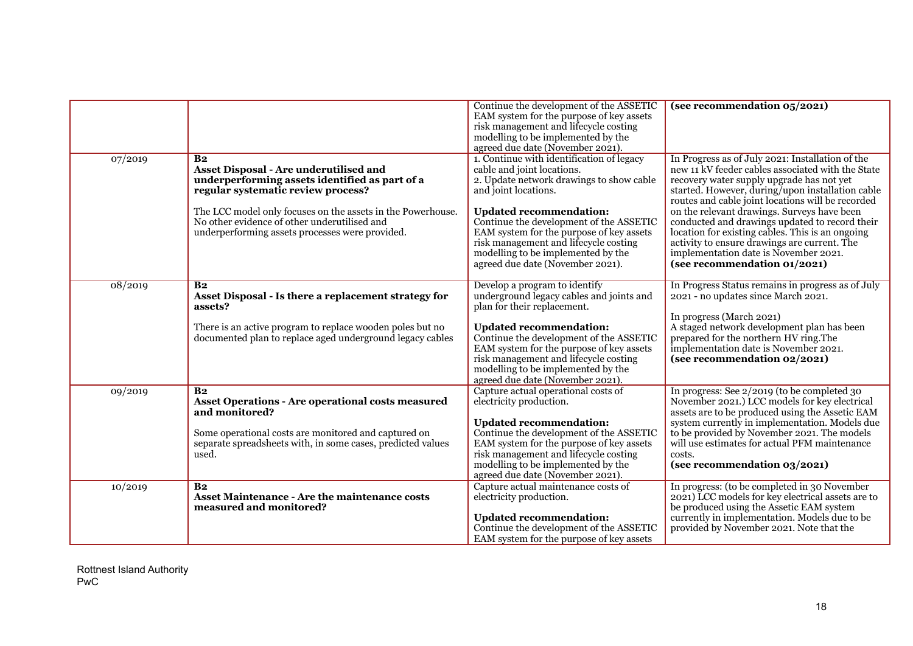|         |                                                                                                                                                                                                                                                                                                                    | Continue the development of the ASSETIC<br>EAM system for the purpose of key assets<br>risk management and lifecycle costing<br>modelling to be implemented by the<br>agreed due date (November 2021).                                                                                                                                                                                  | (see recommendation 05/2021)                                                                                                                                                                                                                                                                                                                                                                                                                                                                                                              |
|---------|--------------------------------------------------------------------------------------------------------------------------------------------------------------------------------------------------------------------------------------------------------------------------------------------------------------------|-----------------------------------------------------------------------------------------------------------------------------------------------------------------------------------------------------------------------------------------------------------------------------------------------------------------------------------------------------------------------------------------|-------------------------------------------------------------------------------------------------------------------------------------------------------------------------------------------------------------------------------------------------------------------------------------------------------------------------------------------------------------------------------------------------------------------------------------------------------------------------------------------------------------------------------------------|
| 07/2019 | B <sub>2</sub><br>Asset Disposal - Are underutilised and<br>underperforming assets identified as part of a<br>regular systematic review process?<br>The LCC model only focuses on the assets in the Powerhouse.<br>No other evidence of other underutilised and<br>underperforming assets processes were provided. | 1. Continue with identification of legacy<br>cable and joint locations.<br>2. Update network drawings to show cable<br>and joint locations.<br><b>Updated recommendation:</b><br>Continue the development of the ASSETIC<br>EAM system for the purpose of key assets<br>risk management and lifecycle costing<br>modelling to be implemented by the<br>agreed due date (November 2021). | In Progress as of July 2021: Installation of the<br>new 11 kV feeder cables associated with the State<br>recovery water supply upgrade has not yet<br>started. However, during/upon installation cable<br>routes and cable joint locations will be recorded<br>on the relevant drawings. Surveys have been<br>conducted and drawings updated to record their<br>location for existing cables. This is an ongoing<br>activity to ensure drawings are current. The<br>implementation date is November 2021.<br>(see recommendation 01/2021) |
| 08/2019 | B <sub>2</sub><br>Asset Disposal - Is there a replacement strategy for<br>assets?<br>There is an active program to replace wooden poles but no<br>documented plan to replace aged underground legacy cables                                                                                                        | Develop a program to identify<br>underground legacy cables and joints and<br>plan for their replacement.<br><b>Updated recommendation:</b><br>Continue the development of the ASSETIC<br>EAM system for the purpose of key assets<br>risk management and lifecycle costing<br>modelling to be implemented by the<br>agreed due date (November 2021).                                    | In Progress Status remains in progress as of July<br>2021 - no updates since March 2021.<br>In progress (March 2021)<br>A staged network development plan has been<br>prepared for the northern HV ring. The<br>implementation date is November 2021.<br>(see recommendation 02/2021)                                                                                                                                                                                                                                                     |
| 09/2019 | B <sub>2</sub><br><b>Asset Operations - Are operational costs measured</b><br>and monitored?<br>Some operational costs are monitored and captured on<br>separate spreadsheets with, in some cases, predicted values<br>used.                                                                                       | Capture actual operational costs of<br>electricity production.<br><b>Updated recommendation:</b><br>Continue the development of the ASSETIC<br>EAM system for the purpose of key assets<br>risk management and lifecycle costing<br>modelling to be implemented by the<br>agreed due date (November 2021).                                                                              | In progress: See 2/2019 (to be completed 30<br>November 2021.) LCC models for key electrical<br>assets are to be produced using the Assetic EAM<br>system currently in implementation. Models due<br>to be provided by November 2021. The models<br>will use estimates for actual PFM maintenance<br>costs.<br>(see recommendation 03/2021)                                                                                                                                                                                               |
| 10/2019 | B <sub>2</sub><br>Asset Maintenance - Are the maintenance costs<br>measured and monitored?                                                                                                                                                                                                                         | Capture actual maintenance costs of<br>electricity production.<br><b>Updated recommendation:</b><br>Continue the development of the ASSETIC<br>EAM system for the purpose of key assets                                                                                                                                                                                                 | In progress: (to be completed in 30 November<br>2021) LCC models for key electrical assets are to<br>be produced using the Assetic EAM system<br>currently in implementation. Models due to be<br>provided by November 2021. Note that the                                                                                                                                                                                                                                                                                                |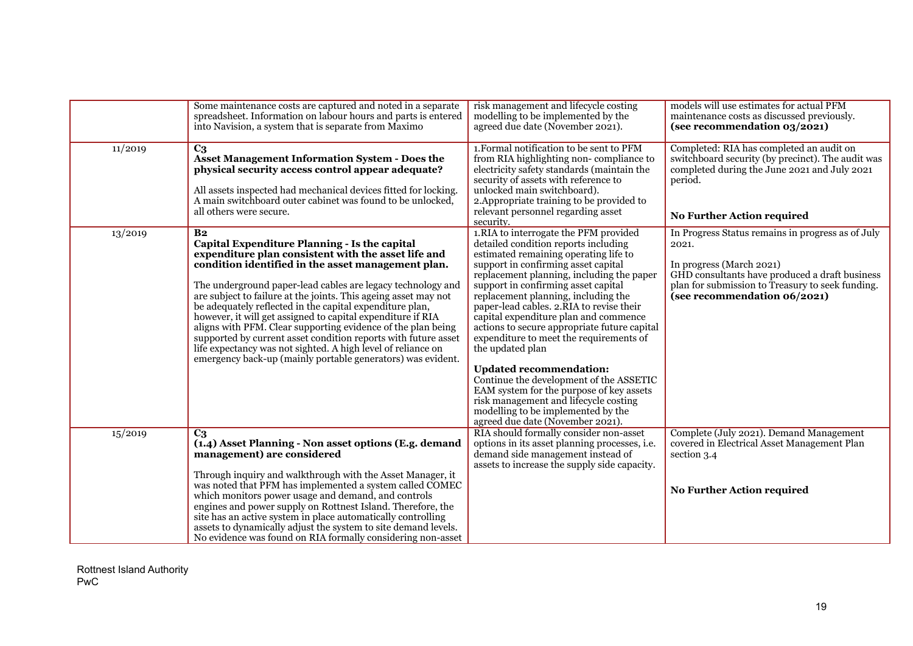|         | Some maintenance costs are captured and noted in a separate<br>spreadsheet. Information on labour hours and parts is entered<br>into Navision, a system that is separate from Maximo                                                                                                                                                                                                                                                                                                                                                                                                                                                                                                                       | risk management and lifecycle costing<br>modelling to be implemented by the<br>agreed due date (November 2021).                                                                                                                                                                                                                                                                                                                                                                                                                                                                                                                                                                                                                          | models will use estimates for actual PFM<br>maintenance costs as discussed previously.<br>(see recommendation 03/2021)                                                                                                       |
|---------|------------------------------------------------------------------------------------------------------------------------------------------------------------------------------------------------------------------------------------------------------------------------------------------------------------------------------------------------------------------------------------------------------------------------------------------------------------------------------------------------------------------------------------------------------------------------------------------------------------------------------------------------------------------------------------------------------------|------------------------------------------------------------------------------------------------------------------------------------------------------------------------------------------------------------------------------------------------------------------------------------------------------------------------------------------------------------------------------------------------------------------------------------------------------------------------------------------------------------------------------------------------------------------------------------------------------------------------------------------------------------------------------------------------------------------------------------------|------------------------------------------------------------------------------------------------------------------------------------------------------------------------------------------------------------------------------|
| 11/2019 | C <sub>3</sub><br><b>Asset Management Information System - Does the</b><br>physical security access control appear adequate?<br>All assets inspected had mechanical devices fitted for locking.<br>A main switchboard outer cabinet was found to be unlocked,<br>all others were secure.                                                                                                                                                                                                                                                                                                                                                                                                                   | 1. Formal notification to be sent to PFM<br>from RIA highlighting non-compliance to<br>electricity safety standards (maintain the<br>security of assets with reference to<br>unlocked main switchboard).<br>2. Appropriate training to be provided to<br>relevant personnel regarding asset<br>security.                                                                                                                                                                                                                                                                                                                                                                                                                                 | Completed: RIA has completed an audit on<br>switchboard security (by precinct). The audit was<br>completed during the June 2021 and July 2021<br>period.<br>No Further Action required                                       |
| 13/2019 | B <sub>2</sub><br>Capital Expenditure Planning - Is the capital<br>expenditure plan consistent with the asset life and<br>condition identified in the asset management plan.<br>The underground paper-lead cables are legacy technology and<br>are subject to failure at the joints. This ageing asset may not<br>be adequately reflected in the capital expenditure plan,<br>however, it will get assigned to capital expenditure if RIA<br>aligns with PFM. Clear supporting evidence of the plan being<br>supported by current asset condition reports with future asset<br>life expectancy was not sighted. A high level of reliance on<br>emergency back-up (mainly portable generators) was evident. | 1.RIA to interrogate the PFM provided<br>detailed condition reports including<br>estimated remaining operating life to<br>support in confirming asset capital<br>replacement planning, including the paper<br>support in confirming asset capital<br>replacement planning, including the<br>paper-lead cables. 2.RIA to revise their<br>capital expenditure plan and commence<br>actions to secure appropriate future capital<br>expenditure to meet the requirements of<br>the updated plan<br><b>Updated recommendation:</b><br>Continue the development of the ASSETIC<br>EAM system for the purpose of key assets<br>risk management and lifecycle costing<br>modelling to be implemented by the<br>agreed due date (November 2021). | In Progress Status remains in progress as of July<br>2021.<br>In progress (March 2021)<br>GHD consultants have produced a draft business<br>plan for submission to Treasury to seek funding.<br>(see recommendation 06/2021) |
| 15/2019 | C <sub>3</sub><br>(1.4) Asset Planning - Non asset options (E.g. demand<br>management) are considered<br>Through inquiry and walkthrough with the Asset Manager, it<br>was noted that PFM has implemented a system called COMEC<br>which monitors power usage and demand, and controls<br>engines and power supply on Rottnest Island. Therefore, the<br>site has an active system in place automatically controlling<br>assets to dynamically adjust the system to site demand levels.<br>No evidence was found on RIA formally considering non-asset                                                                                                                                                     | RIA should formally consider non-asset<br>options in its asset planning processes, i.e.<br>demand side management instead of<br>assets to increase the supply side capacity.                                                                                                                                                                                                                                                                                                                                                                                                                                                                                                                                                             | Complete (July 2021). Demand Management<br>covered in Electrical Asset Management Plan<br>section 3.4<br><b>No Further Action required</b>                                                                                   |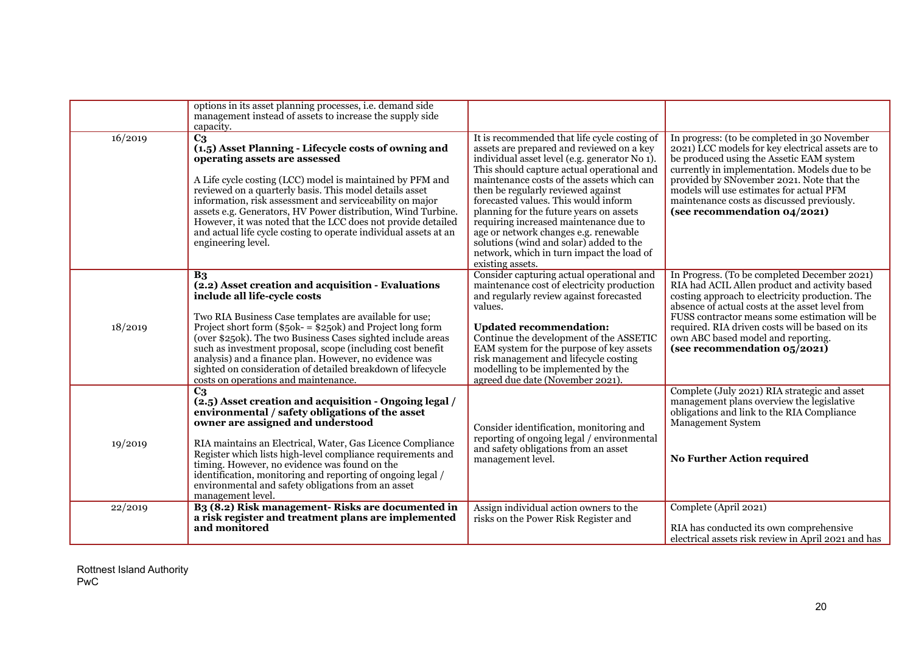|         | options in its asset planning processes, i.e. demand side<br>management instead of assets to increase the supply side<br>capacity.                                                                                                                                                                                                                                                                                                                                                                                          |                                                                                                                                                                                                                                                                                                                                                                                                                                                                                                                                                               |                                                                                                                                                                                                                                                                                                                                                                               |
|---------|-----------------------------------------------------------------------------------------------------------------------------------------------------------------------------------------------------------------------------------------------------------------------------------------------------------------------------------------------------------------------------------------------------------------------------------------------------------------------------------------------------------------------------|---------------------------------------------------------------------------------------------------------------------------------------------------------------------------------------------------------------------------------------------------------------------------------------------------------------------------------------------------------------------------------------------------------------------------------------------------------------------------------------------------------------------------------------------------------------|-------------------------------------------------------------------------------------------------------------------------------------------------------------------------------------------------------------------------------------------------------------------------------------------------------------------------------------------------------------------------------|
| 16/2019 | C <sub>3</sub><br>(1.5) Asset Planning - Lifecycle costs of owning and<br>operating assets are assessed<br>A Life cycle costing (LCC) model is maintained by PFM and<br>reviewed on a quarterly basis. This model details asset<br>information, risk assessment and serviceability on major<br>assets e.g. Generators, HV Power distribution, Wind Turbine.<br>However, it was noted that the LCC does not provide detailed<br>and actual life cycle costing to operate individual assets at an<br>engineering level.       | It is recommended that life cycle costing of<br>assets are prepared and reviewed on a key<br>individual asset level (e.g. generator No 1).<br>This should capture actual operational and<br>maintenance costs of the assets which can<br>then be regularly reviewed against<br>forecasted values. This would inform<br>planning for the future years on assets<br>requiring increased maintenance due to<br>age or network changes e.g. renewable<br>solutions (wind and solar) added to the<br>network, which in turn impact the load of<br>existing assets. | In progress: (to be completed in 30 November<br>2021) LCC models for key electrical assets are to<br>be produced using the Assetic EAM system<br>currently in implementation. Models due to be<br>provided by SNovember 2021. Note that the<br>models will use estimates for actual PFM<br>maintenance costs as discussed previously.<br>(see recommendation 04/2021)         |
| 18/2019 | B <sub>3</sub><br>(2.2) Asset creation and acquisition - Evaluations<br>include all life-cycle costs<br>Two RIA Business Case templates are available for use;<br>Project short form $(\$50k - \$250k)$ and Project long form<br>(over \$250k). The two Business Cases sighted include areas<br>such as investment proposal, scope (including cost benefit<br>analysis) and a finance plan. However, no evidence was<br>sighted on consideration of detailed breakdown of lifecycle<br>costs on operations and maintenance. | Consider capturing actual operational and<br>maintenance cost of electricity production<br>and regularly review against forecasted<br>values.<br><b>Updated recommendation:</b><br>Continue the development of the ASSETIC<br>EAM system for the purpose of key assets<br>risk management and lifecycle costing<br>modelling to be implemented by the<br>agreed due date (November 2021).                                                                                                                                                                     | In Progress. (To be completed December 2021)<br>RIA had ACIL Allen product and activity based<br>costing approach to electricity production. The<br>absence of actual costs at the asset level from<br>FUSS contractor means some estimation will be<br>required. RIA driven costs will be based on its<br>own ABC based model and reporting.<br>(see recommendation 05/2021) |
| 19/2019 | C <sub>3</sub><br>(2.5) Asset creation and acquisition - Ongoing legal /<br>environmental / safety obligations of the asset<br>owner are assigned and understood<br>RIA maintains an Electrical, Water, Gas Licence Compliance<br>Register which lists high-level compliance requirements and<br>timing. However, no evidence was found on the<br>identification, monitoring and reporting of ongoing legal /<br>environmental and safety obligations from an asset<br>management level.                                    | Consider identification, monitoring and<br>reporting of ongoing legal / environmental<br>and safety obligations from an asset<br>management level.                                                                                                                                                                                                                                                                                                                                                                                                            | Complete (July 2021) RIA strategic and asset<br>management plans overview the legislative<br>obligations and link to the RIA Compliance<br><b>Management System</b><br><b>No Further Action required</b>                                                                                                                                                                      |
| 22/2019 | B <sub>3</sub> (8.2) Risk management-Risks are documented in<br>a risk register and treatment plans are implemented<br>and monitored                                                                                                                                                                                                                                                                                                                                                                                        | Assign individual action owners to the<br>risks on the Power Risk Register and                                                                                                                                                                                                                                                                                                                                                                                                                                                                                | Complete (April 2021)<br>RIA has conducted its own comprehensive<br>electrical assets risk review in April 2021 and has                                                                                                                                                                                                                                                       |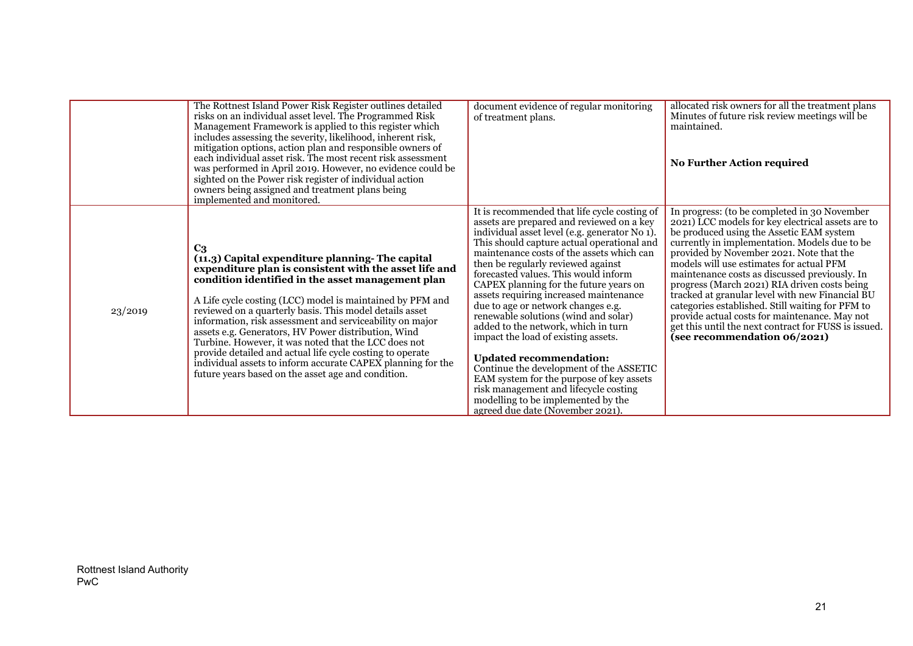|         | The Rottnest Island Power Risk Register outlines detailed<br>risks on an individual asset level. The Programmed Risk<br>Management Framework is applied to this register which<br>includes assessing the severity, likelihood, inherent risk,<br>mitigation options, action plan and responsible owners of<br>each individual asset risk. The most recent risk assessment<br>was performed in April 2019. However, no evidence could be<br>sighted on the Power risk register of individual action<br>owners being assigned and treatment plans being<br>implemented and monitored.                                                                                   | document evidence of regular monitoring<br>of treatment plans.                                                                                                                                                                                                                                                                                                                                                                                                                                                                                                                                                                                                                                                                                                                                                  | allocated risk owners for all the treatment plans<br>Minutes of future risk review meetings will be<br>maintained.<br><b>No Further Action required</b>                                                                                                                                                                                                                                                                                                                                                                                                                                                                                 |
|---------|-----------------------------------------------------------------------------------------------------------------------------------------------------------------------------------------------------------------------------------------------------------------------------------------------------------------------------------------------------------------------------------------------------------------------------------------------------------------------------------------------------------------------------------------------------------------------------------------------------------------------------------------------------------------------|-----------------------------------------------------------------------------------------------------------------------------------------------------------------------------------------------------------------------------------------------------------------------------------------------------------------------------------------------------------------------------------------------------------------------------------------------------------------------------------------------------------------------------------------------------------------------------------------------------------------------------------------------------------------------------------------------------------------------------------------------------------------------------------------------------------------|-----------------------------------------------------------------------------------------------------------------------------------------------------------------------------------------------------------------------------------------------------------------------------------------------------------------------------------------------------------------------------------------------------------------------------------------------------------------------------------------------------------------------------------------------------------------------------------------------------------------------------------------|
| 23/2019 | C <sub>3</sub><br>(11.3) Capital expenditure planning-The capital<br>expenditure plan is consistent with the asset life and<br>condition identified in the asset management plan<br>A Life cycle costing (LCC) model is maintained by PFM and<br>reviewed on a quarterly basis. This model details asset<br>information, risk assessment and serviceability on major<br>assets e.g. Generators, HV Power distribution, Wind<br>Turbine. However, it was noted that the LCC does not<br>provide detailed and actual life cycle costing to operate<br>individual assets to inform accurate CAPEX planning for the<br>future years based on the asset age and condition. | It is recommended that life cycle costing of<br>assets are prepared and reviewed on a key<br>individual asset level (e.g. generator No 1).<br>This should capture actual operational and<br>maintenance costs of the assets which can<br>then be regularly reviewed against<br>forecasted values. This would inform<br>CAPEX planning for the future years on<br>assets requiring increased maintenance<br>due to age or network changes e.g.<br>renewable solutions (wind and solar)<br>added to the network, which in turn<br>impact the load of existing assets.<br><b>Updated recommendation:</b><br>Continue the development of the ASSETIC<br>EAM system for the purpose of key assets<br>risk management and lifecycle costing<br>modelling to be implemented by the<br>agreed due date (November 2021). | In progress: (to be completed in 30 November<br>2021) LCC models for key electrical assets are to<br>be produced using the Assetic EAM system<br>currently in implementation. Models due to be<br>provided by November 2021. Note that the<br>models will use estimates for actual PFM<br>maintenance costs as discussed previously. In<br>progress (March 2021) RIA driven costs being<br>tracked at granular level with new Financial BU<br>categories established. Still waiting for PFM to<br>provide actual costs for maintenance. May not<br>get this until the next contract for FUSS is issued.<br>(see recommendation 06/2021) |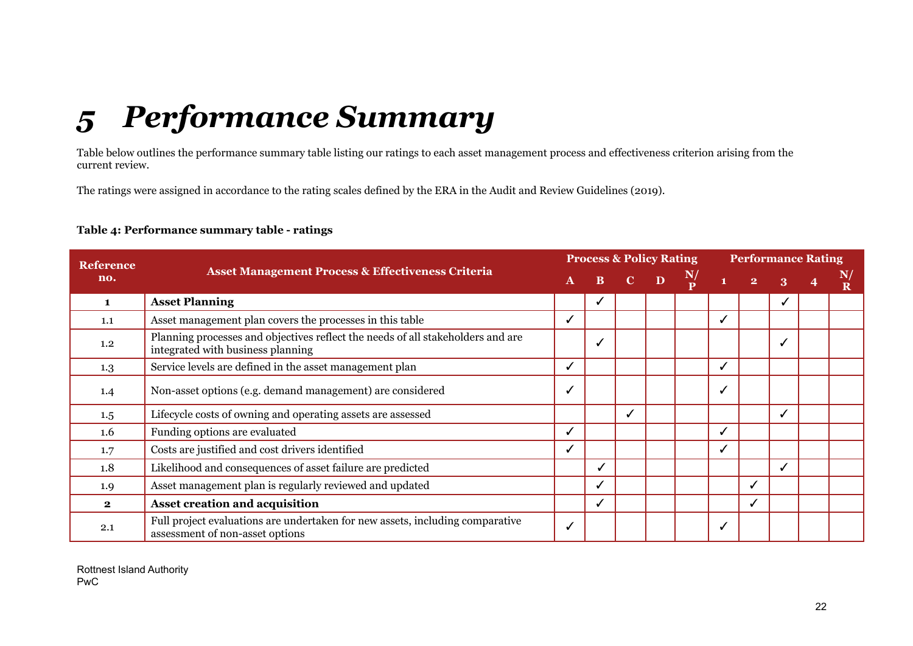# *5 Performance Summary*

Table below outlines the performance summary table listing our ratings to each asset management process and effectiveness criterion arising from the current review.

The ratings were assigned in accordance to the rating scales defined by the ERA in the Audit and Review Guidelines (2019).

#### **Table 4: Performance summary table - ratings**

<span id="page-21-0"></span>

| <b>Reference</b> |                                                                                                                      |              |  |                           | <b>Process &amp; Policy Rating</b> |               | <b>Performance Rating</b> |              |   |   |                 |
|------------------|----------------------------------------------------------------------------------------------------------------------|--------------|--|---------------------------|------------------------------------|---------------|---------------------------|--------------|---|---|-----------------|
| no.              | <b>Asset Management Process &amp; Effectiveness Criteria</b>                                                         | $\mathbf{A}$ |  | $\mathbf{B}$ $\mathbf{C}$ | $\mathbf{D}$                       | $\frac{N}{D}$ | $\mathbf{1}$              | $\mathbf{2}$ | 3 | 4 | $\mathbf N_{I}$ |
| 1                | <b>Asset Planning</b>                                                                                                |              |  |                           |                                    |               |                           |              |   |   |                 |
| 1.1              | Asset management plan covers the processes in this table                                                             |              |  |                           |                                    |               |                           |              |   |   |                 |
| 1.2              | Planning processes and objectives reflect the needs of all stakeholders and are<br>integrated with business planning |              |  |                           |                                    |               |                           |              |   |   |                 |
| 1.3              | Service levels are defined in the asset management plan                                                              |              |  |                           |                                    |               |                           |              |   |   |                 |
| 1.4              | Non-asset options (e.g. demand management) are considered                                                            |              |  |                           |                                    |               |                           |              |   |   |                 |
| 1.5              | Lifecycle costs of owning and operating assets are assessed                                                          |              |  |                           |                                    |               |                           |              |   |   |                 |
| 1.6              | Funding options are evaluated                                                                                        |              |  |                           |                                    |               |                           |              |   |   |                 |
| 1.7              | Costs are justified and cost drivers identified                                                                      |              |  |                           |                                    |               |                           |              |   |   |                 |
| 1.8              | Likelihood and consequences of asset failure are predicted                                                           |              |  |                           |                                    |               |                           |              |   |   |                 |
| 1.9              | Asset management plan is regularly reviewed and updated                                                              |              |  |                           |                                    |               |                           |              |   |   |                 |
| $\mathbf{2}$     | Asset creation and acquisition                                                                                       |              |  |                           |                                    |               |                           |              |   |   |                 |
| 2.1              | Full project evaluations are undertaken for new assets, including comparative<br>assessment of non-asset options     |              |  |                           |                                    |               |                           |              |   |   |                 |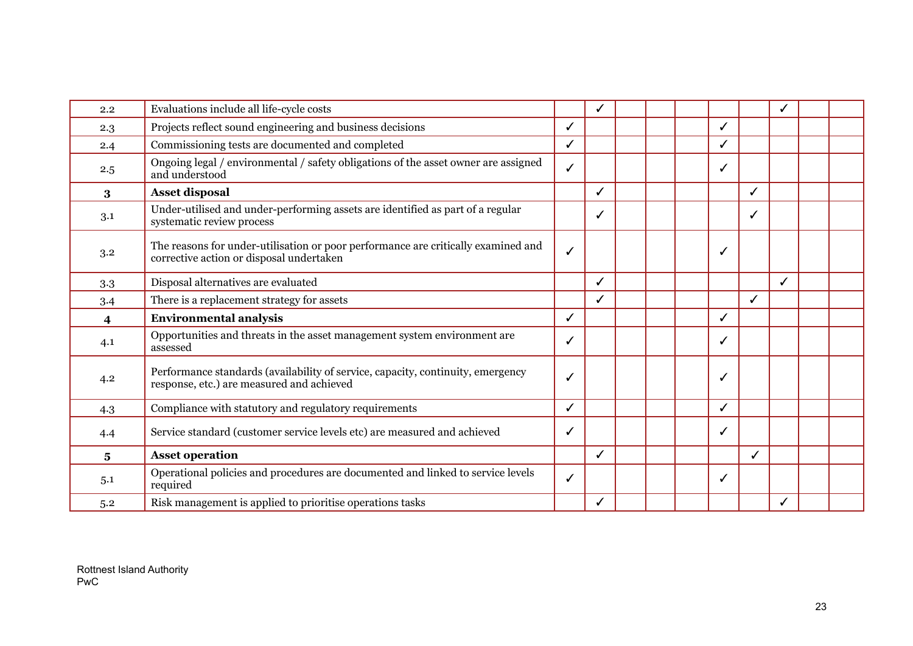| 2.2 | Evaluations include all life-cycle costs                                                                                      |   | ✓            |  |              |   |   |  |
|-----|-------------------------------------------------------------------------------------------------------------------------------|---|--------------|--|--------------|---|---|--|
| 2.3 | Projects reflect sound engineering and business decisions                                                                     | ✓ |              |  | ✓            |   |   |  |
| 2.4 | Commissioning tests are documented and completed                                                                              | ✓ |              |  | ℐ            |   |   |  |
| 2.5 | Ongoing legal / environmental / safety obligations of the asset owner are assigned<br>and understood                          | ✓ |              |  | $\checkmark$ |   |   |  |
| 3   | <b>Asset disposal</b>                                                                                                         |   | ✓            |  |              | ✓ |   |  |
| 3.1 | Under-utilised and under-performing assets are identified as part of a regular<br>systematic review process                   |   | ✓            |  |              | ✓ |   |  |
| 3.2 | The reasons for under-utilisation or poor performance are critically examined and<br>corrective action or disposal undertaken | ✓ |              |  |              |   |   |  |
| 3.3 | Disposal alternatives are evaluated                                                                                           |   | ✓            |  |              |   | ✓ |  |
| 3.4 | There is a replacement strategy for assets                                                                                    |   | $\checkmark$ |  |              | ✓ |   |  |
| 4   | <b>Environmental analysis</b>                                                                                                 | ✓ |              |  |              |   |   |  |
| 4.1 | Opportunities and threats in the asset management system environment are<br>assessed                                          | ✓ |              |  | ✓            |   |   |  |
| 4.2 | Performance standards (availability of service, capacity, continuity, emergency<br>response, etc.) are measured and achieved  | ✓ |              |  |              |   |   |  |
| 4.3 | Compliance with statutory and regulatory requirements                                                                         | ✓ |              |  | ✓            |   |   |  |
| 4.4 | Service standard (customer service levels etc) are measured and achieved                                                      | ✓ |              |  | ✓            |   |   |  |
| 5   | <b>Asset operation</b>                                                                                                        |   | $\checkmark$ |  |              | ✓ |   |  |
| 5.1 | Operational policies and procedures are documented and linked to service levels<br>required                                   | ✓ |              |  |              |   |   |  |
| 5.2 | Risk management is applied to prioritise operations tasks                                                                     |   | ✓            |  |              |   | J |  |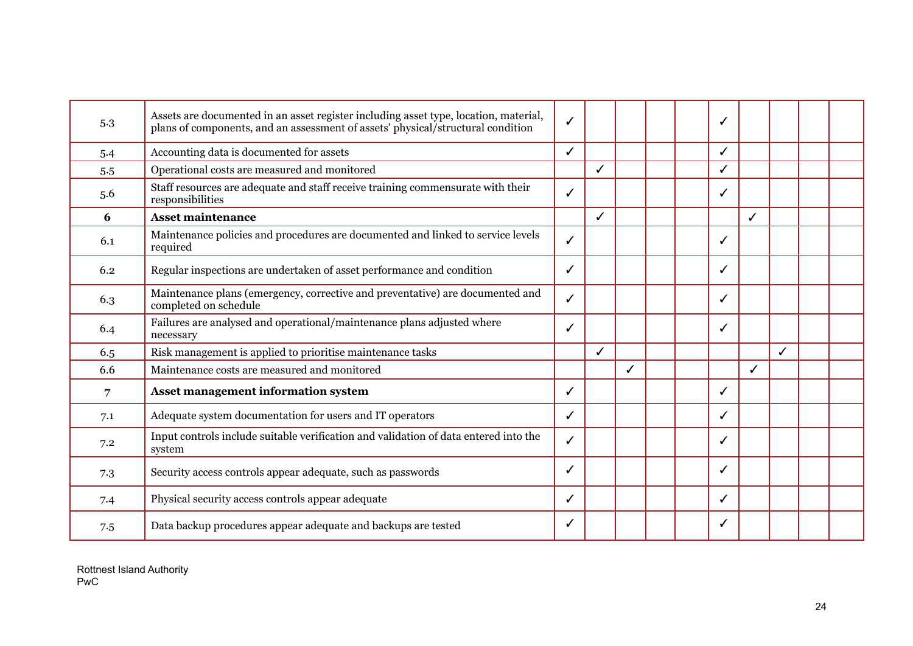| 5.3 | Assets are documented in an asset register including asset type, location, material,<br>plans of components, and an assessment of assets' physical/structural condition | ✓ |   |  |   |              |   |  |
|-----|-------------------------------------------------------------------------------------------------------------------------------------------------------------------------|---|---|--|---|--------------|---|--|
| 5.4 | Accounting data is documented for assets                                                                                                                                | ✓ |   |  | ✓ |              |   |  |
| 5.5 | Operational costs are measured and monitored                                                                                                                            |   | ✓ |  |   |              |   |  |
| 5.6 | Staff resources are adequate and staff receive training commensurate with their<br>responsibilities                                                                     | ✓ |   |  | ✓ |              |   |  |
| 6   | <b>Asset maintenance</b>                                                                                                                                                |   | ✓ |  |   | $\checkmark$ |   |  |
| 6.1 | Maintenance policies and procedures are documented and linked to service levels<br>required                                                                             | ✓ |   |  | ✓ |              |   |  |
| 6.2 | Regular inspections are undertaken of asset performance and condition                                                                                                   | ✓ |   |  | ✓ |              |   |  |
| 6.3 | Maintenance plans (emergency, corrective and preventative) are documented and<br>completed on schedule                                                                  | ✓ |   |  | ✓ |              |   |  |
| 6.4 | Failures are analysed and operational/maintenance plans adjusted where<br>necessary                                                                                     | ℐ |   |  | √ |              |   |  |
| 6.5 | Risk management is applied to prioritise maintenance tasks                                                                                                              |   | ✓ |  |   |              | ✓ |  |
| 6.6 | Maintenance costs are measured and monitored                                                                                                                            |   |   |  |   | ✓            |   |  |
| 7   | Asset management information system                                                                                                                                     | ✓ |   |  | ℐ |              |   |  |
| 7.1 | Adequate system documentation for users and IT operators                                                                                                                | ✓ |   |  | ✓ |              |   |  |
| 7.2 | Input controls include suitable verification and validation of data entered into the<br>system                                                                          | ✓ |   |  | ✓ |              |   |  |
| 7.3 | Security access controls appear adequate, such as passwords                                                                                                             | J |   |  | J |              |   |  |
| 7.4 | Physical security access controls appear adequate                                                                                                                       | ✓ |   |  | ✓ |              |   |  |
| 7.5 | Data backup procedures appear adequate and backups are tested                                                                                                           | ✓ |   |  | √ |              |   |  |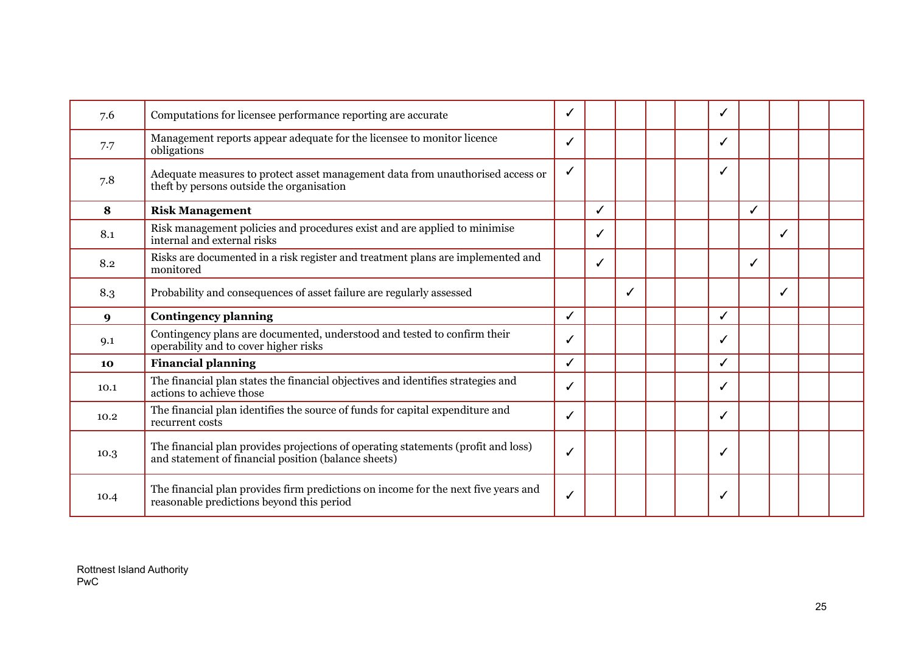| 7.6  | Computations for licensee performance reporting are accurate                                                                              |   |   |  |   |   |  |  |
|------|-------------------------------------------------------------------------------------------------------------------------------------------|---|---|--|---|---|--|--|
| 7.7  | Management reports appear adequate for the licensee to monitor licence<br>obligations                                                     | ✓ |   |  | ✓ |   |  |  |
| 7.8  | Adequate measures to protect asset management data from unauthorised access or<br>theft by persons outside the organisation               |   |   |  |   |   |  |  |
| 8    | <b>Risk Management</b>                                                                                                                    |   | ✓ |  |   | ✓ |  |  |
| 8.1  | Risk management policies and procedures exist and are applied to minimise<br>internal and external risks                                  |   | ✓ |  |   |   |  |  |
| 8.2  | Risks are documented in a risk register and treatment plans are implemented and<br>monitored                                              |   | ✓ |  |   | ✓ |  |  |
| 8.3  | Probability and consequences of asset failure are regularly assessed                                                                      |   |   |  |   |   |  |  |
|      |                                                                                                                                           |   |   |  |   |   |  |  |
| 9    | <b>Contingency planning</b>                                                                                                               | ✓ |   |  | ✓ |   |  |  |
| 9.1  | Contingency plans are documented, understood and tested to confirm their<br>operability and to cover higher risks                         |   |   |  |   |   |  |  |
| 10   | <b>Financial planning</b>                                                                                                                 | ✓ |   |  | ℐ |   |  |  |
| 10.1 | The financial plan states the financial objectives and identifies strategies and<br>actions to achieve those                              | ✓ |   |  | ✓ |   |  |  |
| 10.2 | The financial plan identifies the source of funds for capital expenditure and<br>recurrent costs                                          |   |   |  | ℐ |   |  |  |
| 10.3 | The financial plan provides projections of operating statements (profit and loss)<br>and statement of financial position (balance sheets) | ✓ |   |  |   |   |  |  |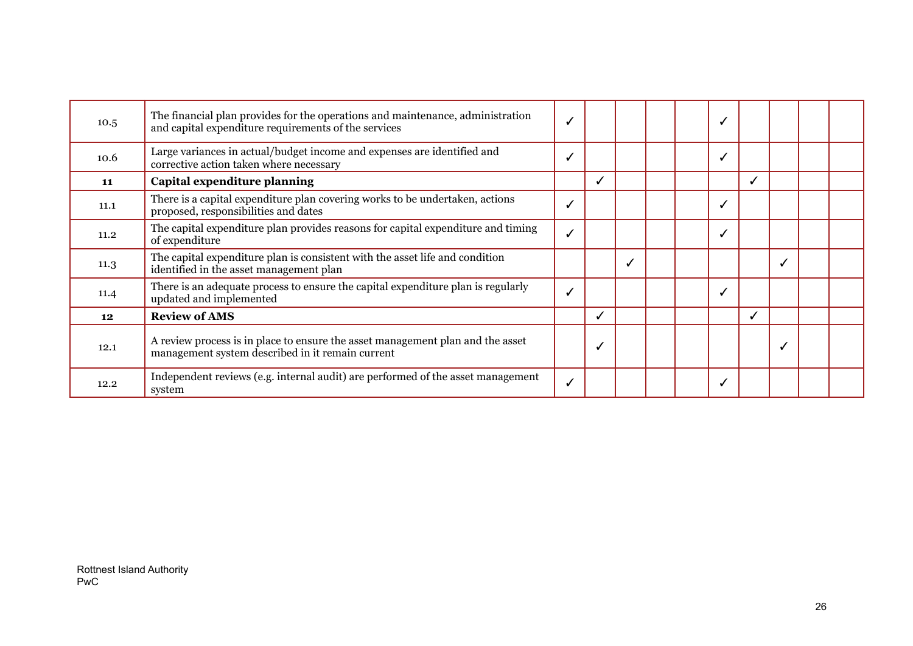| 10.5 | The financial plan provides for the operations and maintenance, administration<br>and capital expenditure requirements of the services |   |  |  |   |  |  |
|------|----------------------------------------------------------------------------------------------------------------------------------------|---|--|--|---|--|--|
| 10.6 | Large variances in actual/budget income and expenses are identified and<br>corrective action taken where necessary                     |   |  |  |   |  |  |
| 11   | Capital expenditure planning                                                                                                           | ✓ |  |  | ✓ |  |  |
| 11.1 | There is a capital expenditure plan covering works to be undertaken, actions<br>proposed, responsibilities and dates                   |   |  |  |   |  |  |
| 11.2 | The capital expenditure plan provides reasons for capital expenditure and timing<br>of expenditure                                     |   |  |  |   |  |  |
| 11.3 | The capital expenditure plan is consistent with the asset life and condition<br>identified in the asset management plan                |   |  |  |   |  |  |
| 11.4 | There is an adequate process to ensure the capital expenditure plan is regularly<br>updated and implemented                            |   |  |  |   |  |  |
| 12   | <b>Review of AMS</b>                                                                                                                   | ✓ |  |  | ✔ |  |  |
| 12.1 | A review process is in place to ensure the asset management plan and the asset<br>management system described in it remain current     |   |  |  |   |  |  |
| 12.2 | Independent reviews (e.g. internal audit) are performed of the asset management<br>system                                              |   |  |  |   |  |  |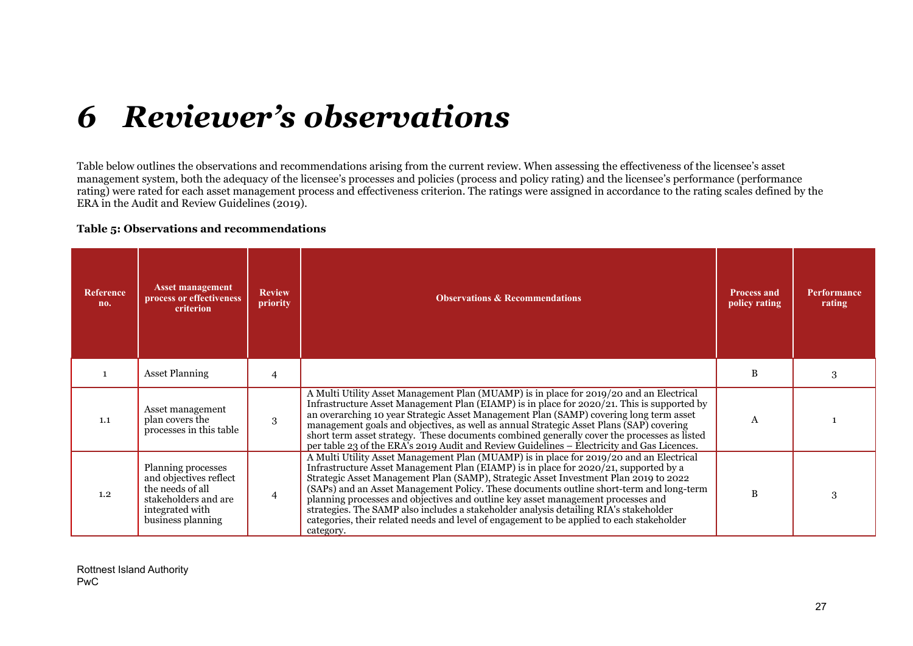# *6 Reviewer's observations*

Table below outlines the observations and recommendations arising from the current review. When assessing the effectiveness of the licensee's asset management system, both the adequacy of the licensee's processes and policies (process and policy rating) and the licensee's performance (performance rating) were rated for each asset management process and effectiveness criterion. The ratings were assigned in accordance to the rating scales defined by the ERA in the Audit and Review Guidelines (2019).

#### **Table 5: Observations and recommendations**

<span id="page-26-0"></span>

| <b>Reference</b><br>no. | <b>Asset management</b><br>process or effectiveness<br>criterion                                                                 | <b>Review</b><br>priority | <b>Observations &amp; Recommendations</b>                                                                                                                                                                                                                                                                                                                                                                                                                                                                                                                                                                                                                 | <b>Process and</b><br>policy rating | <b>Performance</b><br>rating |
|-------------------------|----------------------------------------------------------------------------------------------------------------------------------|---------------------------|-----------------------------------------------------------------------------------------------------------------------------------------------------------------------------------------------------------------------------------------------------------------------------------------------------------------------------------------------------------------------------------------------------------------------------------------------------------------------------------------------------------------------------------------------------------------------------------------------------------------------------------------------------------|-------------------------------------|------------------------------|
|                         | <b>Asset Planning</b>                                                                                                            | 4                         |                                                                                                                                                                                                                                                                                                                                                                                                                                                                                                                                                                                                                                                           | B                                   | 3                            |
| 1.1                     | Asset management<br>plan covers the<br>processes in this table                                                                   | 3                         | A Multi Utility Asset Management Plan (MUAMP) is in place for 2019/20 and an Electrical<br>Infrastructure Asset Management Plan (EIAMP) is in place for 2020/21. This is supported by<br>an overarching 10 year Strategic Asset Management Plan (SAMP) covering long term asset<br>management goals and objectives, as well as annual Strategic Asset Plans (SAP) covering<br>short term asset strategy. These documents combined generally cover the processes as listed<br>per table 23 of the ERA's 2019 Audit and Review Guidelines - Electricity and Gas Licences.                                                                                   | A                                   |                              |
| 1.2                     | Planning processes<br>and objectives reflect<br>the needs of all<br>stakeholders and are<br>integrated with<br>business planning | $\overline{4}$            | A Multi Utility Asset Management Plan (MUAMP) is in place for 2019/20 and an Electrical<br>Infrastructure Asset Management Plan (EIAMP) is in place for 2020/21, supported by a<br>Strategic Asset Management Plan (SAMP), Strategic Asset Investment Plan 2019 to 2022<br>(SAPs) and an Asset Management Policy. These documents outline short-term and long-term<br>planning processes and objectives and outline key asset management processes and<br>strategies. The SAMP also includes a stakeholder analysis detailing RIA's stakeholder<br>categories, their related needs and level of engagement to be applied to each stakeholder<br>category. | B                                   | 3                            |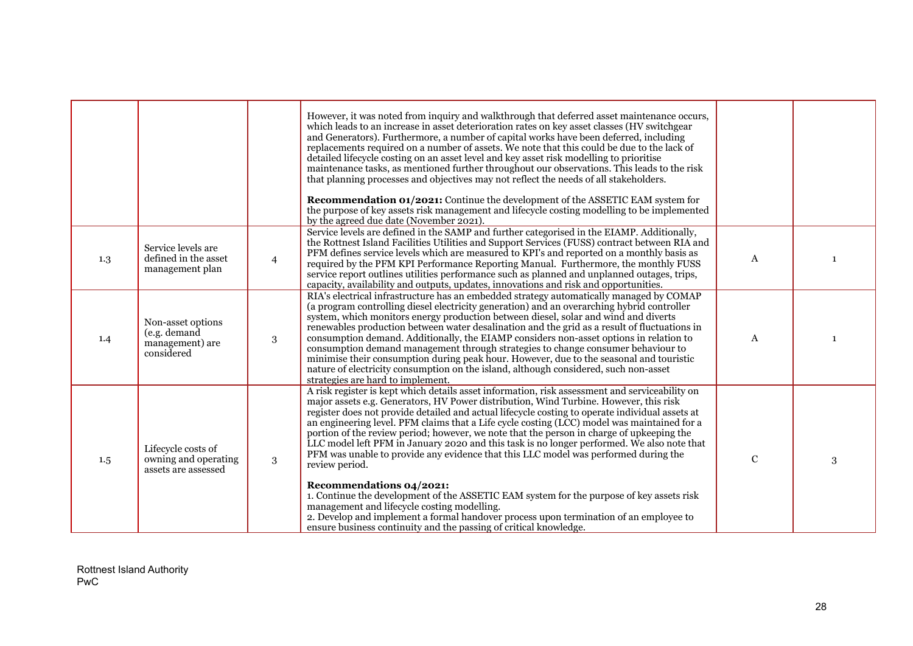|     |                                                                    |                | However, it was noted from inquiry and walkthrough that deferred asset maintenance occurs,<br>which leads to an increase in asset deterioration rates on key asset classes (HV switchgear<br>and Generators). Furthermore, a number of capital works have been deferred, including<br>replacements required on a number of assets. We note that this could be due to the lack of<br>detailed lifecycle costing on an asset level and key asset risk modelling to prioritise<br>maintenance tasks, as mentioned further throughout our observations. This leads to the risk<br>that planning processes and objectives may not reflect the needs of all stakeholders.<br><b>Recommendation 01/2021:</b> Continue the development of the ASSETIC EAM system for<br>the purpose of key assets risk management and lifecycle costing modelling to be implemented<br>by the agreed due date (November 2021).                                                                                                                             |                  |              |
|-----|--------------------------------------------------------------------|----------------|------------------------------------------------------------------------------------------------------------------------------------------------------------------------------------------------------------------------------------------------------------------------------------------------------------------------------------------------------------------------------------------------------------------------------------------------------------------------------------------------------------------------------------------------------------------------------------------------------------------------------------------------------------------------------------------------------------------------------------------------------------------------------------------------------------------------------------------------------------------------------------------------------------------------------------------------------------------------------------------------------------------------------------|------------------|--------------|
| 1.3 | Service levels are<br>defined in the asset<br>management plan      | $\overline{4}$ | Service levels are defined in the SAMP and further categorised in the EIAMP. Additionally,<br>the Rottnest Island Facilities Utilities and Support Services (FUSS) contract between RIA and<br>PFM defines service levels which are measured to KPI's and reported on a monthly basis as<br>required by the PFM KPI Performance Reporting Manual. Furthermore, the monthly FUSS<br>service report outlines utilities performance such as planned and unplanned outages, trips,<br>capacity, availability and outputs, updates, innovations and risk and opportunities.                                                                                                                                                                                                                                                                                                                                                                                                                                                             | A                |              |
| 1.4 | Non-asset options<br>(e.g. demand<br>management) are<br>considered | 3              | RIA's electrical infrastructure has an embedded strategy automatically managed by COMAP<br>(a program controlling diesel electricity generation) and an overarching hybrid controller<br>system, which monitors energy production between diesel, solar and wind and diverts<br>renewables production between water desalination and the grid as a result of fluctuations in<br>consumption demand. Additionally, the EIAMP considers non-asset options in relation to<br>consumption demand management through strategies to change consumer behaviour to<br>minimise their consumption during peak hour. However, due to the seasonal and touristic<br>nature of electricity consumption on the island, although considered, such non-asset<br>strategies are hard to implement.                                                                                                                                                                                                                                                 | $\boldsymbol{A}$ | $\mathbf{1}$ |
| 1.5 | Lifecycle costs of<br>owning and operating<br>assets are assessed  | 3              | A risk register is kept which details asset information, risk assessment and serviceability on<br>major assets e.g. Generators, HV Power distribution, Wind Turbine. However, this risk<br>register does not provide detailed and actual lifecycle costing to operate individual assets at<br>an engineering level. PFM claims that a Life cycle costing (LCC) model was maintained for a<br>portion of the review period; however, we note that the person in charge of upkeeping the<br>LLC model left PFM in January 2020 and this task is no longer performed. We also note that<br>PFM was unable to provide any evidence that this LLC model was performed during the<br>review period.<br>Recommendations 04/2021:<br>1. Continue the development of the ASSETIC EAM system for the purpose of key assets risk<br>management and lifecycle costing modelling.<br>2. Develop and implement a formal handover process upon termination of an employee to<br>ensure business continuity and the passing of critical knowledge. | ${\bf C}$        | 3            |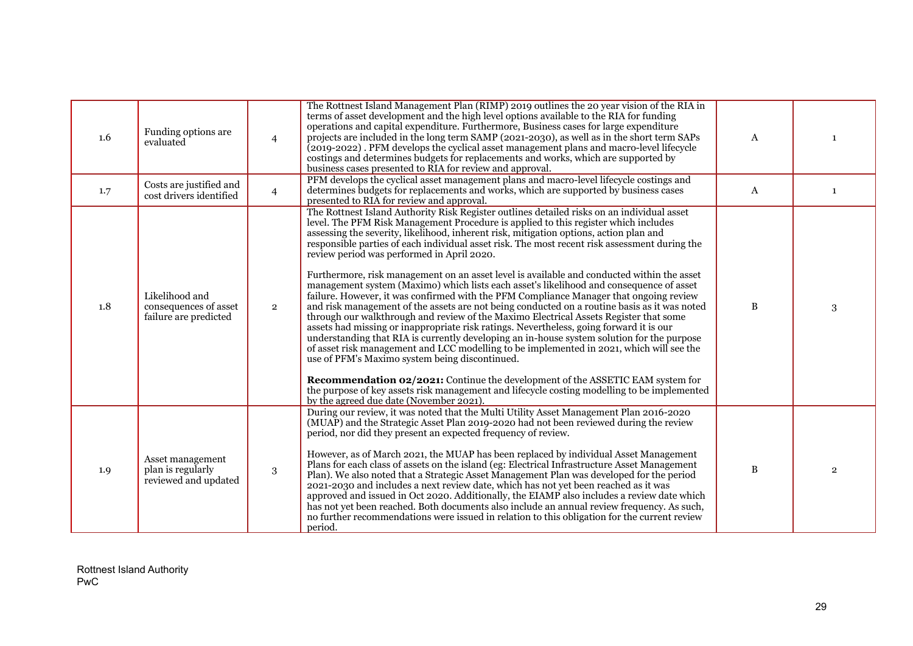| 1.6 | Funding options are<br>evaluated                                 | $\overline{4}$ | The Rottnest Island Management Plan (RIMP) 2019 outlines the 20 year vision of the RIA in<br>terms of asset development and the high level options available to the RIA for funding<br>operations and capital expenditure. Furthermore, Business cases for large expenditure<br>projects are included in the long term SAMP (2021-2030), as well as in the short term SAPs<br>(2019-2022). PFM develops the cyclical asset management plans and macro-level lifecycle<br>costings and determines budgets for replacements and works, which are supported by<br>business cases presented to RIA for review and approval.                                                                                                                                                                                                                                                                                                                                                                                                                                                                                                                                                                                                                                                                                                                                                                                                                                                          | A            | 1              |
|-----|------------------------------------------------------------------|----------------|----------------------------------------------------------------------------------------------------------------------------------------------------------------------------------------------------------------------------------------------------------------------------------------------------------------------------------------------------------------------------------------------------------------------------------------------------------------------------------------------------------------------------------------------------------------------------------------------------------------------------------------------------------------------------------------------------------------------------------------------------------------------------------------------------------------------------------------------------------------------------------------------------------------------------------------------------------------------------------------------------------------------------------------------------------------------------------------------------------------------------------------------------------------------------------------------------------------------------------------------------------------------------------------------------------------------------------------------------------------------------------------------------------------------------------------------------------------------------------|--------------|----------------|
| 1.7 | Costs are justified and<br>cost drivers identified               | $\overline{4}$ | PFM develops the cyclical asset management plans and macro-level lifecycle costings and<br>determines budgets for replacements and works, which are supported by business cases<br>presented to RIA for review and approval.                                                                                                                                                                                                                                                                                                                                                                                                                                                                                                                                                                                                                                                                                                                                                                                                                                                                                                                                                                                                                                                                                                                                                                                                                                                     | A            | $\mathbf{1}$   |
| 1.8 | Likelihood and<br>consequences of asset<br>failure are predicted | $\overline{2}$ | The Rottnest Island Authority Risk Register outlines detailed risks on an individual asset<br>level. The PFM Risk Management Procedure is applied to this register which includes<br>assessing the severity, likelihood, inherent risk, mitigation options, action plan and<br>responsible parties of each individual asset risk. The most recent risk assessment during the<br>review period was performed in April 2020.<br>Furthermore, risk management on an asset level is available and conducted within the asset<br>management system (Maximo) which lists each asset's likelihood and consequence of asset<br>failure. However, it was confirmed with the PFM Compliance Manager that ongoing review<br>and risk management of the assets are not being conducted on a routine basis as it was noted<br>through our walkthrough and review of the Maximo Electrical Assets Register that some<br>assets had missing or inappropriate risk ratings. Nevertheless, going forward it is our<br>understanding that RIA is currently developing an in-house system solution for the purpose<br>of asset risk management and LCC modelling to be implemented in 2021, which will see the<br>use of PFM's Maximo system being discontinued.<br><b>Recommendation 02/2021:</b> Continue the development of the ASSETIC EAM system for<br>the purpose of key assets risk management and lifecycle costing modelling to be implemented<br>by the agreed due date (November 2021). | $\, {\bf B}$ | 3              |
| 1.9 | Asset management<br>plan is regularly<br>reviewed and updated    | 3              | During our review, it was noted that the Multi Utility Asset Management Plan 2016-2020<br>(MUAP) and the Strategic Asset Plan 2019-2020 had not been reviewed during the review<br>period, nor did they present an expected frequency of review.<br>However, as of March 2021, the MUAP has been replaced by individual Asset Management<br>Plans for each class of assets on the island (eg: Electrical Infrastructure Asset Management<br>Plan). We also noted that a Strategic Asset Management Plan was developed for the period<br>2021-2030 and includes a next review date, which has not yet been reached as it was<br>approved and issued in Oct 2020. Additionally, the EIAMP also includes a review date which<br>has not yet been reached. Both documents also include an annual review frequency. As such,<br>no further recommendations were issued in relation to this obligation for the current review<br>period.                                                                                                                                                                                                                                                                                                                                                                                                                                                                                                                                               | $\, {\bf B}$ | $\overline{2}$ |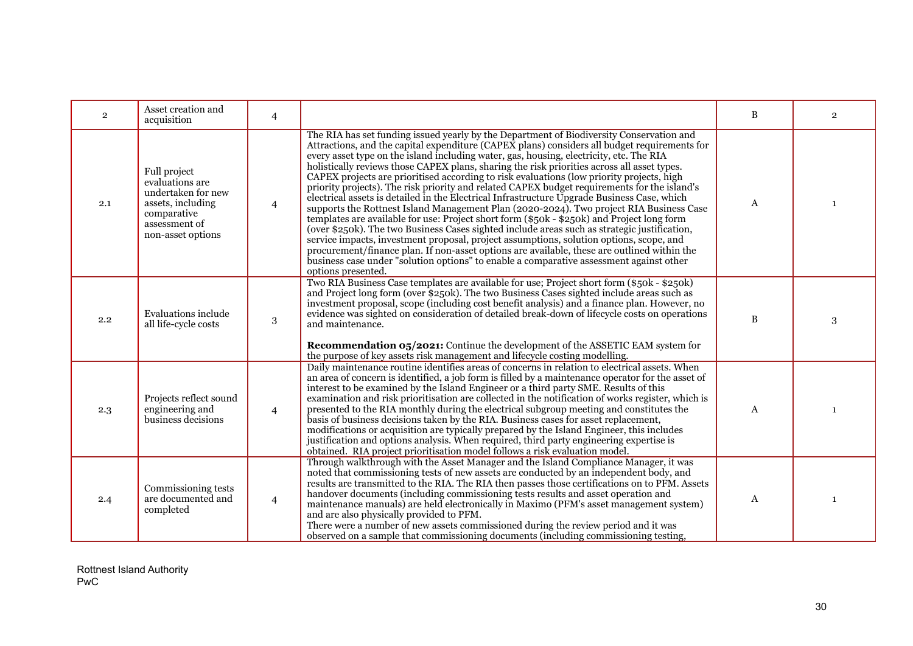| $\overline{2}$ | Asset creation and<br>acquisition                                                                                               | $\overline{4}$ |                                                                                                                                                                                                                                                                                                                                                                                                                                                                                                                                                                                                                                                                                                                                                                                                                                                                                                                                                                                                                                                                                                                                                                                                                                                                                             | $\, {\bf B}$ | $\overline{2}$ |
|----------------|---------------------------------------------------------------------------------------------------------------------------------|----------------|---------------------------------------------------------------------------------------------------------------------------------------------------------------------------------------------------------------------------------------------------------------------------------------------------------------------------------------------------------------------------------------------------------------------------------------------------------------------------------------------------------------------------------------------------------------------------------------------------------------------------------------------------------------------------------------------------------------------------------------------------------------------------------------------------------------------------------------------------------------------------------------------------------------------------------------------------------------------------------------------------------------------------------------------------------------------------------------------------------------------------------------------------------------------------------------------------------------------------------------------------------------------------------------------|--------------|----------------|
| 2.1            | Full project<br>evaluations are<br>undertaken for new<br>assets, including<br>comparative<br>assessment of<br>non-asset options | $\overline{4}$ | The RIA has set funding issued yearly by the Department of Biodiversity Conservation and<br>Attractions, and the capital expenditure ( $CAPE\hat{X}$ plans) considers all budget requirements for<br>every asset type on the island including water, gas, housing, electricity, etc. The RIA<br>holistically reviews those CAPEX plans, sharing the risk priorities across all asset types.<br>CAPEX projects are prioritised according to risk evaluations (low priority projects, high<br>priority projects). The risk priority and related CAPEX budget requirements for the island's<br>electrical assets is detailed in the Electrical Infrastructure Upgrade Business Case, which<br>supports the Rottnest Island Management Plan (2020-2024). Two project RIA Business Case<br>templates are available for use: Project short form (\$50k - \$250k) and Project long form<br>(over \$250k). The two Business Cases sighted include areas such as strategic justification,<br>service impacts, investment proposal, project assumptions, solution options, scope, and<br>procurement/finance plan. If non-asset options are available, these are outlined within the<br>business case under "solution options" to enable a comparative assessment against other<br>options presented. | $\mathbf{A}$ | -1             |
| 2.2            | Evaluations include<br>all life-cycle costs                                                                                     | 3              | Two RIA Business Case templates are available for use; Project short form (\$50k - \$250k)<br>and Project long form (over \$250k). The two Business Cases sighted include areas such as<br>investment proposal, scope (including cost benefit analysis) and a finance plan. However, no<br>evidence was sighted on consideration of detailed break-down of lifecycle costs on operations<br>and maintenance.<br><b>Recommendation 05/2021:</b> Continue the development of the ASSETIC EAM system for<br>the purpose of key assets risk management and lifecycle costing modelling.                                                                                                                                                                                                                                                                                                                                                                                                                                                                                                                                                                                                                                                                                                         | $\, {\bf B}$ | 3              |
| 2.3            | Projects reflect sound<br>engineering and<br>business decisions                                                                 | $\overline{4}$ | Daily maintenance routine identifies areas of concerns in relation to electrical assets. When<br>an area of concern is identified, a job form is filled by a maintenance operator for the asset of<br>interest to be examined by the Island Engineer or a third party SME. Results of this<br>examination and risk prioritisation are collected in the notification of works register, which is<br>presented to the RIA monthly during the electrical subgroup meeting and constitutes the<br>basis of business decisions taken by the RIA. Business cases for asset replacement,<br>modifications or acquisition are typically prepared by the Island Engineer, this includes<br>justification and options analysis. When required, third party engineering expertise is<br>obtained. RIA project prioritisation model follows a risk evaluation model.                                                                                                                                                                                                                                                                                                                                                                                                                                    | A            | $\mathbf{1}$   |
| 2.4            | Commissioning tests<br>are documented and<br>completed                                                                          | $\overline{4}$ | Through walkthrough with the Asset Manager and the Island Compliance Manager, it was<br>noted that commissioning tests of new assets are conducted by an independent body, and<br>results are transmitted to the RIA. The RIA then passes those certifications on to PFM. Assets<br>handover documents (including commissioning tests results and asset operation and<br>maintenance manuals) are held electronically in Maximo (PFM's asset management system)<br>and are also physically provided to PFM.<br>There were a number of new assets commissioned during the review period and it was<br>observed on a sample that commissioning documents (including commissioning testing,                                                                                                                                                                                                                                                                                                                                                                                                                                                                                                                                                                                                    | A            | $\mathbf{1}$   |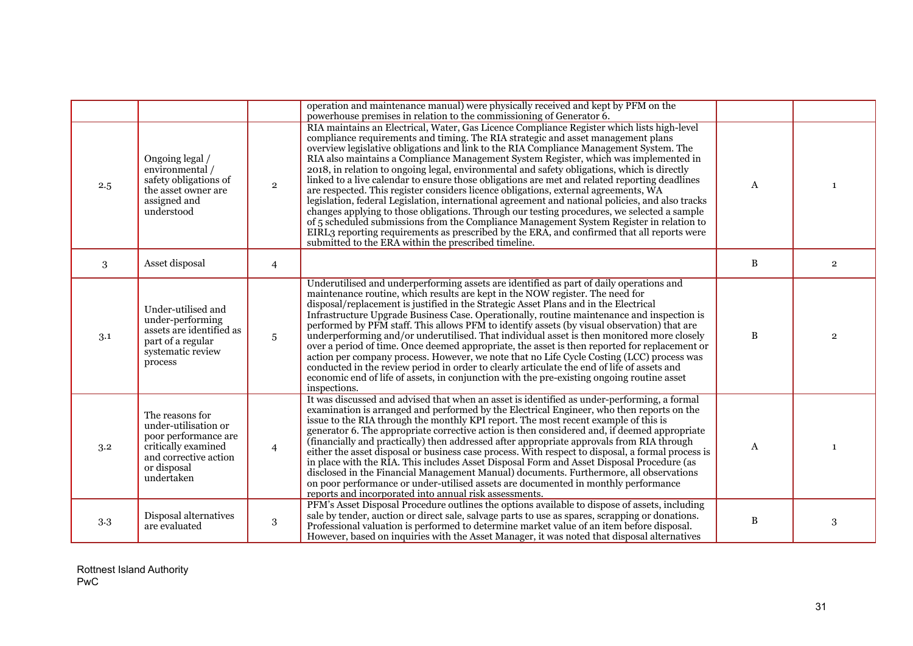|     |                                                                                                                                              |                 | operation and maintenance manual) were physically received and kept by PFM on the<br>powerhouse premises in relation to the commissioning of Generator 6.                                                                                                                                                                                                                                                                                                                                                                                                                                                                                                                                                                                                                                                                                                                                                                                                                                                                                                                                                    |              |                |
|-----|----------------------------------------------------------------------------------------------------------------------------------------------|-----------------|--------------------------------------------------------------------------------------------------------------------------------------------------------------------------------------------------------------------------------------------------------------------------------------------------------------------------------------------------------------------------------------------------------------------------------------------------------------------------------------------------------------------------------------------------------------------------------------------------------------------------------------------------------------------------------------------------------------------------------------------------------------------------------------------------------------------------------------------------------------------------------------------------------------------------------------------------------------------------------------------------------------------------------------------------------------------------------------------------------------|--------------|----------------|
| 2.5 | Ongoing legal /<br>environmental /<br>safety obligations of<br>the asset owner are<br>assigned and<br>understood                             | $\overline{2}$  | RIA maintains an Electrical, Water, Gas Licence Compliance Register which lists high-level<br>compliance requirements and timing. The RIA strategic and asset management plans<br>overview legislative obligations and link to the RIA Compliance Management System. The<br>RIA also maintains a Compliance Management System Register, which was implemented in<br>2018, in relation to ongoing legal, environmental and safety obligations, which is directly<br>linked to a live calendar to ensure those obligations are met and related reporting deadlines<br>are respected. This register considers licence obligations, external agreements, WA<br>legislation, federal Legislation, international agreement and national policies, and also tracks<br>changes applying to those obligations. Through our testing procedures, we selected a sample<br>of 5 scheduled submissions from the Compliance Management System Register in relation to<br>EIRL3 reporting requirements as prescribed by the ERA, and confirmed that all reports were<br>submitted to the ERA within the prescribed timeline. | A            | -1             |
| 3   | Asset disposal                                                                                                                               | $\overline{4}$  |                                                                                                                                                                                                                                                                                                                                                                                                                                                                                                                                                                                                                                                                                                                                                                                                                                                                                                                                                                                                                                                                                                              | B            | $\overline{2}$ |
| 3.1 | Under-utilised and<br>under-performing<br>assets are identified as<br>part of a regular<br>systematic review<br>process                      | $5\phantom{.0}$ | Underutilised and underperforming assets are identified as part of daily operations and<br>maintenance routine, which results are kept in the NOW register. The need for<br>disposal/replacement is justified in the Strategic Asset Plans and in the Electrical<br>Infrastructure Upgrade Business Case. Operationally, routine maintenance and inspection is<br>performed by PFM staff. This allows PFM to identify assets (by visual observation) that are<br>underperforming and/or underutilised. That individual asset is then monitored more closely<br>over a period of time. Once deemed appropriate, the asset is then reported for replacement or<br>action per company process. However, we note that no Life Cycle Costing (LCC) process was<br>conducted in the review period in order to clearly articulate the end of life of assets and<br>economic end of life of assets, in conjunction with the pre-existing ongoing routine asset<br>inspections.                                                                                                                                       | $\, {\bf B}$ | $\overline{2}$ |
| 3.2 | The reasons for<br>under-utilisation or<br>poor performance are<br>critically examined<br>and corrective action<br>or disposal<br>undertaken | $\overline{4}$  | It was discussed and advised that when an asset is identified as under-performing, a formal<br>examination is arranged and performed by the Electrical Engineer, who then reports on the<br>issue to the RIA through the monthly KPI report. The most recent example of this is<br>generator 6. The appropriate corrective action is then considered and, if deemed appropriate<br>(financially and practically) then addressed after appropriate approvals from RIA through<br>either the asset disposal or business case process. With respect to disposal, a formal process is<br>in place with the RIA. This includes Asset Disposal Form and Asset Disposal Procedure (as<br>disclosed in the Financial Management Manual) documents. Furthermore, all observations<br>on poor performance or under-utilised assets are documented in monthly performance<br>reports and incorporated into annual risk assessments.                                                                                                                                                                                     | A            | 1              |
| 3.3 | Disposal alternatives<br>are evaluated                                                                                                       | 3               | PFM's Asset Disposal Procedure outlines the options available to dispose of assets, including<br>sale by tender, auction or direct sale, salvage parts to use as spares, scrapping or donations.<br>Professional valuation is performed to determine market value of an item before disposal.<br>However, based on inquiries with the Asset Manager, it was noted that disposal alternatives                                                                                                                                                                                                                                                                                                                                                                                                                                                                                                                                                                                                                                                                                                                 | $\, {\bf B}$ | 3              |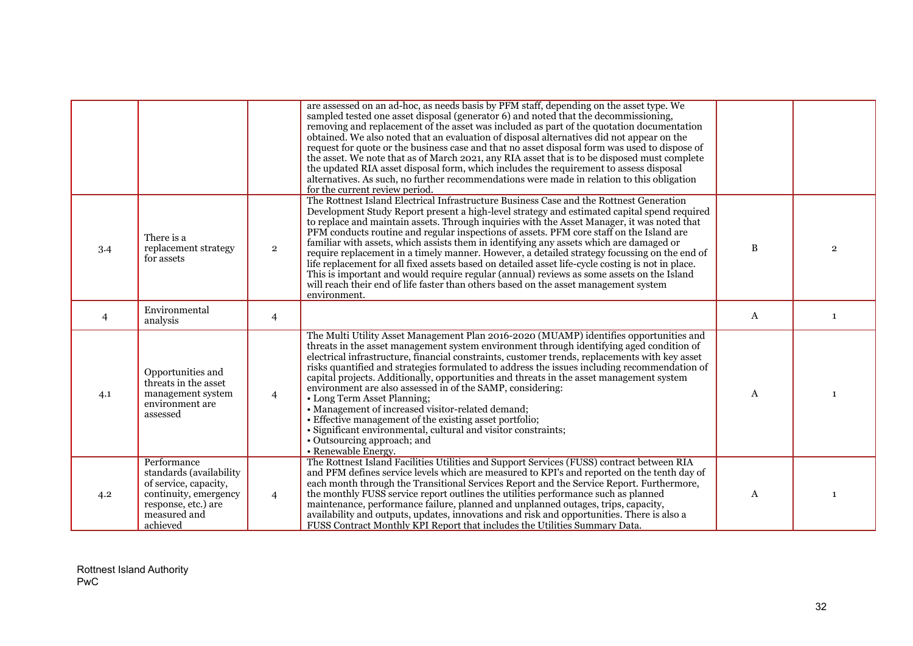|                |                                                                                                                                             |                | are assessed on an ad-hoc, as needs basis by PFM staff, depending on the asset type. We<br>sampled tested one asset disposal (generator 6) and noted that the decommissioning,<br>removing and replacement of the asset was included as part of the quotation documentation<br>obtained. We also noted that an evaluation of disposal alternatives did not appear on the<br>request for quote or the business case and that no asset disposal form was used to dispose of<br>the asset. We note that as of March 2021, any RIA asset that is to be disposed must complete<br>the updated RIA asset disposal form, which includes the requirement to assess disposal<br>alternatives. As such, no further recommendations were made in relation to this obligation<br>for the current review period.                                                                                    |   |                |
|----------------|---------------------------------------------------------------------------------------------------------------------------------------------|----------------|----------------------------------------------------------------------------------------------------------------------------------------------------------------------------------------------------------------------------------------------------------------------------------------------------------------------------------------------------------------------------------------------------------------------------------------------------------------------------------------------------------------------------------------------------------------------------------------------------------------------------------------------------------------------------------------------------------------------------------------------------------------------------------------------------------------------------------------------------------------------------------------|---|----------------|
| 3.4            | There is a<br>replacement strategy<br>for assets                                                                                            | $\overline{2}$ | The Rottnest Island Electrical Infrastructure Business Case and the Rottnest Generation<br>Development Study Report present a high-level strategy and estimated capital spend required<br>to replace and maintain assets. Through inquiries with the Asset Manager, it was noted that<br>PFM conducts routine and regular inspections of assets. PFM core staff on the Island are<br>familiar with assets, which assists them in identifying any assets which are damaged or<br>require replacement in a timely manner. However, a detailed strategy focussing on the end of<br>life replacement for all fixed assets based on detailed asset life-cycle costing is not in place.<br>This is important and would require regular (annual) reviews as some assets on the Island<br>will reach their end of life faster than others based on the asset management system<br>environment. | B | $\overline{2}$ |
| $\overline{4}$ | Environmental<br>analysis                                                                                                                   | $\overline{4}$ |                                                                                                                                                                                                                                                                                                                                                                                                                                                                                                                                                                                                                                                                                                                                                                                                                                                                                        | A | $\mathbf{1}$   |
| 4.1            | Opportunities and<br>threats in the asset<br>management system<br>environment are<br>assessed                                               | $\overline{4}$ | The Multi Utility Asset Management Plan 2016-2020 (MUAMP) identifies opportunities and<br>threats in the asset management system environment through identifying aged condition of<br>electrical infrastructure, financial constraints, customer trends, replacements with key asset<br>risks quantified and strategies formulated to address the issues including recommendation of<br>capital projects. Additionally, opportunities and threats in the asset management system<br>environment are also assessed in of the SAMP, considering:<br>• Long Term Asset Planning;<br>• Management of increased visitor-related demand;<br>• Effective management of the existing asset portfolio;<br>· Significant environmental, cultural and visitor constraints;<br>• Outsourcing approach; and<br>• Renewable Energy.                                                                  | A |                |
| 4.2            | Performance<br>standards (availability<br>of service, capacity,<br>continuity, emergency<br>response, etc.) are<br>measured and<br>achieved | $\overline{4}$ | The Rottnest Island Facilities Utilities and Support Services (FUSS) contract between RIA<br>and PFM defines service levels which are measured to KPI's and reported on the tenth day of<br>each month through the Transitional Services Report and the Service Report. Furthermore,<br>the monthly FUSS service report outlines the utilities performance such as planned<br>maintenance, performance failure, planned and unplanned outages, trips, capacity,<br>availability and outputs, updates, innovations and risk and opportunities. There is also a<br>FUSS Contract Monthly KPI Report that includes the Utilities Summary Data.                                                                                                                                                                                                                                            | A | -1             |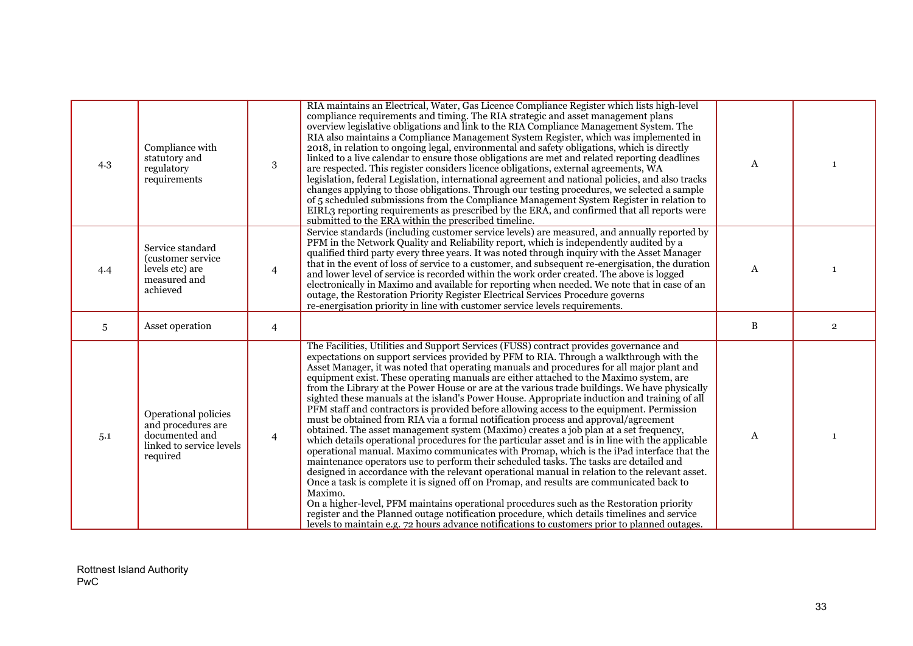| 4.3 | Compliance with<br>statutory and<br>regulatory<br>requirements                                       | 3              | RIA maintains an Electrical, Water, Gas Licence Compliance Register which lists high-level<br>compliance requirements and timing. The RIA strategic and asset management plans<br>overview legislative obligations and link to the RIA Compliance Management System. The<br>RIA also maintains a Compliance Management System Register, which was implemented in<br>2018, in relation to ongoing legal, environmental and safety obligations, which is directly<br>linked to a live calendar to ensure those obligations are met and related reporting deadlines<br>are respected. This register considers licence obligations, external agreements, WA<br>legislation, federal Legislation, international agreement and national policies, and also tracks<br>changes applying to those obligations. Through our testing procedures, we selected a sample<br>of 5 scheduled submissions from the Compliance Management System Register in relation to<br>EIRL3 reporting requirements as prescribed by the ERA, and confirmed that all reports were<br>submitted to the ERA within the prescribed timeline.                                                                                                                                                                                                                                                                                                                                                                                                                                                                                                                                          | $\mathbf{A}$ |                |
|-----|------------------------------------------------------------------------------------------------------|----------------|-------------------------------------------------------------------------------------------------------------------------------------------------------------------------------------------------------------------------------------------------------------------------------------------------------------------------------------------------------------------------------------------------------------------------------------------------------------------------------------------------------------------------------------------------------------------------------------------------------------------------------------------------------------------------------------------------------------------------------------------------------------------------------------------------------------------------------------------------------------------------------------------------------------------------------------------------------------------------------------------------------------------------------------------------------------------------------------------------------------------------------------------------------------------------------------------------------------------------------------------------------------------------------------------------------------------------------------------------------------------------------------------------------------------------------------------------------------------------------------------------------------------------------------------------------------------------------------------------------------------------------------------------------|--------------|----------------|
| 4.4 | Service standard<br>(customer service<br>levels etc) are<br>measured and<br>achieved                 | 4              | Service standards (including customer service levels) are measured, and annually reported by<br>PFM in the Network Quality and Reliability report, which is independently audited by a<br>qualified third party every three years. It was noted through inquiry with the Asset Manager<br>that in the event of loss of service to a customer, and subsequent re-energisation, the duration<br>and lower level of service is recorded within the work order created. The above is logged<br>electronically in Maximo and available for reporting when needed. We note that in case of an<br>outage, the Restoration Priority Register Electrical Services Procedure governs<br>re-energisation priority in line with customer service levels requirements.                                                                                                                                                                                                                                                                                                                                                                                                                                                                                                                                                                                                                                                                                                                                                                                                                                                                                             | A            |                |
| 5   | Asset operation                                                                                      | $\overline{4}$ |                                                                                                                                                                                                                                                                                                                                                                                                                                                                                                                                                                                                                                                                                                                                                                                                                                                                                                                                                                                                                                                                                                                                                                                                                                                                                                                                                                                                                                                                                                                                                                                                                                                       | B            | $\overline{2}$ |
| 5.1 | Operational policies<br>and procedures are<br>documented and<br>linked to service levels<br>required | $\overline{4}$ | The Facilities, Utilities and Support Services (FUSS) contract provides governance and<br>expectations on support services provided by PFM to RIA. Through a walkthrough with the<br>Asset Manager, it was noted that operating manuals and procedures for all major plant and<br>equipment exist. These operating manuals are either attached to the Maximo system, are<br>from the Library at the Power House or are at the various trade buildings. We have physically<br>sighted these manuals at the island's Power House. Appropriate induction and training of all<br>PFM staff and contractors is provided before allowing access to the equipment. Permission<br>must be obtained from RIA via a formal notification process and approval/agreement<br>obtained. The asset management system (Maximo) creates a job plan at a set frequency,<br>which details operational procedures for the particular asset and is in line with the applicable<br>operational manual. Maximo communicates with Promap, which is the iPad interface that the<br>maintenance operators use to perform their scheduled tasks. The tasks are detailed and<br>designed in accordance with the relevant operational manual in relation to the relevant asset.<br>Once a task is complete it is signed off on Promap, and results are communicated back to<br>Maximo.<br>On a higher-level, PFM maintains operational procedures such as the Restoration priority<br>register and the Planned outage notification procedure, which details timelines and service<br>levels to maintain e.g. 72 hours advance notifications to customers prior to planned outages. | A            |                |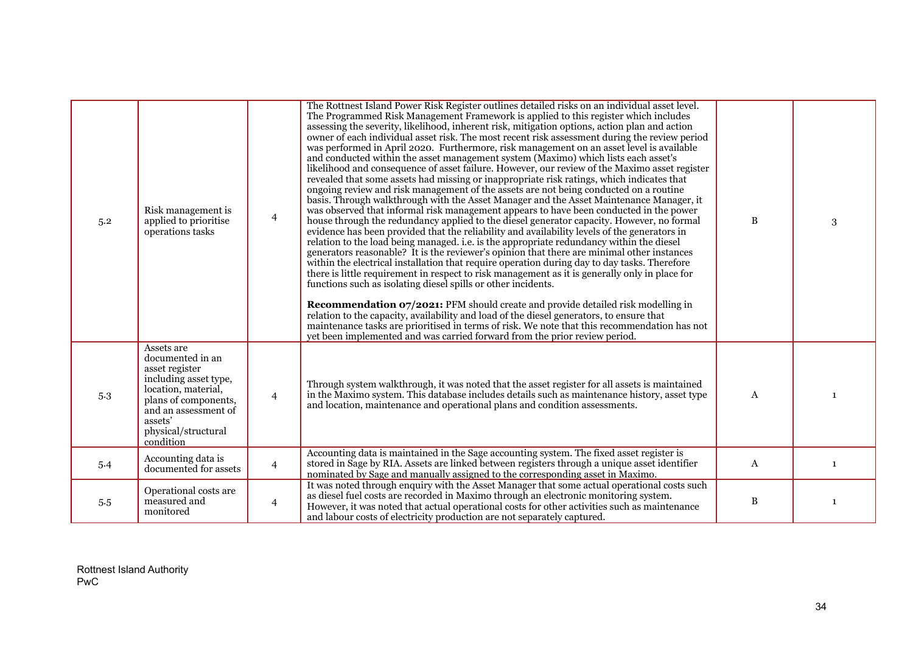| 5.2 | Risk management is<br>applied to prioritise<br>operations tasks                                                                                                                                 | $\overline{4}$ | The Rottnest Island Power Risk Register outlines detailed risks on an individual asset level.<br>The Programmed Risk Management Framework is applied to this register which includes<br>assessing the severity, likelihood, inherent risk, mitigation options, action plan and action<br>owner of each individual asset risk. The most recent risk assessment during the review period<br>was performed in April 2020. Furthermore, risk management on an asset level is available<br>and conducted within the asset management system (Maximo) which lists each asset's<br>likelihood and consequence of asset failure. However, our review of the Maximo asset register<br>revealed that some assets had missing or inappropriate risk ratings, which indicates that<br>ongoing review and risk management of the assets are not being conducted on a routine<br>basis. Through walkthrough with the Asset Manager and the Asset Maintenance Manager, it<br>was observed that informal risk management appears to have been conducted in the power<br>house through the redundancy applied to the diesel generator capacity. However, no formal<br>evidence has been provided that the reliability and availability levels of the generators in<br>relation to the load being managed, i.e. is the appropriate redundancy within the diesel<br>generators reasonable? It is the reviewer's opinion that there are minimal other instances<br>within the electrical installation that require operation during day to day tasks. Therefore<br>there is little requirement in respect to risk management as it is generally only in place for<br>functions such as isolating diesel spills or other incidents.<br><b>Recommendation 07/2021:</b> PFM should create and provide detailed risk modelling in<br>relation to the capacity, availability and load of the diesel generators, to ensure that<br>maintenance tasks are prioritised in terms of risk. We note that this recommendation has not<br>yet been implemented and was carried forward from the prior review period. | $\, {\bf B}$ | 3            |
|-----|-------------------------------------------------------------------------------------------------------------------------------------------------------------------------------------------------|----------------|-------------------------------------------------------------------------------------------------------------------------------------------------------------------------------------------------------------------------------------------------------------------------------------------------------------------------------------------------------------------------------------------------------------------------------------------------------------------------------------------------------------------------------------------------------------------------------------------------------------------------------------------------------------------------------------------------------------------------------------------------------------------------------------------------------------------------------------------------------------------------------------------------------------------------------------------------------------------------------------------------------------------------------------------------------------------------------------------------------------------------------------------------------------------------------------------------------------------------------------------------------------------------------------------------------------------------------------------------------------------------------------------------------------------------------------------------------------------------------------------------------------------------------------------------------------------------------------------------------------------------------------------------------------------------------------------------------------------------------------------------------------------------------------------------------------------------------------------------------------------------------------------------------------------------------------------------------------------------------------------------------------------------------------------------------------------------------------|--------------|--------------|
| 5.3 | Assets are<br>documented in an<br>asset register<br>including asset type,<br>location, material,<br>plans of components,<br>and an assessment of<br>assets'<br>physical/structural<br>condition | $\overline{4}$ | Through system walkthrough, it was noted that the asset register for all assets is maintained<br>in the Maximo system. This database includes details such as maintenance history, asset type<br>and location, maintenance and operational plans and condition assessments.                                                                                                                                                                                                                                                                                                                                                                                                                                                                                                                                                                                                                                                                                                                                                                                                                                                                                                                                                                                                                                                                                                                                                                                                                                                                                                                                                                                                                                                                                                                                                                                                                                                                                                                                                                                                         | $\mathbf{A}$ |              |
| 5.4 | Accounting data is<br>documented for assets                                                                                                                                                     | $\overline{4}$ | Accounting data is maintained in the Sage accounting system. The fixed asset register is<br>stored in Sage by RIA. Assets are linked between registers through a unique asset identifier<br>nominated by Sage and manually assigned to the corresponding asset in Maximo.                                                                                                                                                                                                                                                                                                                                                                                                                                                                                                                                                                                                                                                                                                                                                                                                                                                                                                                                                                                                                                                                                                                                                                                                                                                                                                                                                                                                                                                                                                                                                                                                                                                                                                                                                                                                           | A            | $\mathbf{1}$ |
| 5.5 | Operational costs are<br>measured and<br>monitored                                                                                                                                              | $\overline{4}$ | It was noted through enquiry with the Asset Manager that some actual operational costs such<br>as diesel fuel costs are recorded in Maximo through an electronic monitoring system.<br>However, it was noted that actual operational costs for other activities such as maintenance<br>and labour costs of electricity production are not separately captured.                                                                                                                                                                                                                                                                                                                                                                                                                                                                                                                                                                                                                                                                                                                                                                                                                                                                                                                                                                                                                                                                                                                                                                                                                                                                                                                                                                                                                                                                                                                                                                                                                                                                                                                      | $\, {\bf B}$ | 1            |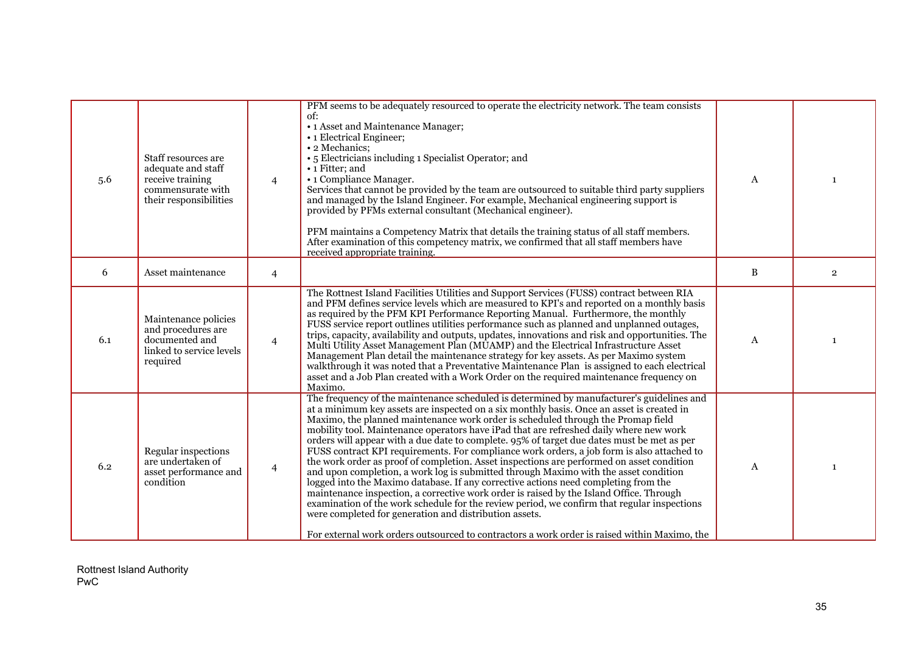| 5.6 | Staff resources are<br>adequate and staff<br>receive training<br>commensurate with<br>their responsibilities | $\overline{4}$ | PFM seems to be adequately resourced to operate the electricity network. The team consists<br>of:<br>• 1 Asset and Maintenance Manager;<br>• 1 Electrical Engineer;<br>• 2 Mechanics;<br>• 5 Electricians including 1 Specialist Operator; and<br>• 1 Fitter; and<br>• 1 Compliance Manager.<br>Services that cannot be provided by the team are outsourced to suitable third party suppliers<br>and managed by the Island Engineer. For example, Mechanical engineering support is<br>provided by PFMs external consultant (Mechanical engineer).<br>PFM maintains a Competency Matrix that details the training status of all staff members.<br>After examination of this competency matrix, we confirmed that all staff members have<br>received appropriate training.                                                                                                                                                                                                                                                                                                                                                                                                                        | $\mathsf{A}$ | $\mathbf{1}$   |
|-----|--------------------------------------------------------------------------------------------------------------|----------------|--------------------------------------------------------------------------------------------------------------------------------------------------------------------------------------------------------------------------------------------------------------------------------------------------------------------------------------------------------------------------------------------------------------------------------------------------------------------------------------------------------------------------------------------------------------------------------------------------------------------------------------------------------------------------------------------------------------------------------------------------------------------------------------------------------------------------------------------------------------------------------------------------------------------------------------------------------------------------------------------------------------------------------------------------------------------------------------------------------------------------------------------------------------------------------------------------|--------------|----------------|
| 6   | Asset maintenance                                                                                            | $\overline{4}$ |                                                                                                                                                                                                                                                                                                                                                                                                                                                                                                                                                                                                                                                                                                                                                                                                                                                                                                                                                                                                                                                                                                                                                                                                  | B            | $\overline{2}$ |
| 6.1 | Maintenance policies<br>and procedures are<br>documented and<br>linked to service levels<br>required         | $\overline{4}$ | The Rottnest Island Facilities Utilities and Support Services (FUSS) contract between RIA<br>and PFM defines service levels which are measured to KPI's and reported on a monthly basis<br>as required by the PFM KPI Performance Reporting Manual. Furthermore, the monthly<br>FUSS service report outlines utilities performance such as planned and unplanned outages,<br>trips, capacity, availability and outputs, updates, innovations and risk and opportunities. The<br>Multi Utility Asset Management Plan (MUAMP) and the Electrical Infrastructure Asset<br>Management Plan detail the maintenance strategy for key assets. As per Maximo system<br>walkthrough it was noted that a Preventative Maintenance Plan is assigned to each electrical<br>asset and a Job Plan created with a Work Order on the required maintenance frequency on<br>Maximo.                                                                                                                                                                                                                                                                                                                                | A            | $\mathbf{1}$   |
| 6.2 | Regular inspections<br>are undertaken of<br>asset performance and<br>condition                               | $\overline{4}$ | The frequency of the maintenance scheduled is determined by manufacturer's guidelines and<br>at a minimum key assets are inspected on a six monthly basis. Once an asset is created in<br>Maximo, the planned maintenance work order is scheduled through the Promap field<br>mobility tool. Maintenance operators have iPad that are refreshed daily where new work<br>orders will appear with a due date to complete. 95% of target due dates must be met as per<br>FUSS contract KPI requirements. For compliance work orders, a job form is also attached to<br>the work order as proof of completion. Asset inspections are performed on asset condition<br>and upon completion, a work log is submitted through Maximo with the asset condition<br>logged into the Maximo database. If any corrective actions need completing from the<br>maintenance inspection, a corrective work order is raised by the Island Office. Through<br>examination of the work schedule for the review period, we confirm that regular inspections<br>were completed for generation and distribution assets.<br>For external work orders outsourced to contractors a work order is raised within Maximo, the | A            | $\mathbf{1}$   |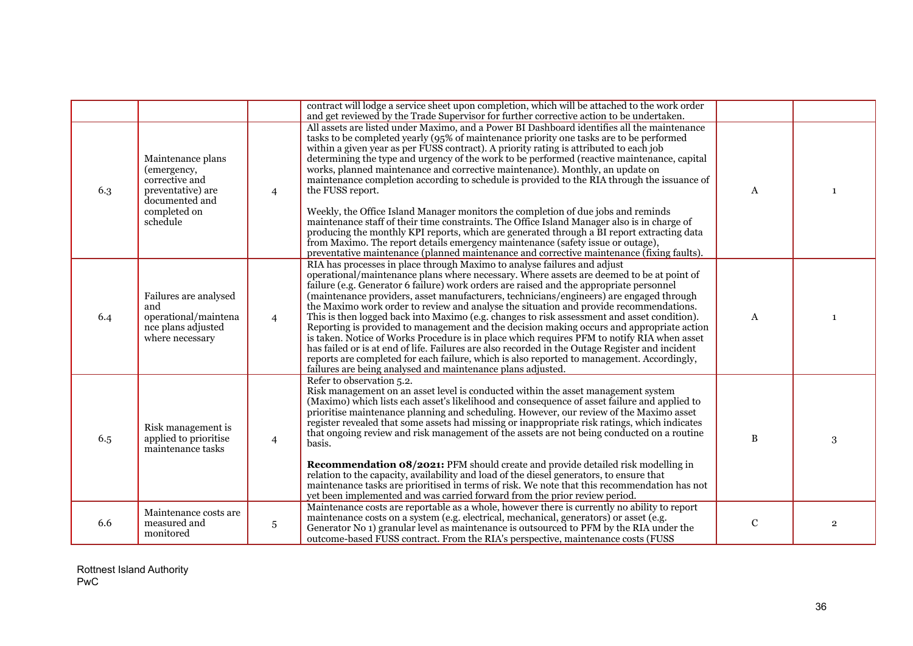|     |                                                                                                                       |                 | contract will lodge a service sheet upon completion, which will be attached to the work order<br>and get reviewed by the Trade Supervisor for further corrective action to be undertaken.                                                                                                                                                                                                                                                                                                                                                                                                                                                                                                                                                                                                                                                                                                                                                                                                                                                             |              |                |
|-----|-----------------------------------------------------------------------------------------------------------------------|-----------------|-------------------------------------------------------------------------------------------------------------------------------------------------------------------------------------------------------------------------------------------------------------------------------------------------------------------------------------------------------------------------------------------------------------------------------------------------------------------------------------------------------------------------------------------------------------------------------------------------------------------------------------------------------------------------------------------------------------------------------------------------------------------------------------------------------------------------------------------------------------------------------------------------------------------------------------------------------------------------------------------------------------------------------------------------------|--------------|----------------|
| 6.3 | Maintenance plans<br>(emergency,<br>corrective and<br>preventative) are<br>documented and<br>completed on<br>schedule | $\overline{4}$  | All assets are listed under Maximo, and a Power BI Dashboard identifies all the maintenance<br>tasks to be completed yearly (95% of maintenance priority one tasks are to be performed<br>within a given year as per FUSS contract). A priority rating is attributed to each job<br>determining the type and urgency of the work to be performed (reactive maintenance, capital<br>works, planned maintenance and corrective maintenance). Monthly, an update on<br>maintenance completion according to schedule is provided to the RIA through the issuance of<br>the FUSS report.<br>Weekly, the Office Island Manager monitors the completion of due jobs and reminds<br>maintenance staff of their time constraints. The Office Island Manager also is in charge of<br>producing the monthly KPI reports, which are generated through a BI report extracting data<br>from Maximo. The report details emergency maintenance (safety issue or outage),<br>preventative maintenance (planned maintenance and corrective maintenance (fixing faults). | $\mathbf{A}$ | $\mathbf{1}$   |
| 6.4 | Failures are analysed<br>and<br>operational/maintena<br>nce plans adjusted<br>where necessary                         | $\overline{4}$  | RIA has processes in place through Maximo to analyse failures and adjust<br>operational/maintenance plans where necessary. Where assets are deemed to be at point of<br>failure (e.g. Generator 6 failure) work orders are raised and the appropriate personnel<br>(maintenance providers, asset manufacturers, technicians/engineers) are engaged through<br>the Maximo work order to review and analyse the situation and provide recommendations.<br>This is then logged back into Maximo (e.g. changes to risk assessment and asset condition).<br>Reporting is provided to management and the decision making occurs and appropriate action<br>is taken. Notice of Works Procedure is in place which requires PFM to notify RIA when asset<br>has failed or is at end of life. Failures are also recorded in the Outage Register and incident<br>reports are completed for each failure, which is also reported to management. Accordingly,<br>failures are being analysed and maintenance plans adjusted.                                       | A            | $\mathbf{1}$   |
| 6.5 | Risk management is<br>applied to prioritise<br>maintenance tasks                                                      | $\overline{4}$  | Refer to observation 5.2.<br>Risk management on an asset level is conducted within the asset management system<br>(Maximo) which lists each asset's likelihood and consequence of asset failure and applied to<br>prioritise maintenance planning and scheduling. However, our review of the Maximo asset<br>register revealed that some assets had missing or inappropriate risk ratings, which indicates<br>that ongoing review and risk management of the assets are not being conducted on a routine<br>basis.<br><b>Recommendation 08/2021:</b> PFM should create and provide detailed risk modelling in<br>relation to the capacity, availability and load of the diesel generators, to ensure that<br>maintenance tasks are prioritised in terms of risk. We note that this recommendation has not<br>yet been implemented and was carried forward from the prior review period.                                                                                                                                                               | $\, {\bf B}$ | 3              |
| 6.6 | Maintenance costs are<br>measured and<br>monitored                                                                    | $5\phantom{.0}$ | Maintenance costs are reportable as a whole, however there is currently no ability to report<br>maintenance costs on a system (e.g. electrical, mechanical, generators) or asset (e.g.<br>Generator No 1) granular level as maintenance is outsourced to PFM by the RIA under the<br>outcome-based FUSS contract. From the RIA's perspective, maintenance costs (FUSS)                                                                                                                                                                                                                                                                                                                                                                                                                                                                                                                                                                                                                                                                                | ${\bf C}$    | $\overline{2}$ |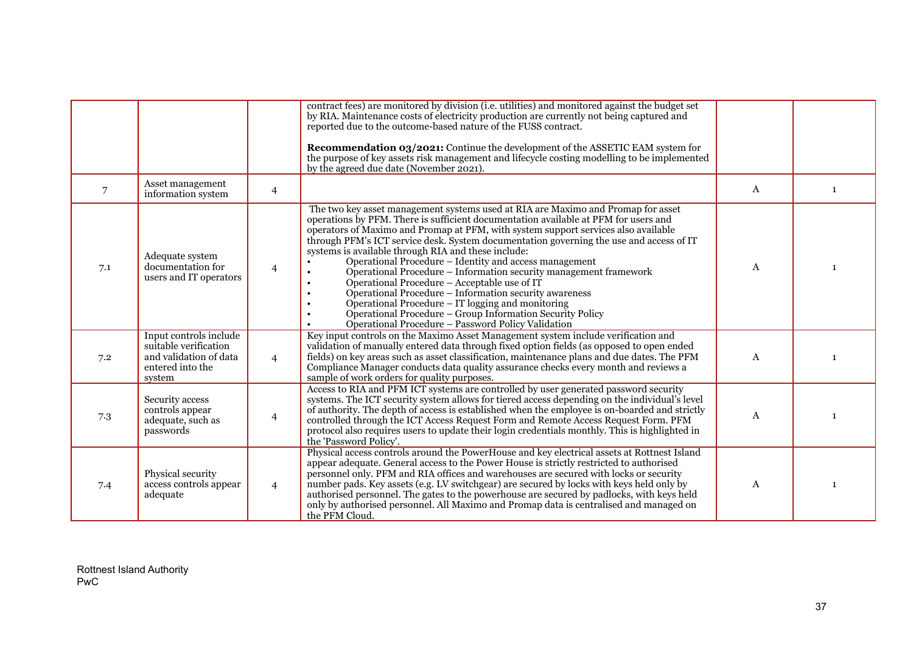|     |                                                                                                         |                | contract fees) are monitored by division (i.e. utilities) and monitored against the budget set<br>by RIA. Maintenance costs of electricity production are currently not being captured and<br>reported due to the outcome-based nature of the FUSS contract.<br>Recommendation 03/2021: Continue the development of the ASSETIC EAM system for<br>the purpose of key assets risk management and lifecycle costing modelling to be implemented<br>by the agreed due date (November 2021).                                                                                                                                                                                                                                                                                                                                         |   |   |
|-----|---------------------------------------------------------------------------------------------------------|----------------|----------------------------------------------------------------------------------------------------------------------------------------------------------------------------------------------------------------------------------------------------------------------------------------------------------------------------------------------------------------------------------------------------------------------------------------------------------------------------------------------------------------------------------------------------------------------------------------------------------------------------------------------------------------------------------------------------------------------------------------------------------------------------------------------------------------------------------|---|---|
| 7   | Asset management<br>information system                                                                  | $\overline{4}$ |                                                                                                                                                                                                                                                                                                                                                                                                                                                                                                                                                                                                                                                                                                                                                                                                                                  | A | 1 |
| 7.1 | Adequate system<br>documentation for<br>users and IT operators                                          | $\overline{4}$ | The two key asset management systems used at RIA are Maximo and Promap for asset<br>operations by PFM. There is sufficient documentation available at PFM for users and<br>operators of Maximo and Promap at PFM, with system support services also available<br>through PFM's ICT service desk. System documentation governing the use and access of IT<br>systems is available through RIA and these include:<br>Operational Procedure - Identity and access management<br>Operational Procedure - Information security management framework<br>Operational Procedure - Acceptable use of IT<br>Operational Procedure - Information security awareness<br>Operational Procedure – IT logging and monitoring<br>Operational Procedure - Group Information Security Policy<br>Operational Procedure - Password Policy Validation | A |   |
| 7.2 | Input controls include<br>suitable verification<br>and validation of data<br>entered into the<br>system | $\overline{4}$ | Key input controls on the Maximo Asset Management system include verification and<br>validation of manually entered data through fixed option fields (as opposed to open ended<br>fields) on key areas such as asset classification, maintenance plans and due dates. The PFM<br>Compliance Manager conducts data quality assurance checks every month and reviews a<br>sample of work orders for quality purposes.                                                                                                                                                                                                                                                                                                                                                                                                              | A |   |
| 7.3 | Security access<br>controls appear<br>adequate, such as<br>passwords                                    | 4              | Access to RIA and PFM ICT systems are controlled by user generated password security<br>systems. The ICT security system allows for tiered access depending on the individual's level<br>of authority. The depth of access is established when the employee is on-boarded and strictly<br>controlled through the ICT Access Request Form and Remote Access Request Form. PFM<br>protocol also requires users to update their login credentials monthly. This is highlighted in<br>the 'Password Policy'.                                                                                                                                                                                                                                                                                                                         | A |   |
| 7.4 | Physical security<br>access controls appear<br>adequate                                                 | $\overline{4}$ | Physical access controls around the PowerHouse and key electrical assets at Rottnest Island<br>appear adequate. General access to the Power House is strictly restricted to authorised<br>personnel only. PFM and RIA offices and warehouses are secured with locks or security<br>number pads. Key assets (e.g. LV switchgear) are secured by locks with keys held only by<br>authorised personnel. The gates to the powerhouse are secured by padlocks, with keys held<br>only by authorised personnel. All Maximo and Promap data is centralised and managed on<br>the PFM Cloud.                                                                                                                                                                                                                                             | A | 1 |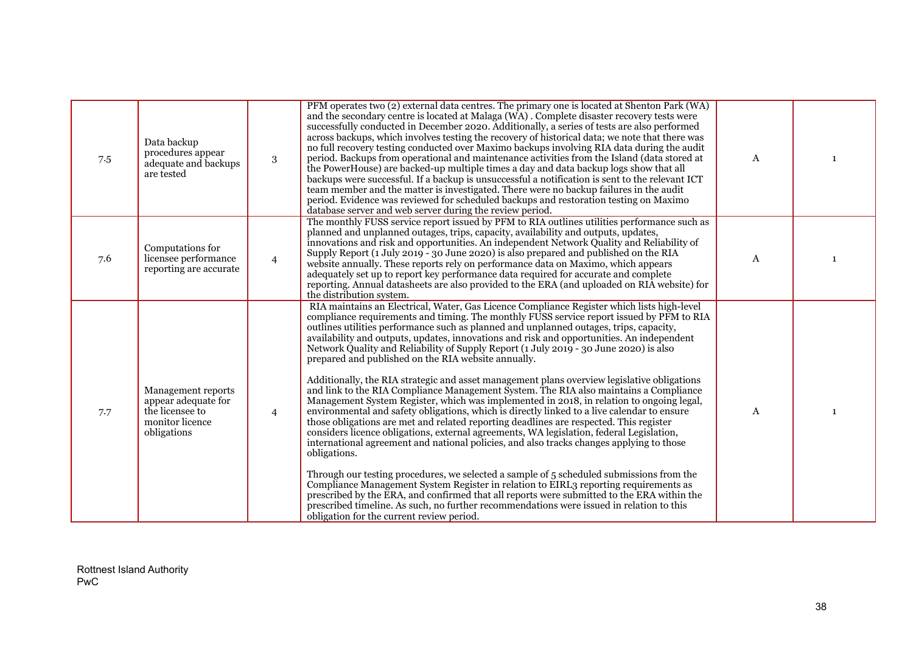| 7.5 | Data backup<br>procedures appear<br>adequate and backups<br>are tested                         | 3              | PFM operates two (2) external data centres. The primary one is located at Shenton Park (WA)<br>and the secondary centre is located at Malaga (WA). Complete disaster recovery tests were<br>successfully conducted in December 2020. Additionally, a series of tests are also performed<br>across backups, which involves testing the recovery of historical data; we note that there was<br>no full recovery testing conducted over Maximo backups involving RIA data during the audit<br>period. Backups from operational and maintenance activities from the Island (data stored at<br>the PowerHouse) are backed-up multiple times a day and data backup logs show that all<br>backups were successful. If a backup is unsuccessful a notification is sent to the relevant ICT<br>team member and the matter is investigated. There were no backup failures in the audit<br>period. Evidence was reviewed for scheduled backups and restoration testing on Maximo<br>database server and web server during the review period.                                                                                                                                                                                                                                                                                                                                                                                                                                                                                                                                                                                                             | A            | $\mathbf{1}$ |
|-----|------------------------------------------------------------------------------------------------|----------------|-----------------------------------------------------------------------------------------------------------------------------------------------------------------------------------------------------------------------------------------------------------------------------------------------------------------------------------------------------------------------------------------------------------------------------------------------------------------------------------------------------------------------------------------------------------------------------------------------------------------------------------------------------------------------------------------------------------------------------------------------------------------------------------------------------------------------------------------------------------------------------------------------------------------------------------------------------------------------------------------------------------------------------------------------------------------------------------------------------------------------------------------------------------------------------------------------------------------------------------------------------------------------------------------------------------------------------------------------------------------------------------------------------------------------------------------------------------------------------------------------------------------------------------------------------------------------------------------------------------------------------------------------|--------------|--------------|
| 7.6 | Computations for<br>licensee performance<br>reporting are accurate                             | $\overline{4}$ | The monthly FUSS service report issued by PFM to RIA outlines utilities performance such as<br>planned and unplanned outages, trips, capacity, availability and outputs, updates,<br>innovations and risk and opportunities. An independent Network Quality and Reliability of<br>Supply Report (1 July 2019 - 30 June 2020) is also prepared and published on the RIA<br>website annually. These reports rely on performance data on Maximo, which appears<br>adequately set up to report key performance data required for accurate and complete<br>reporting. Annual datasheets are also provided to the ERA (and uploaded on RIA website) for<br>the distribution system.                                                                                                                                                                                                                                                                                                                                                                                                                                                                                                                                                                                                                                                                                                                                                                                                                                                                                                                                                                 | $\mathbf{A}$ | $\mathbf{1}$ |
| 7.7 | Management reports<br>appear adequate for<br>the licensee to<br>monitor licence<br>obligations | $\overline{4}$ | RIA maintains an Electrical, Water, Gas Licence Compliance Register which lists high-level<br>compliance requirements and timing. The monthly FUSS service report issued by PFM to RIA<br>outlines utilities performance such as planned and unplanned outages, trips, capacity,<br>availability and outputs, updates, innovations and risk and opportunities. An independent<br>Network Quality and Reliability of Supply Report (1 July 2019 - 30 June 2020) is also<br>prepared and published on the RIA website annually.<br>Additionally, the RIA strategic and asset management plans overview legislative obligations<br>and link to the RIA Compliance Management System. The RIA also maintains a Compliance<br>Management System Register, which was implemented in 2018, in relation to ongoing legal,<br>environmental and safety obligations, which is directly linked to a live calendar to ensure<br>those obligations are met and related reporting deadlines are respected. This register<br>considers licence obligations, external agreements, WA legislation, federal Legislation,<br>international agreement and national policies, and also tracks changes applying to those<br>obligations.<br>Through our testing procedures, we selected a sample of 5 scheduled submissions from the<br>Compliance Management System Register in relation to EIRL3 reporting requirements as<br>prescribed by the ERA, and confirmed that all reports were submitted to the ERA within the<br>prescribed timeline. As such, no further recommendations were issued in relation to this<br>obligation for the current review period. | A            |              |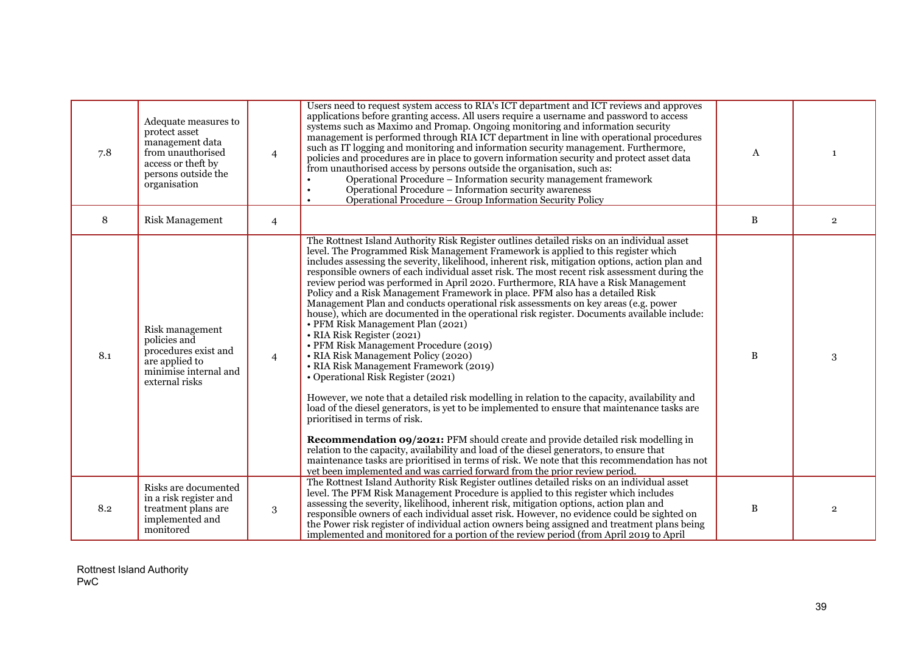| 7.8 | Adequate measures to<br>protect asset<br>management data<br>from unauthorised<br>access or theft by<br>persons outside the<br>organisation | $\overline{4}$ | Users need to request system access to RIA's ICT department and ICT reviews and approves<br>applications before granting access. All users require a username and password to access<br>systems such as Maximo and Promap. Ongoing monitoring and information security<br>management is performed through RIA ICT department in line with operational procedures<br>such as IT logging and monitoring and information security management. Furthermore,<br>policies and procedures are in place to govern information security and protect asset data<br>from unauthorised access by persons outside the organisation, such as:<br>Operational Procedure - Information security management framework<br>Operational Procedure - Information security awareness<br>Operational Procedure – Group Information Security Policy                                                                                                                                                                                                                                                                                                                                                                                                                                                                                                                                                                                                                                                                                                                                                               | $\mathbf{A}$ | $\mathbf{1}$   |
|-----|--------------------------------------------------------------------------------------------------------------------------------------------|----------------|-------------------------------------------------------------------------------------------------------------------------------------------------------------------------------------------------------------------------------------------------------------------------------------------------------------------------------------------------------------------------------------------------------------------------------------------------------------------------------------------------------------------------------------------------------------------------------------------------------------------------------------------------------------------------------------------------------------------------------------------------------------------------------------------------------------------------------------------------------------------------------------------------------------------------------------------------------------------------------------------------------------------------------------------------------------------------------------------------------------------------------------------------------------------------------------------------------------------------------------------------------------------------------------------------------------------------------------------------------------------------------------------------------------------------------------------------------------------------------------------------------------------------------------------------------------------------------------------|--------------|----------------|
| 8   | <b>Risk Management</b>                                                                                                                     | $\overline{4}$ |                                                                                                                                                                                                                                                                                                                                                                                                                                                                                                                                                                                                                                                                                                                                                                                                                                                                                                                                                                                                                                                                                                                                                                                                                                                                                                                                                                                                                                                                                                                                                                                           | B            | $\overline{2}$ |
| 8.1 | Risk management<br>policies and<br>procedures exist and<br>are applied to<br>minimise internal and<br>external risks                       | $\overline{4}$ | The Rottnest Island Authority Risk Register outlines detailed risks on an individual asset<br>level. The Programmed Risk Management Framework is applied to this register which<br>includes assessing the severity, likelihood, inherent risk, mitigation options, action plan and<br>responsible owners of each individual asset risk. The most recent risk assessment during the<br>review period was performed in April 2020. Furthermore, RIA have a Risk Management<br>Policy and a Risk Management Framework in place. PFM also has a detailed Risk<br>Management Plan and conducts operational risk assessments on key areas (e.g. power<br>house), which are documented in the operational risk register. Documents available include:<br>• PFM Risk Management Plan (2021)<br>• RIA Risk Register (2021)<br>• PFM Risk Management Procedure (2019)<br>• RIA Risk Management Policy (2020)<br>• RIA Risk Management Framework (2019)<br>• Operational Risk Register (2021)<br>However, we note that a detailed risk modelling in relation to the capacity, availability and<br>load of the diesel generators, is yet to be implemented to ensure that maintenance tasks are<br>prioritised in terms of risk.<br><b>Recommendation 09/2021:</b> PFM should create and provide detailed risk modelling in<br>relation to the capacity, availability and load of the diesel generators, to ensure that<br>maintenance tasks are prioritised in terms of risk. We note that this recommendation has not<br>yet been implemented and was carried forward from the prior review period. | B            | 3              |
| 8.2 | Risks are documented<br>in a risk register and<br>treatment plans are<br>implemented and<br>monitored                                      | 3              | The Rottnest Island Authority Risk Register outlines detailed risks on an individual asset<br>level. The PFM Risk Management Procedure is applied to this register which includes<br>assessing the severity, likelihood, inherent risk, mitigation options, action plan and<br>responsible owners of each individual asset risk. However, no evidence could be sighted on<br>the Power risk register of individual action owners being assigned and treatment plans being<br>implemented and monitored for a portion of the review period (from April 2019 to April                                                                                                                                                                                                                                                                                                                                                                                                                                                                                                                                                                                                                                                                                                                                                                                                                                                                                                                                                                                                                       | B            | $\overline{2}$ |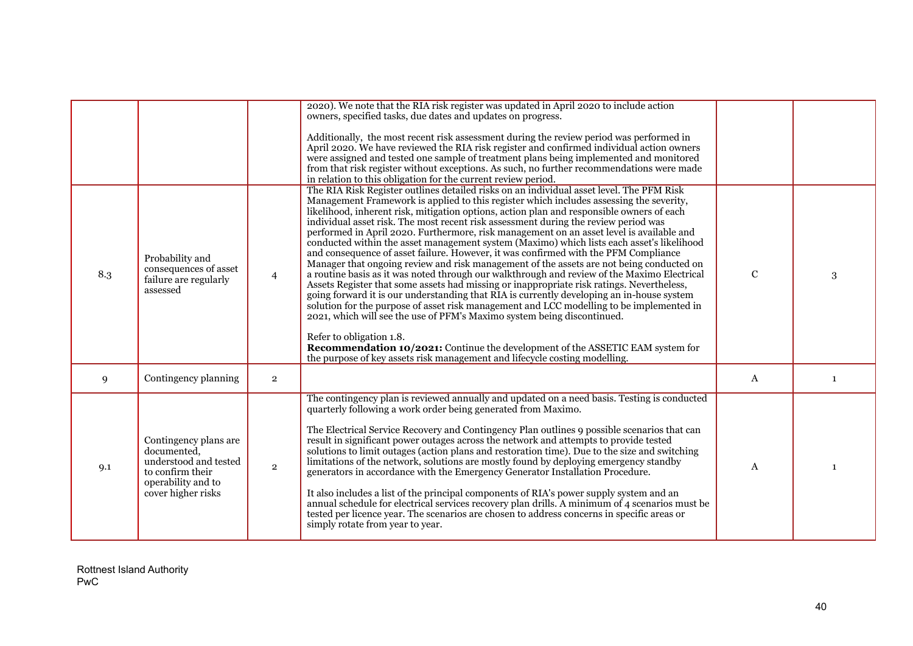|     |                                                                                                                               |                | 2020). We note that the RIA risk register was updated in April 2020 to include action<br>owners, specified tasks, due dates and updates on progress.<br>Additionally, the most recent risk assessment during the review period was performed in<br>April 2020. We have reviewed the RIA risk register and confirmed individual action owners<br>were assigned and tested one sample of treatment plans being implemented and monitored<br>from that risk register without exceptions. As such, no further recommendations were made<br>in relation to this obligation for the current review period.                                                                                                                                                                                                                                                                                                                                                                                                                                                                                                                                                                                                                                                                                                                                                                                                            |              |              |
|-----|-------------------------------------------------------------------------------------------------------------------------------|----------------|-----------------------------------------------------------------------------------------------------------------------------------------------------------------------------------------------------------------------------------------------------------------------------------------------------------------------------------------------------------------------------------------------------------------------------------------------------------------------------------------------------------------------------------------------------------------------------------------------------------------------------------------------------------------------------------------------------------------------------------------------------------------------------------------------------------------------------------------------------------------------------------------------------------------------------------------------------------------------------------------------------------------------------------------------------------------------------------------------------------------------------------------------------------------------------------------------------------------------------------------------------------------------------------------------------------------------------------------------------------------------------------------------------------------|--------------|--------------|
| 8.3 | Probability and<br>consequences of asset<br>failure are regularly<br>assessed                                                 | $\overline{4}$ | The RIA Risk Register outlines detailed risks on an individual asset level. The PFM Risk<br>Management Framework is applied to this register which includes assessing the severity,<br>likelihood, inherent risk, mitigation options, action plan and responsible owners of each<br>individual asset risk. The most recent risk assessment during the review period was<br>performed in April 2020. Furthermore, risk management on an asset level is available and<br>conducted within the asset management system (Maximo) which lists each asset's likelihood<br>and consequence of asset failure. However, it was confirmed with the PFM Compliance<br>Manager that ongoing review and risk management of the assets are not being conducted on<br>a routine basis as it was noted through our walkthrough and review of the Maximo Electrical<br>Assets Register that some assets had missing or inappropriate risk ratings. Nevertheless,<br>going forward it is our understanding that RIA is currently developing an in-house system<br>solution for the purpose of asset risk management and LCC modelling to be implemented in<br>2021, which will see the use of PFM's Maximo system being discontinued.<br>Refer to obligation 1.8.<br>Recommendation 10/2021: Continue the development of the ASSETIC EAM system for<br>the purpose of key assets risk management and lifecycle costing modelling. | $\mathbf C$  | 3            |
| 9   | Contingency planning                                                                                                          | $\overline{2}$ |                                                                                                                                                                                                                                                                                                                                                                                                                                                                                                                                                                                                                                                                                                                                                                                                                                                                                                                                                                                                                                                                                                                                                                                                                                                                                                                                                                                                                 | A            | $\mathbf{1}$ |
| 9.1 | Contingency plans are<br>documented,<br>understood and tested<br>to confirm their<br>operability and to<br>cover higher risks | $\overline{2}$ | The contingency plan is reviewed annually and updated on a need basis. Testing is conducted<br>quarterly following a work order being generated from Maximo.<br>The Electrical Service Recovery and Contingency Plan outlines 9 possible scenarios that can<br>result in significant power outages across the network and attempts to provide tested<br>solutions to limit outages (action plans and restoration time). Due to the size and switching<br>limitations of the network, solutions are mostly found by deploying emergency standby<br>generators in accordance with the Emergency Generator Installation Procedure.<br>It also includes a list of the principal components of RIA's power supply system and an annual schedule for electrical services recovery plan drills. A minimum of 4 scenarios must be<br>tested per licence year. The scenarios are chosen to address concerns in specific areas or<br>simply rotate from year to year.                                                                                                                                                                                                                                                                                                                                                                                                                                                     | $\mathbf{A}$ |              |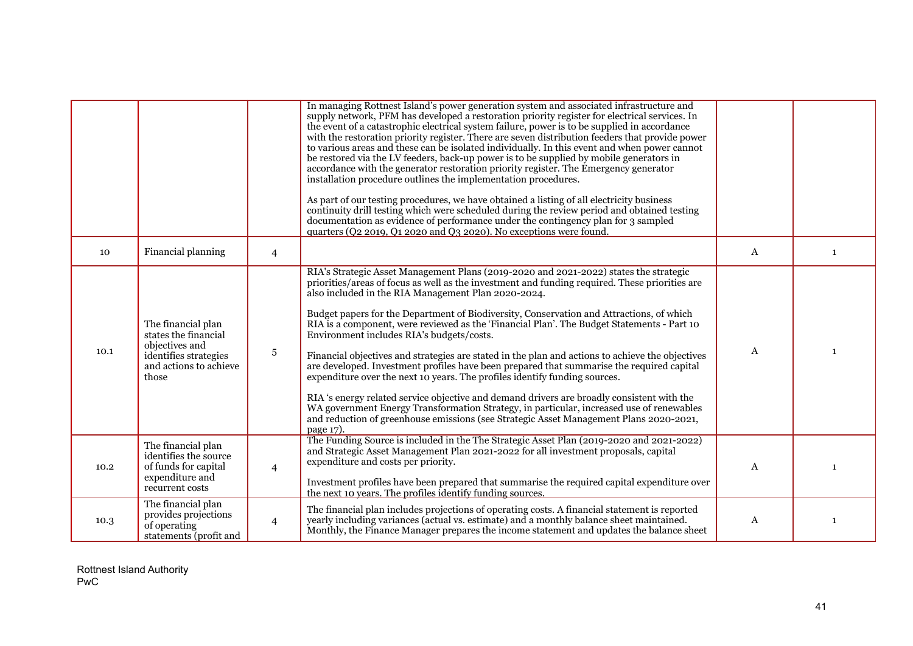|      |                                                                                                                          |                | In managing Rottnest Island's power generation system and associated infrastructure and<br>supply network, PFM has developed a restoration priority register for electrical services. In<br>the event of a catastrophic electrical system failure, power is to be supplied in accordance<br>with the restoration priority register. There are seven distribution feeders that provide power<br>to various areas and these can be isolated individually. In this event and when power cannot<br>be restored via the LV feeders, back-up power is to be supplied by mobile generators in<br>accordance with the generator restoration priority register. The Emergency generator<br>installation procedure outlines the implementation procedures.<br>As part of our testing procedures, we have obtained a listing of all electricity business<br>continuity drill testing which were scheduled during the review period and obtained testing<br>documentation as evidence of performance under the contingency plan for 3 sampled<br>quarters (Q2 2019, Q1 2020 and Q3 2020). No exceptions were found. |   |              |
|------|--------------------------------------------------------------------------------------------------------------------------|----------------|---------------------------------------------------------------------------------------------------------------------------------------------------------------------------------------------------------------------------------------------------------------------------------------------------------------------------------------------------------------------------------------------------------------------------------------------------------------------------------------------------------------------------------------------------------------------------------------------------------------------------------------------------------------------------------------------------------------------------------------------------------------------------------------------------------------------------------------------------------------------------------------------------------------------------------------------------------------------------------------------------------------------------------------------------------------------------------------------------------|---|--------------|
| 10   | Financial planning                                                                                                       | $\overline{4}$ |                                                                                                                                                                                                                                                                                                                                                                                                                                                                                                                                                                                                                                                                                                                                                                                                                                                                                                                                                                                                                                                                                                         | A | $\mathbf{1}$ |
| 10.1 | The financial plan<br>states the financial<br>objectives and<br>identifies strategies<br>and actions to achieve<br>those | 5              | RIA's Strategic Asset Management Plans (2019-2020 and 2021-2022) states the strategic<br>priorities/areas of focus as well as the investment and funding required. These priorities are<br>also included in the RIA Management Plan 2020-2024.<br>Budget papers for the Department of Biodiversity, Conservation and Attractions, of which<br>RIA is a component, were reviewed as the 'Financial Plan'. The Budget Statements - Part 10<br>Environment includes RIA's budgets/costs.<br>Financial objectives and strategies are stated in the plan and actions to achieve the objectives<br>are developed. Investment profiles have been prepared that summarise the required capital<br>expenditure over the next 10 years. The profiles identify funding sources.<br>RIA's energy related service objective and demand drivers are broadly consistent with the<br>WA government Energy Transformation Strategy, in particular, increased use of renewables<br>and reduction of greenhouse emissions (see Strategic Asset Management Plans 2020-2021,<br>page 17).                                    | A | $\mathbf{1}$ |
| 10.2 | The financial plan<br>identifies the source<br>of funds for capital<br>expenditure and<br>recurrent costs                | $\overline{4}$ | The Funding Source is included in the The Strategic Asset Plan (2019-2020 and 2021-2022)<br>and Strategic Asset Management Plan 2021-2022 for all investment proposals, capital<br>expenditure and costs per priority.<br>Investment profiles have been prepared that summarise the required capital expenditure over<br>the next 10 years. The profiles identify funding sources.                                                                                                                                                                                                                                                                                                                                                                                                                                                                                                                                                                                                                                                                                                                      | A |              |
| 10.3 | The financial plan<br>provides projections<br>of operating<br>statements (profit and                                     | $\overline{4}$ | The financial plan includes projections of operating costs. A financial statement is reported<br>yearly including variances (actual vs. estimate) and a monthly balance sheet maintained.<br>Monthly, the Finance Manager prepares the income statement and updates the balance sheet                                                                                                                                                                                                                                                                                                                                                                                                                                                                                                                                                                                                                                                                                                                                                                                                                   | A | 1            |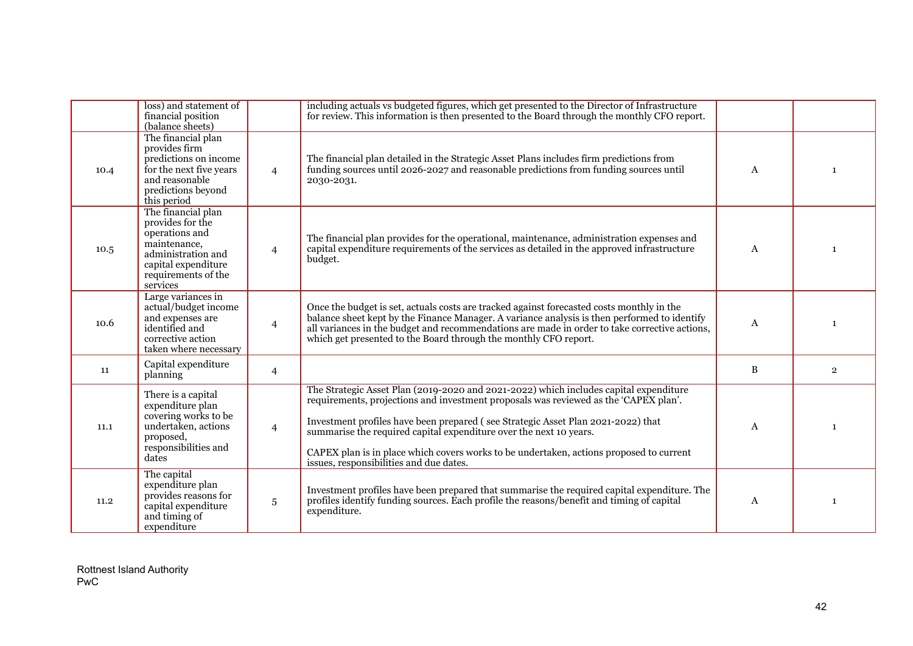|      | loss) and statement of<br>financial position<br>(balance sheets)                                                                                         |                | including actuals vs budgeted figures, which get presented to the Director of Infrastructure<br>for review. This information is then presented to the Board through the monthly CFO report.                                                                                                                                                                                                                                                                                   |   |                |
|------|----------------------------------------------------------------------------------------------------------------------------------------------------------|----------------|-------------------------------------------------------------------------------------------------------------------------------------------------------------------------------------------------------------------------------------------------------------------------------------------------------------------------------------------------------------------------------------------------------------------------------------------------------------------------------|---|----------------|
| 10.4 | The financial plan<br>provides firm<br>predictions on income<br>for the next five years<br>and reasonable<br>predictions beyond<br>this period           | $\overline{4}$ | The financial plan detailed in the Strategic Asset Plans includes firm predictions from<br>funding sources until 2026-2027 and reasonable predictions from funding sources until<br>2030-2031.                                                                                                                                                                                                                                                                                | A | 1              |
| 10.5 | The financial plan<br>provides for the<br>operations and<br>maintenance,<br>administration and<br>capital expenditure<br>requirements of the<br>services | $\overline{4}$ | The financial plan provides for the operational, maintenance, administration expenses and<br>capital expenditure requirements of the services as detailed in the approved infrastructure<br>budget.                                                                                                                                                                                                                                                                           | A | 1              |
| 10.6 | Large variances in<br>actual/budget income<br>and expenses are<br>identified and<br>corrective action<br>taken where necessary                           | $\overline{4}$ | Once the budget is set, actuals costs are tracked against forecasted costs monthly in the<br>balance sheet kept by the Finance Manager. A variance analysis is then performed to identify<br>all variances in the budget and recommendations are made in order to take corrective actions,<br>which get presented to the Board through the monthly CFO report.                                                                                                                | A |                |
| 11   | Capital expenditure<br>planning                                                                                                                          | $\overline{4}$ |                                                                                                                                                                                                                                                                                                                                                                                                                                                                               | B | $\overline{2}$ |
| 11.1 | There is a capital<br>expenditure plan<br>covering works to be<br>undertaken, actions<br>proposed,<br>responsibilities and<br>dates                      | $\overline{4}$ | The Strategic Asset Plan (2019-2020 and 2021-2022) which includes capital expenditure<br>requirements, projections and investment proposals was reviewed as the 'CAPEX plan'.<br>Investment profiles have been prepared (see Strategic Asset Plan 2021-2022) that<br>summarise the required capital expenditure over the next 10 years.<br>CAPEX plan is in place which covers works to be undertaken, actions proposed to current<br>issues, responsibilities and due dates. | A | 1              |
| 11.2 | The capital<br>expenditure plan<br>provides reasons for<br>capital expenditure<br>and timing of<br>expenditure                                           | 5              | Investment profiles have been prepared that summarise the required capital expenditure. The<br>profiles identify funding sources. Each profile the reasons/benefit and timing of capital<br>expenditure.                                                                                                                                                                                                                                                                      | A | 1              |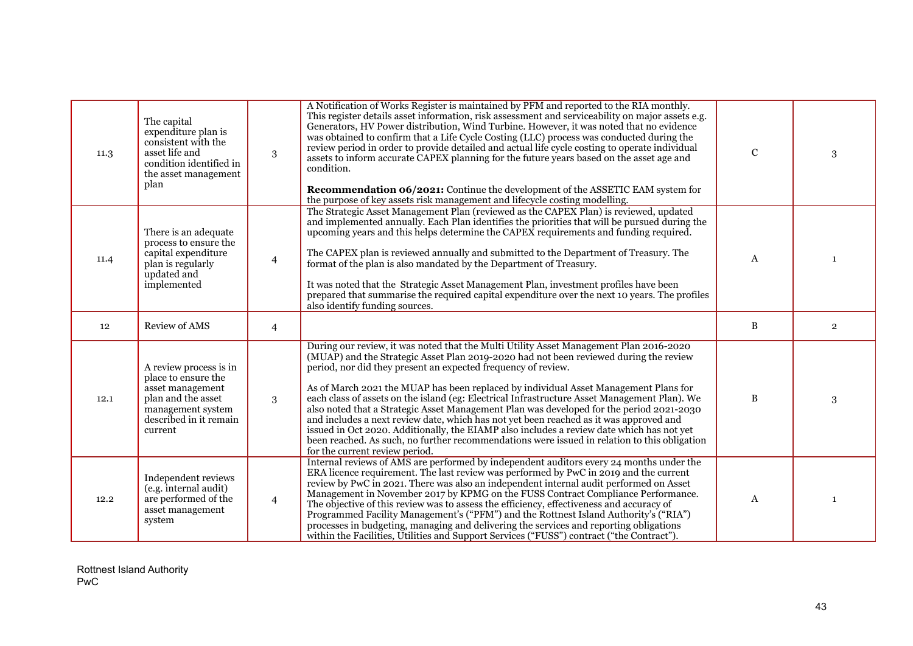| 11.3 | The capital<br>expenditure plan is<br>consistent with the<br>asset life and<br>condition identified in<br>the asset management<br>plan            | 3              | A Notification of Works Register is maintained by PFM and reported to the RIA monthly.<br>This register details asset information, risk assessment and serviceability on major assets e.g.<br>Generators, HV Power distribution, Wind Turbine. However, it was noted that no evidence<br>was obtained to confirm that a Life Cycle Costing (LLC) process was conducted during the<br>review period in order to provide detailed and actual life cycle costing to operate individual<br>assets to inform accurate CAPEX planning for the future years based on the asset age and<br>condition.<br><b>Recommendation 06/2021:</b> Continue the development of the ASSETIC EAM system for<br>the purpose of key assets risk management and lifecycle costing modelling.                                                                                          | $\mathbf C$  | 3              |
|------|---------------------------------------------------------------------------------------------------------------------------------------------------|----------------|---------------------------------------------------------------------------------------------------------------------------------------------------------------------------------------------------------------------------------------------------------------------------------------------------------------------------------------------------------------------------------------------------------------------------------------------------------------------------------------------------------------------------------------------------------------------------------------------------------------------------------------------------------------------------------------------------------------------------------------------------------------------------------------------------------------------------------------------------------------|--------------|----------------|
| 11.4 | There is an adequate<br>process to ensure the<br>capital expenditure<br>plan is regularly<br>updated and<br>implemented                           | $\overline{4}$ | The Strategic Asset Management Plan (reviewed as the CAPEX Plan) is reviewed, updated<br>and implemented annually. Each Plan identifies the priorities that will be pursued during the<br>upcoming years and this helps determine the CAPEX requirements and funding required.<br>The CAPEX plan is reviewed annually and submitted to the Department of Treasury. The<br>format of the plan is also mandated by the Department of Treasury.<br>It was noted that the Strategic Asset Management Plan, investment profiles have been<br>prepared that summarise the required capital expenditure over the next 10 years. The profiles<br>also identify funding sources.                                                                                                                                                                                       | A            | $\mathbf{1}$   |
| 12   | Review of AMS                                                                                                                                     | $\overline{4}$ |                                                                                                                                                                                                                                                                                                                                                                                                                                                                                                                                                                                                                                                                                                                                                                                                                                                               | $\, {\bf B}$ | $\overline{2}$ |
| 12.1 | A review process is in<br>place to ensure the<br>asset management<br>plan and the asset<br>management system<br>described in it remain<br>current | 3              | During our review, it was noted that the Multi Utility Asset Management Plan 2016-2020<br>(MUAP) and the Strategic Asset Plan 2019-2020 had not been reviewed during the review<br>period, nor did they present an expected frequency of review.<br>As of March 2021 the MUAP has been replaced by individual Asset Management Plans for<br>each class of assets on the island (eg: Electrical Infrastructure Asset Management Plan). We<br>also noted that a Strategic Asset Management Plan was developed for the period 2021-2030<br>and includes a next review date, which has not yet been reached as it was approved and<br>issued in Oct 2020. Additionally, the EIAMP also includes a review date which has not yet<br>been reached. As such, no further recommendations were issued in relation to this obligation<br>for the current review period. | $\, {\bf B}$ | 3              |
| 12.2 | Independent reviews<br>(e.g. internal audit)<br>are performed of the<br>asset management<br>system                                                | $\overline{4}$ | Internal reviews of AMS are performed by independent auditors every 24 months under the<br>ERA licence requirement. The last review was performed by PwC in 2019 and the current<br>review by PwC in 2021. There was also an independent internal audit performed on Asset<br>Management in November 2017 by KPMG on the FUSS Contract Compliance Performance.<br>The objective of this review was to assess the efficiency, effectiveness and accuracy of<br>Programmed Facility Management's ("PFM") and the Rottnest Island Authority's ("RIA")<br>processes in budgeting, managing and delivering the services and reporting obligations<br>within the Facilities, Utilities and Support Services ("FUSS") contract ("the Contract").                                                                                                                     | A            | 1              |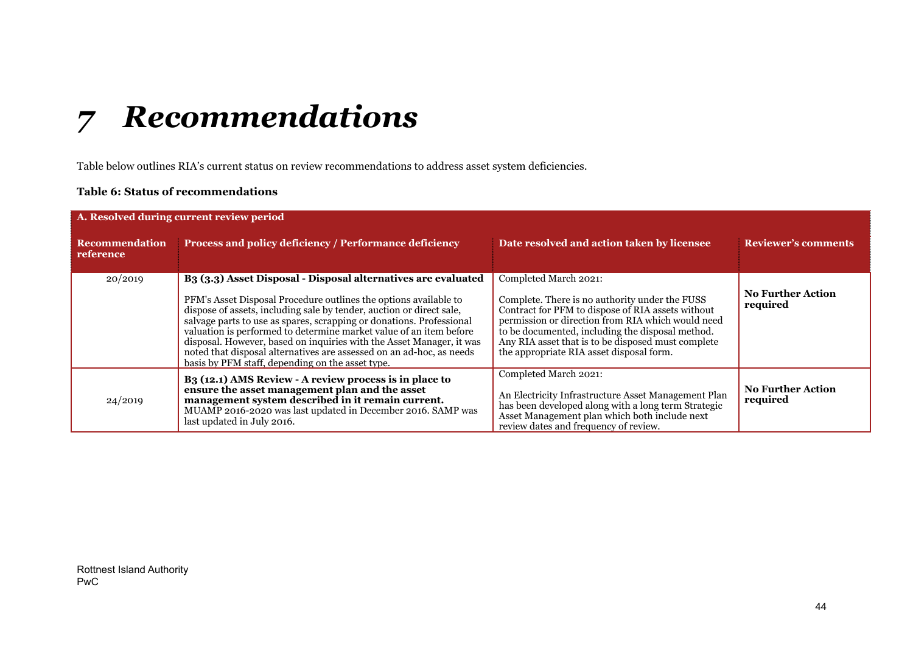# *7 Recommendations*

Table below outlines RIA's current status on review recommendations to address asset system deficiencies.

#### **Table 6: Status of recommendations**

<span id="page-43-0"></span>

| A. Resolved during current review period |                                                                                                                                                                                                                                                                                                                                                                                                                                                                                                                                                                         |                                                                                                                                                                                                                                                                                                                                         |                                      |
|------------------------------------------|-------------------------------------------------------------------------------------------------------------------------------------------------------------------------------------------------------------------------------------------------------------------------------------------------------------------------------------------------------------------------------------------------------------------------------------------------------------------------------------------------------------------------------------------------------------------------|-----------------------------------------------------------------------------------------------------------------------------------------------------------------------------------------------------------------------------------------------------------------------------------------------------------------------------------------|--------------------------------------|
| <b>Recommendation</b><br>reference       | Process and policy deficiency / Performance deficiency                                                                                                                                                                                                                                                                                                                                                                                                                                                                                                                  | Date resolved and action taken by licensee                                                                                                                                                                                                                                                                                              | <b>Reviewer's comments</b>           |
| 20/2019                                  | B <sub>3</sub> (3.3) Asset Disposal - Disposal alternatives are evaluated<br>PFM's Asset Disposal Procedure outlines the options available to<br>dispose of assets, including sale by tender, auction or direct sale,<br>salvage parts to use as spares, scrapping or donations. Professional<br>valuation is performed to determine market value of an item before<br>disposal. However, based on inquiries with the Asset Manager, it was<br>noted that disposal alternatives are assessed on an ad-hoc, as needs<br>basis by PFM staff, depending on the asset type. | Completed March 2021:<br>Complete. There is no authority under the FUSS<br>Contract for PFM to dispose of RIA assets without<br>permission or direction from RIA which would need<br>to be documented, including the disposal method.<br>Any RIA asset that is to be disposed must complete<br>the appropriate RIA asset disposal form. | <b>No Further Action</b><br>required |
| 24/2019                                  | B <sub>3</sub> (12.1) AMS Review - A review process is in place to<br>ensure the asset management plan and the asset<br>management system described in it remain current.<br>MUAMP 2016-2020 was last updated in December 2016. SAMP was<br>last updated in July 2016.                                                                                                                                                                                                                                                                                                  | Completed March 2021:<br>An Electricity Infrastructure Asset Management Plan<br>has been developed along with a long term Strategic<br>Asset Management plan which both include next<br>review dates and frequency of review.                                                                                                           | <b>No Further Action</b><br>required |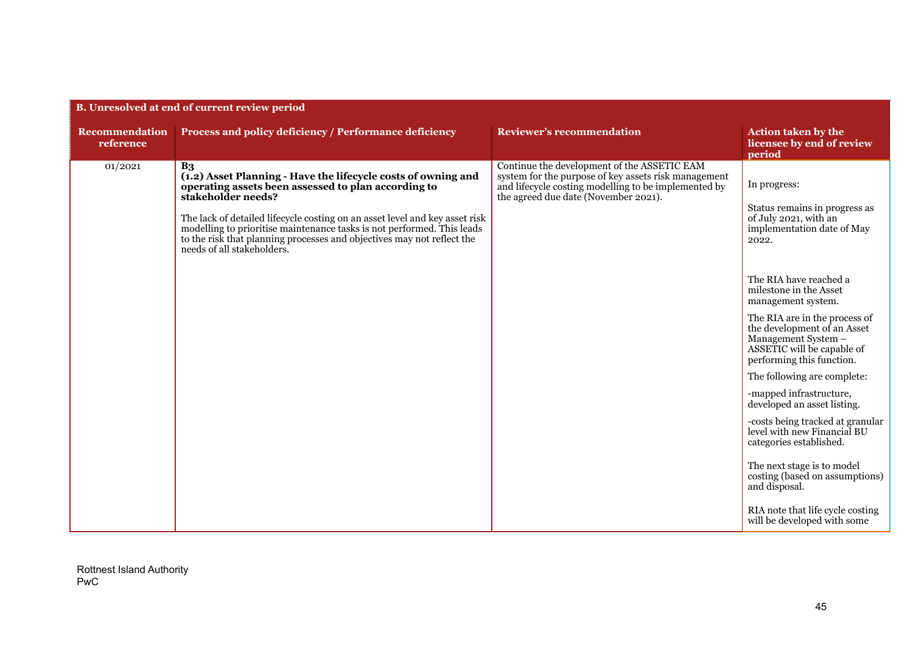| B. Unresolved at end of current review period |                                                                                                                                                                                                                                                                                                                                                                                                                               |                                                                                                                                                                                                     |                                                                                                                                                                                                                                                                                                                                                                                                                                                                                                                                                                                                                                                                                      |  |
|-----------------------------------------------|-------------------------------------------------------------------------------------------------------------------------------------------------------------------------------------------------------------------------------------------------------------------------------------------------------------------------------------------------------------------------------------------------------------------------------|-----------------------------------------------------------------------------------------------------------------------------------------------------------------------------------------------------|--------------------------------------------------------------------------------------------------------------------------------------------------------------------------------------------------------------------------------------------------------------------------------------------------------------------------------------------------------------------------------------------------------------------------------------------------------------------------------------------------------------------------------------------------------------------------------------------------------------------------------------------------------------------------------------|--|
| <b>Recommendation</b><br>reference            | Process and policy deficiency / Performance deficiency                                                                                                                                                                                                                                                                                                                                                                        | <b>Reviewer's recommendation</b>                                                                                                                                                                    | <b>Action taken by the</b><br>licensee by end of review<br>period                                                                                                                                                                                                                                                                                                                                                                                                                                                                                                                                                                                                                    |  |
| 01/2021                                       | B <sub>3</sub><br>(1.2) Asset Planning - Have the lifecycle costs of owning and<br>operating assets been assessed to plan according to<br>stakeholder needs?<br>The lack of detailed lifecycle costing on an asset level and key asset risk<br>modelling to prioritise maintenance tasks is not performed. This leads<br>to the risk that planning processes and objectives may not reflect the<br>needs of all stakeholders. | Continue the development of the ASSETIC EAM<br>system for the purpose of key assets risk management<br>and lifecycle costing modelling to be implemented by<br>the agreed due date (November 2021). | In progress:<br>Status remains in progress as<br>of July 2021, with an<br>implementation date of May<br>2022.<br>The RIA have reached a<br>milestone in the Asset<br>management system.<br>The RIA are in the process of<br>the development of an Asset<br>Management System -<br>ASSETIC will be capable of<br>performing this function.<br>The following are complete:<br>-mapped infrastructure,<br>developed an asset listing.<br>-costs being tracked at granular<br>level with new Financial BU<br>categories established.<br>The next stage is to model<br>costing (based on assumptions)<br>and disposal.<br>RIA note that life cycle costing<br>will be developed with some |  |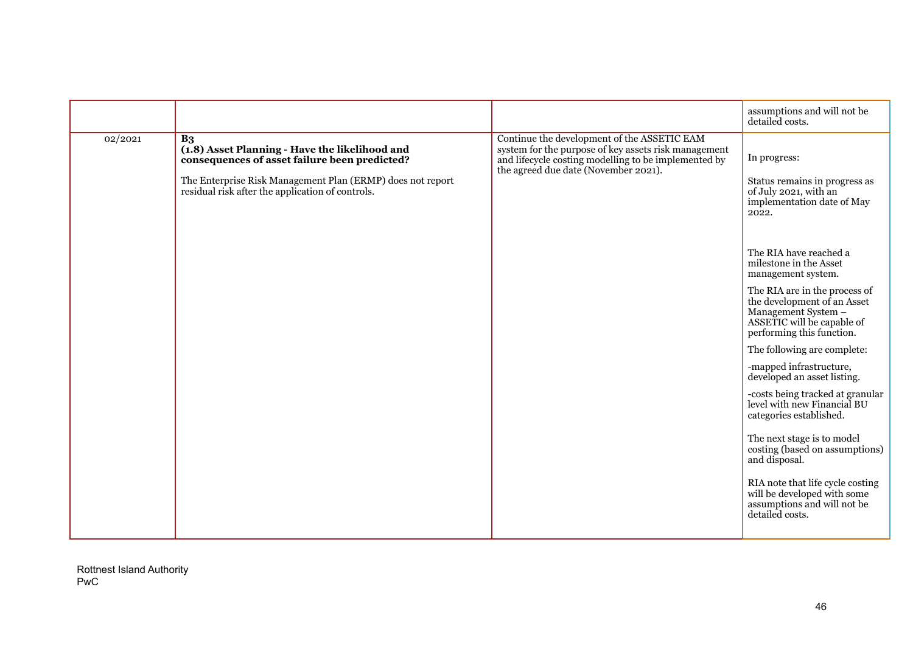|         |                                                                                                                                                                                                                                     |                                                                                                                                                                                                     | assumptions and will not be<br>detailed costs.                                                                                                 |
|---------|-------------------------------------------------------------------------------------------------------------------------------------------------------------------------------------------------------------------------------------|-----------------------------------------------------------------------------------------------------------------------------------------------------------------------------------------------------|------------------------------------------------------------------------------------------------------------------------------------------------|
| 02/2021 | B <sub>3</sub><br>(1.8) Asset Planning - Have the likelihood and<br>consequences of asset failure been predicted?<br>The Enterprise Risk Management Plan (ERMP) does not report<br>residual risk after the application of controls. | Continue the development of the ASSETIC EAM<br>system for the purpose of key assets risk management<br>and lifecycle costing modelling to be implemented by<br>the agreed due date (November 2021). | In progress:<br>Status remains in progress as<br>of July 2021, with an<br>implementation date of May<br>2022.<br>The RIA have reached a        |
|         |                                                                                                                                                                                                                                     |                                                                                                                                                                                                     | milestone in the Asset<br>management system.                                                                                                   |
|         |                                                                                                                                                                                                                                     |                                                                                                                                                                                                     | The RIA are in the process of<br>the development of an Asset<br>Management System -<br>ASSETIC will be capable of<br>performing this function. |
|         |                                                                                                                                                                                                                                     |                                                                                                                                                                                                     | The following are complete:                                                                                                                    |
|         |                                                                                                                                                                                                                                     |                                                                                                                                                                                                     | -mapped infrastructure,<br>developed an asset listing.                                                                                         |
|         |                                                                                                                                                                                                                                     |                                                                                                                                                                                                     | -costs being tracked at granular<br>level with new Financial BU<br>categories established.                                                     |
|         |                                                                                                                                                                                                                                     |                                                                                                                                                                                                     | The next stage is to model<br>costing (based on assumptions)<br>and disposal.                                                                  |
|         |                                                                                                                                                                                                                                     |                                                                                                                                                                                                     | RIA note that life cycle costing<br>will be developed with some<br>assumptions and will not be<br>detailed costs.                              |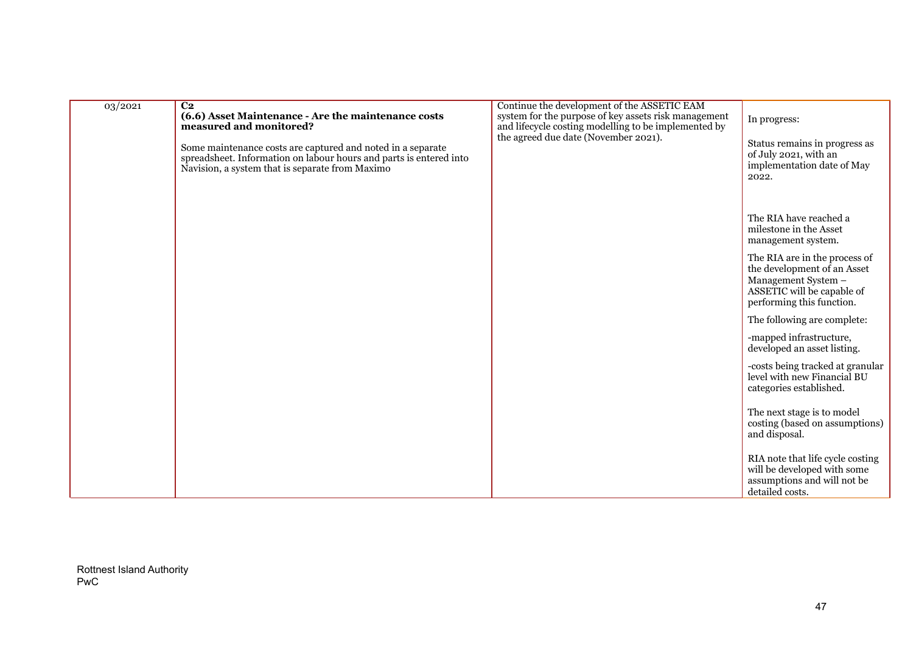| 03/2021 | C <sub>2</sub><br>(6.6) Asset Maintenance - Are the maintenance costs<br>measured and monitored?<br>Some maintenance costs are captured and noted in a separate<br>spreadsheet. Information on labour hours and parts is entered into<br>Navision, a system that is separate from Maximo | Continue the development of the ASSETIC EAM<br>system for the purpose of key assets risk management<br>and lifecycle costing modelling to be implemented by<br>the agreed due date (November 2021). | In progress:<br>Status remains in progress as<br>of July 2021, with an<br>implementation date of May<br>2022.                                  |
|---------|------------------------------------------------------------------------------------------------------------------------------------------------------------------------------------------------------------------------------------------------------------------------------------------|-----------------------------------------------------------------------------------------------------------------------------------------------------------------------------------------------------|------------------------------------------------------------------------------------------------------------------------------------------------|
|         |                                                                                                                                                                                                                                                                                          |                                                                                                                                                                                                     | The RIA have reached a<br>milestone in the Asset<br>management system.                                                                         |
|         |                                                                                                                                                                                                                                                                                          |                                                                                                                                                                                                     | The RIA are in the process of<br>the development of an Asset<br>Management System -<br>ASSETIC will be capable of<br>performing this function. |
|         |                                                                                                                                                                                                                                                                                          |                                                                                                                                                                                                     | The following are complete:                                                                                                                    |
|         |                                                                                                                                                                                                                                                                                          |                                                                                                                                                                                                     | -mapped infrastructure,<br>developed an asset listing.                                                                                         |
|         |                                                                                                                                                                                                                                                                                          |                                                                                                                                                                                                     | -costs being tracked at granular<br>level with new Financial BU<br>categories established.                                                     |
|         |                                                                                                                                                                                                                                                                                          |                                                                                                                                                                                                     | The next stage is to model<br>costing (based on assumptions)<br>and disposal.                                                                  |
|         |                                                                                                                                                                                                                                                                                          |                                                                                                                                                                                                     | RIA note that life cycle costing<br>will be developed with some<br>assumptions and will not be<br>detailed costs.                              |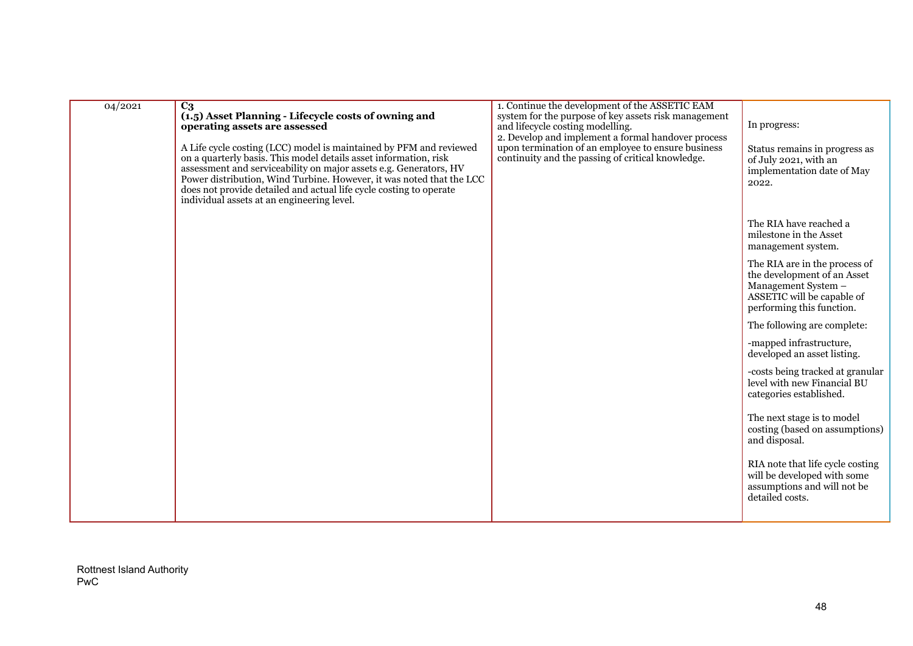| 04/2021 |                                                                                                                                                                                                                                                                                                                                                                                                                                                                                                           | 1. Continue the development of the ASSETIC EAM                                                                                                                                                                                                            |                                                                                                                                                |
|---------|-----------------------------------------------------------------------------------------------------------------------------------------------------------------------------------------------------------------------------------------------------------------------------------------------------------------------------------------------------------------------------------------------------------------------------------------------------------------------------------------------------------|-----------------------------------------------------------------------------------------------------------------------------------------------------------------------------------------------------------------------------------------------------------|------------------------------------------------------------------------------------------------------------------------------------------------|
|         | $C_3$<br>(1.5) Asset Planning - Lifecycle costs of owning and<br>operating assets are assessed<br>A Life cycle costing (LCC) model is maintained by PFM and reviewed<br>on a quarterly basis. This model details asset information, risk<br>assessment and serviceability on major assets e.g. Generators, HV<br>Power distribution, Wind Turbine. However, it was noted that the LCC<br>does not provide detailed and actual life cycle costing to operate<br>individual assets at an engineering level. | system for the purpose of key assets risk management<br>and lifecycle costing modelling.<br>2. Develop and implement a formal handover process<br>upon termination of an employee to ensure business<br>continuity and the passing of critical knowledge. | In progress:<br>Status remains in progress as<br>of July 2021, with an<br>implementation date of May<br>2022.                                  |
|         |                                                                                                                                                                                                                                                                                                                                                                                                                                                                                                           |                                                                                                                                                                                                                                                           | The RIA have reached a<br>milestone in the Asset<br>management system.                                                                         |
|         |                                                                                                                                                                                                                                                                                                                                                                                                                                                                                                           |                                                                                                                                                                                                                                                           | The RIA are in the process of<br>the development of an Asset<br>Management System -<br>ASSETIC will be capable of<br>performing this function. |
|         |                                                                                                                                                                                                                                                                                                                                                                                                                                                                                                           |                                                                                                                                                                                                                                                           | The following are complete:                                                                                                                    |
|         |                                                                                                                                                                                                                                                                                                                                                                                                                                                                                                           |                                                                                                                                                                                                                                                           | -mapped infrastructure,<br>developed an asset listing.                                                                                         |
|         |                                                                                                                                                                                                                                                                                                                                                                                                                                                                                                           |                                                                                                                                                                                                                                                           | -costs being tracked at granular<br>level with new Financial BU<br>categories established.                                                     |
|         |                                                                                                                                                                                                                                                                                                                                                                                                                                                                                                           |                                                                                                                                                                                                                                                           | The next stage is to model<br>costing (based on assumptions)<br>and disposal.                                                                  |
|         |                                                                                                                                                                                                                                                                                                                                                                                                                                                                                                           |                                                                                                                                                                                                                                                           | RIA note that life cycle costing<br>will be developed with some<br>assumptions and will not be<br>detailed costs.                              |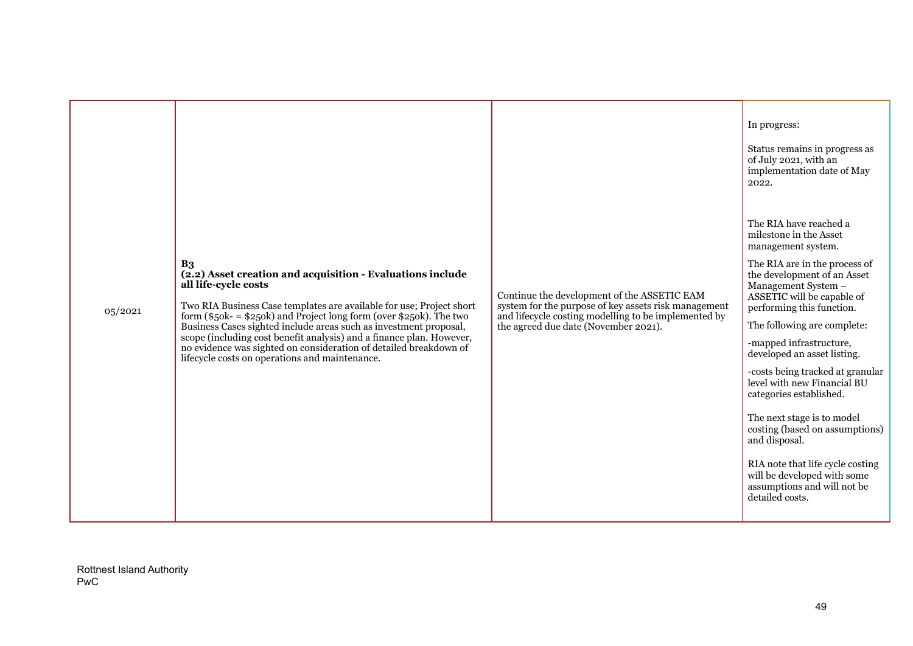|         |                                                                                                                                                                                                                                                                                                                                                                                                                                                                                                                             |                                                                                                                                                                                                     | In progress:<br>Status remains in progress as<br>of July 2021, with an<br>implementation date of May<br>2022.                                                                                                                                                                                                                                                                                                                                                                                                                                                                                                         |
|---------|-----------------------------------------------------------------------------------------------------------------------------------------------------------------------------------------------------------------------------------------------------------------------------------------------------------------------------------------------------------------------------------------------------------------------------------------------------------------------------------------------------------------------------|-----------------------------------------------------------------------------------------------------------------------------------------------------------------------------------------------------|-----------------------------------------------------------------------------------------------------------------------------------------------------------------------------------------------------------------------------------------------------------------------------------------------------------------------------------------------------------------------------------------------------------------------------------------------------------------------------------------------------------------------------------------------------------------------------------------------------------------------|
| 05/2021 | B <sub>3</sub><br>(2.2) Asset creation and acquisition - Evaluations include<br>all life-cycle costs<br>Two RIA Business Case templates are available for use; Project short<br>form $(\$50k = \$250k)$ and Project long form (over $\$250k$ ). The two<br>Business Cases sighted include areas such as investment proposal,<br>scope (including cost benefit analysis) and a finance plan. However,<br>no evidence was sighted on consideration of detailed breakdown of<br>lifecycle costs on operations and maintenance. | Continue the development of the ASSETIC EAM<br>system for the purpose of key assets risk management<br>and lifecycle costing modelling to be implemented by<br>the agreed due date (November 2021). | The RIA have reached a<br>milestone in the Asset<br>management system.<br>The RIA are in the process of<br>the development of an Asset<br>Management System -<br>ASSETIC will be capable of<br>performing this function.<br>The following are complete:<br>-mapped infrastructure,<br>developed an asset listing.<br>-costs being tracked at granular<br>level with new Financial BU<br>categories established.<br>The next stage is to model<br>costing (based on assumptions)<br>and disposal.<br>RIA note that life cycle costing<br>will be developed with some<br>assumptions and will not be<br>detailed costs. |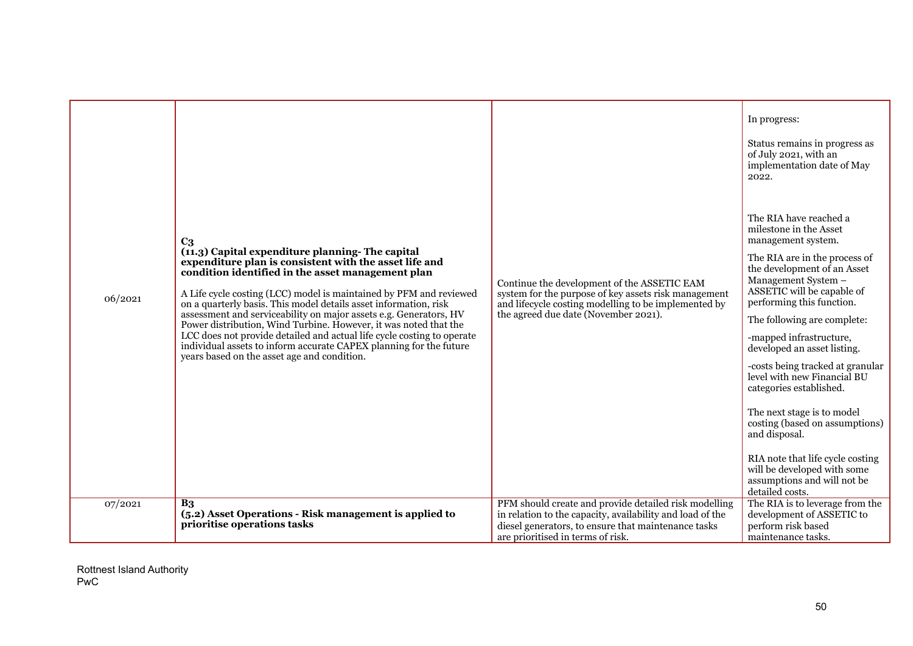|         |                                                                                                                                                                                                                                                                                                                                                                                                                                                                                                                                                                                                                                                                    |                                                                                                                                                                                                                | In progress:<br>Status remains in progress as<br>of July 2021, with an<br>implementation date of May<br>2022.                                                                                                                                                                                                                                                                                                                                                                                                                                                                                                         |
|---------|--------------------------------------------------------------------------------------------------------------------------------------------------------------------------------------------------------------------------------------------------------------------------------------------------------------------------------------------------------------------------------------------------------------------------------------------------------------------------------------------------------------------------------------------------------------------------------------------------------------------------------------------------------------------|----------------------------------------------------------------------------------------------------------------------------------------------------------------------------------------------------------------|-----------------------------------------------------------------------------------------------------------------------------------------------------------------------------------------------------------------------------------------------------------------------------------------------------------------------------------------------------------------------------------------------------------------------------------------------------------------------------------------------------------------------------------------------------------------------------------------------------------------------|
| 06/2021 | C <sub>3</sub><br>(11.3) Capital expenditure planning-The capital<br>expenditure plan is consistent with the asset life and<br>condition identified in the asset management plan<br>A Life cycle costing (LCC) model is maintained by PFM and reviewed<br>on a quarterly basis. This model details asset information, risk<br>assessment and serviceability on major assets e.g. Generators, HV<br>Power distribution, Wind Turbine. However, it was noted that the<br>LCC does not provide detailed and actual life cycle costing to operate<br>individual assets to inform accurate CAPEX planning for the future<br>years based on the asset age and condition. | Continue the development of the ASSETIC EAM<br>system for the purpose of key assets risk management<br>and lifecycle costing modelling to be implemented by<br>the agreed due date (November 2021).            | The RIA have reached a<br>milestone in the Asset<br>management system.<br>The RIA are in the process of<br>the development of an Asset<br>Management System -<br>ASSETIC will be capable of<br>performing this function.<br>The following are complete:<br>-mapped infrastructure,<br>developed an asset listing.<br>-costs being tracked at granular<br>level with new Financial BU<br>categories established.<br>The next stage is to model<br>costing (based on assumptions)<br>and disposal.<br>RIA note that life cycle costing<br>will be developed with some<br>assumptions and will not be<br>detailed costs. |
| 07/2021 | B <sub>3</sub><br>(5.2) Asset Operations - Risk management is applied to<br>prioritise operations tasks                                                                                                                                                                                                                                                                                                                                                                                                                                                                                                                                                            | PFM should create and provide detailed risk modelling<br>in relation to the capacity, availability and load of the<br>diesel generators, to ensure that maintenance tasks<br>are prioritised in terms of risk. | The RIA is to leverage from the<br>development of ASSETIC to<br>perform risk based<br>maintenance tasks.                                                                                                                                                                                                                                                                                                                                                                                                                                                                                                              |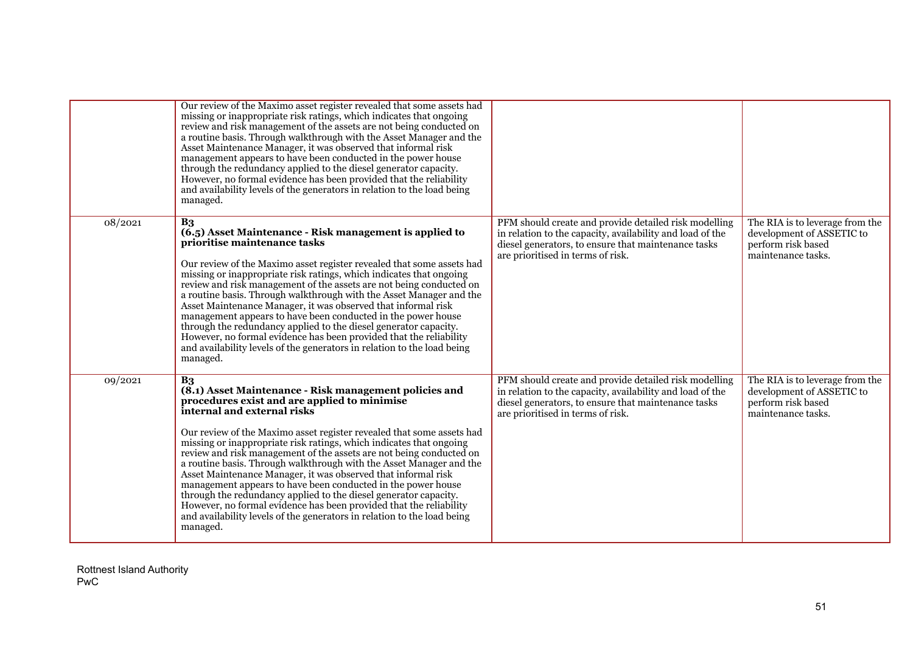|         | Our review of the Maximo asset register revealed that some assets had<br>missing or inappropriate risk ratings, which indicates that ongoing<br>review and risk management of the assets are not being conducted on<br>a routine basis. Through walkthrough with the Asset Manager and the<br>Asset Maintenance Manager, it was observed that informal risk<br>management appears to have been conducted in the power house<br>through the redundancy applied to the diesel generator capacity.<br>However, no formal evidence has been provided that the reliability<br>and availability levels of the generators in relation to the load being<br>managed.                                                                                                                                                            |                                                                                                                                                                                                                |                                                                                                          |
|---------|-------------------------------------------------------------------------------------------------------------------------------------------------------------------------------------------------------------------------------------------------------------------------------------------------------------------------------------------------------------------------------------------------------------------------------------------------------------------------------------------------------------------------------------------------------------------------------------------------------------------------------------------------------------------------------------------------------------------------------------------------------------------------------------------------------------------------|----------------------------------------------------------------------------------------------------------------------------------------------------------------------------------------------------------------|----------------------------------------------------------------------------------------------------------|
| 08/2021 | B <sub>3</sub><br>(6.5) Asset Maintenance - Risk management is applied to<br>prioritise maintenance tasks<br>Our review of the Maximo asset register revealed that some assets had<br>missing or inappropriate risk ratings, which indicates that ongoing<br>review and risk management of the assets are not being conducted on<br>a routine basis. Through walkthrough with the Asset Manager and the<br>Asset Maintenance Manager, it was observed that informal risk<br>management appears to have been conducted in the power house<br>through the redundancy applied to the diesel generator capacity.<br>However, no formal evidence has been provided that the reliability<br>and availability levels of the generators in relation to the load being<br>managed.                                               | PFM should create and provide detailed risk modelling<br>in relation to the capacity, availability and load of the<br>diesel generators, to ensure that maintenance tasks<br>are prioritised in terms of risk. | The RIA is to leverage from the<br>development of ASSETIC to<br>perform risk based<br>maintenance tasks. |
| 09/2021 | B <sub>3</sub><br>(8.1) Asset Maintenance - Risk management policies and<br>procedures exist and are applied to minimise<br>internal and external risks<br>Our review of the Maximo asset register revealed that some assets had<br>missing or inappropriate risk ratings, which indicates that ongoing<br>review and risk management of the assets are not being conducted on<br>a routine basis. Through walkthrough with the Asset Manager and the<br>Asset Maintenance Manager, it was observed that informal risk<br>management appears to have been conducted in the power house<br>through the redundancy applied to the diesel generator capacity.<br>However, no formal evidence has been provided that the reliability<br>and availability levels of the generators in relation to the load being<br>managed. | PFM should create and provide detailed risk modelling<br>in relation to the capacity, availability and load of the<br>diesel generators, to ensure that maintenance tasks<br>are prioritised in terms of risk. | The RIA is to leverage from the<br>development of ASSETIC to<br>perform risk based<br>maintenance tasks. |